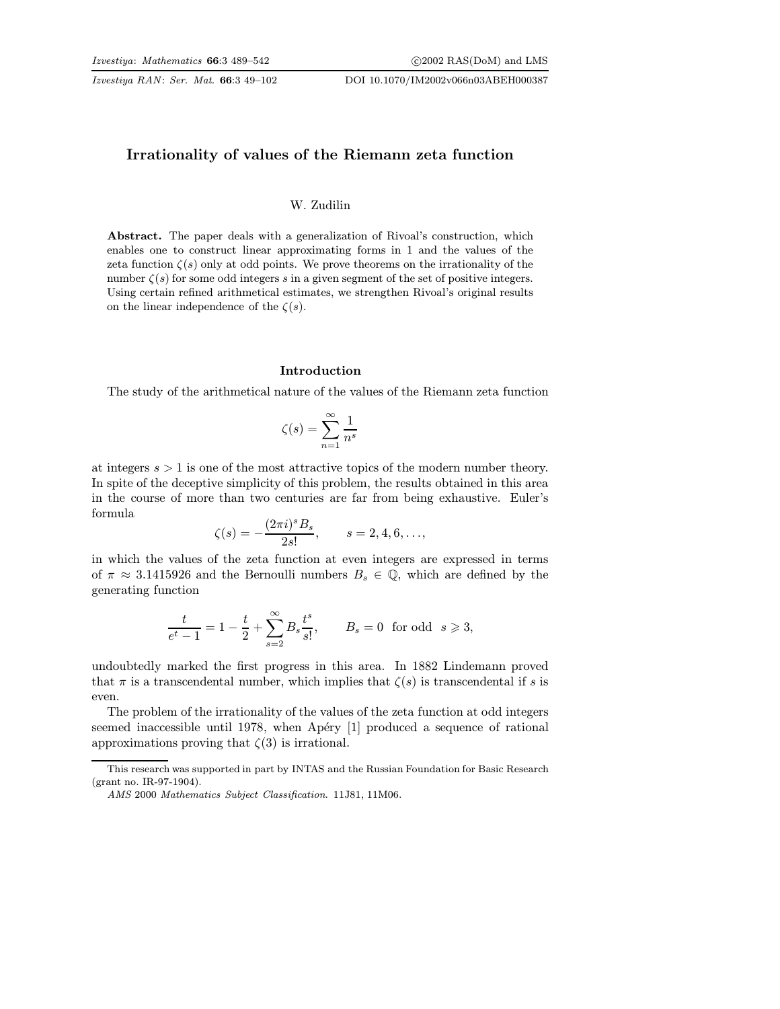Izvestiya RAN: Ser. Mat. 66:3 49–102 DOI 10.1070/IM2002v066n03ABEH000387

# Irrationality of values of the Riemann zeta function

#### W. Zudilin

Abstract. The paper deals with a generalization of Rivoal's construction, which enables one to construct linear approximating forms in 1 and the values of the zeta function  $\zeta(s)$  only at odd points. We prove theorems on the irrationality of the number  $\zeta(s)$  for some odd integers s in a given segment of the set of positive integers. Using certain refined arithmetical estimates, we strengthen Rivoal's original results on the linear independence of the  $\zeta(s)$ .

## Introduction

The study of the arithmetical nature of the values of the Riemann zeta function

$$
\zeta(s) = \sum_{n=1}^{\infty} \frac{1}{n^s}
$$

at integers  $s > 1$  is one of the most attractive topics of the modern number theory. In spite of the deceptive simplicity of this problem, the results obtained in this area in the course of more than two centuries are far from being exhaustive. Euler's formula

$$
\zeta(s) = -\frac{(2\pi i)^s B_s}{2s!}, \qquad s = 2, 4, 6, \dots,
$$

in which the values of the zeta function at even integers are expressed in terms of  $\pi \approx 3.1415926$  and the Bernoulli numbers  $B_s \in \mathbb{Q}$ , which are defined by the generating function

$$
\frac{t}{e^t-1}=1-\frac{t}{2}+\sum_{s=2}^\infty B_s\frac{t^s}{s!},\qquad B_s=0\ \ \text{for odd}\ \ s\geqslant 3,
$$

undoubtedly marked the first progress in this area. In 1882 Lindemann proved that  $\pi$  is a transcendental number, which implies that  $\zeta(s)$  is transcendental if s is even.

The problem of the irrationality of the values of the zeta function at odd integers seemed inaccessible until  $1978$ , when Apéry  $[1]$  produced a sequence of rational approximations proving that  $\zeta(3)$  is irrational.

This research was supported in part by INTAS and the Russian Foundation for Basic Research (grant no. IR-97-1904).

AMS 2000 Mathematics Subject Classification. 11J81, 11M06.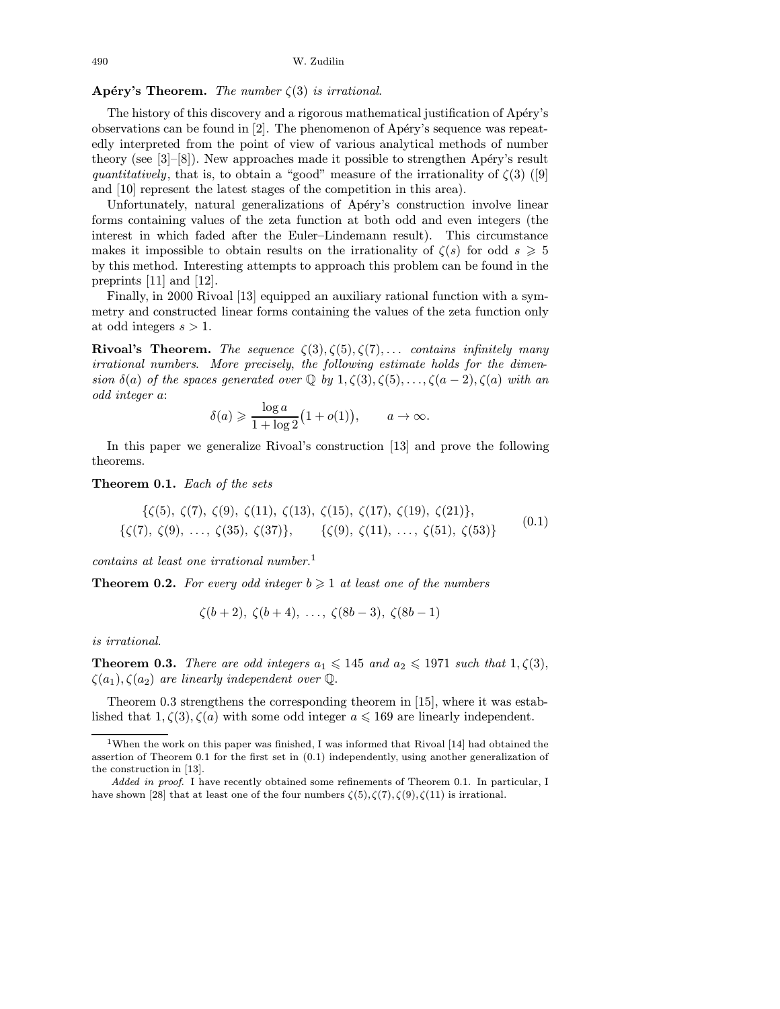# Apéry's Theorem. The number  $\zeta(3)$  is irrational.

The history of this discovery and a rigorous mathematical justification of Apéry's observations can be found in  $[2]$ . The phenomenon of Apéry's sequence was repeatedly interpreted from the point of view of various analytical methods of number theory (see  $[3]-[8]$ ). New approaches made it possible to strengthen Apéry's result quantitatively, that is, to obtain a "good" measure of the irrationality of  $\zeta(3)$  [\(\[9\]](#page-52-0) and [\[10\]](#page-52-0) represent the latest stages of the competition in this area).

Unfortunately, natural generalizations of Apéry's construction involve linear forms containing values of the zeta function at both odd and even integers (the interest in which faded after the Euler–Lindemann result). This circumstance makes it impossible to obtain results on the irrationality of  $\zeta(s)$  for odd  $s \geq 5$ by this method. Interesting attempts to approach this problem can be found in the preprints [\[11\]](#page-52-0) and [\[12\].](#page-52-0)

Finally, in 2000 Rivoal [\[13\]](#page-52-0) equipped an auxiliary rational function with a symmetry and constructed linear forms containing the values of the zeta function only at odd integers  $s > 1$ .

**Rivoal's Theorem.** The sequence  $\zeta(3), \zeta(5), \zeta(7), \ldots$  contains infinitely many irrational numbers. More precisely, the following estimate holds for the dimension  $\delta(a)$  of the spaces generated over  $\mathbb Q$  by  $1, \zeta(3), \zeta(5), \ldots, \zeta(a-2), \zeta(a)$  with an odd integer a:

$$
\delta(a) \geqslant \frac{\log a}{1 + \log 2} \big( 1 + o(1) \big), \qquad a \to \infty.
$$

In this paper we generalize Rivoal's construction [\[13\]](#page-52-0) and prove the following theorems.

Theorem 0.1. Each of the sets

$$
\{\zeta(5), \zeta(7), \zeta(9), \zeta(11), \zeta(13), \zeta(15), \zeta(17), \zeta(19), \zeta(21)\},\
$$
  

$$
\{\zeta(7), \zeta(9), \ldots, \zeta(35), \zeta(37)\}, \qquad \{\zeta(9), \zeta(11), \ldots, \zeta(51), \zeta(53)\}\
$$
 (0.1)

contains at least one irrational number. 1

**Theorem 0.2.** For every odd integer  $b \ge 1$  at least one of the numbers

$$
\zeta(b+2), \zeta(b+4), \ldots, \zeta(8b-3), \zeta(8b-1)
$$

is irrational.

**Theorem 0.3.** There are odd integers  $a_1 \leq 145$  and  $a_2 \leq 1971$  such that  $1, \zeta(3)$ ,  $\zeta(a_1), \zeta(a_2)$  are linearly independent over  $\mathbb{Q}$ .

Theorem 0.3 strengthens the corresponding theorem in [\[15\]](#page-53-0), where it was established that  $1, \zeta(3), \zeta(a)$  with some odd integer  $a \leq 169$  are linearly independent.

<sup>1</sup>When the work on this paper was finished, I was informed that Rivoal [\[14\]](#page-52-0) had obtained the assertion of Theorem 0.1 for the first set in (0.1) independently, using another generalization of the construction in [\[13\].](#page-52-0)

Added in proof. I have recently obtained some refinements of Theorem 0.1. In particular, I have shown [\[28\]](#page-53-0) that at least one of the four numbers  $\zeta(5), \zeta(7), \zeta(9), \zeta(11)$  is irrational.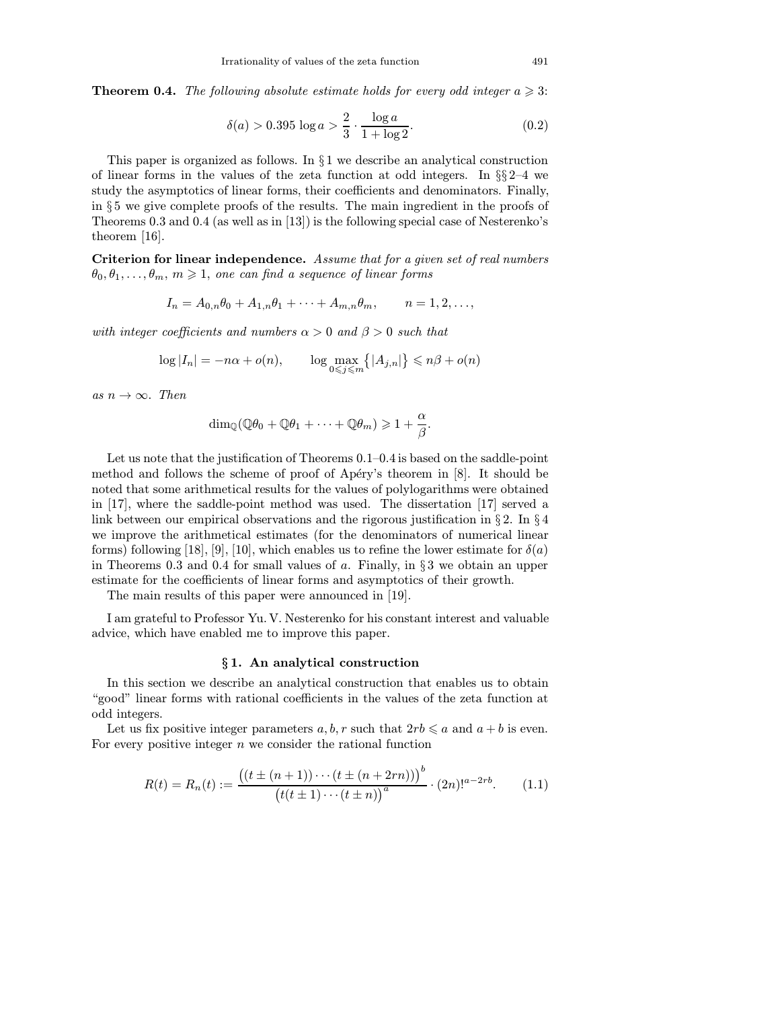**Theorem 0.4.** The following absolute estimate holds for every odd integer  $a \geqslant 3$ :

$$
\delta(a) > 0.395 \log a > \frac{2}{3} \cdot \frac{\log a}{1 + \log 2}.\tag{0.2}
$$

This paper is organized as follows. In  $\S 1$  we describe an analytical construction of linear forms in the values of the zeta function at odd integers. In  $\S$ 2–4 we study the asymptotics of linear forms, their coefficients and denominators. Finally, in § 5 we give complete proofs of the results. The main ingredient in the proofs of Theorems 0.3 and 0.4 (as well as in [\[13\]\)](#page-52-0) is the following special case of Nesterenko's theorem [\[16\].](#page-53-0)

Criterion for linear independence. Assume that for a given set of real numbers  $\theta_0, \theta_1, \ldots, \theta_m, m \geq 1$ , one can find a sequence of linear forms

$$
I_n = A_{0,n}\theta_0 + A_{1,n}\theta_1 + \dots + A_{m,n}\theta_m, \qquad n = 1, 2, \dots,
$$

with integer coefficients and numbers  $\alpha > 0$  and  $\beta > 0$  such that

$$
\log|I_n| = -n\alpha + o(n), \qquad \log \max_{0 \leq j \leq m} \{|A_{j,n}|\} \leq n\beta + o(n)
$$

as  $n \to \infty$ . Then

$$
\dim_{\mathbb{Q}}(\mathbb{Q}\theta_0 + \mathbb{Q}\theta_1 + \cdots + \mathbb{Q}\theta_m) \geq 1 + \frac{\alpha}{\beta}.
$$

Let us note that the justification of Theorems 0.1–0.4 is based on the saddle-point method and follows the scheme of proof of Apéry's theorem in  $[8]$ . It should be noted that some arithmetical results for the values of polylogarithms were obtained in [\[17\],](#page-53-0) where the saddle-point method was used. The dissertation [\[17\]](#page-53-0) served a link between our empirical observations and the rigorous justification in § 2. In § 4 we improve the arithmetical estimates (for the denominators of numerical linear forms) following [\[18\],](#page-53-0) [\[9\], \[10\],](#page-52-0) which enables us to refine the lower estimate for  $\delta(a)$ in Theorems 0.3 and 0.4 for small values of a. Finally, in  $\S 3$  we obtain an upper estimate for the coefficients of linear forms and asymptotics of their growth.

The main results of this paper were announced in [\[19\].](#page-53-0)

I am grateful to Professor Yu. V. Nesterenko for his constant interest and valuable advice, which have enabled me to improve this paper.

## § 1. An analytical construction

In this section we describe an analytical construction that enables us to obtain "good" linear forms with rational coefficients in the values of the zeta function at odd integers.

Let us fix positive integer parameters  $a, b, r$  such that  $2rb \leqslant a$  and  $a + b$  is even. For every positive integer  $n$  we consider the rational function

$$
R(t) = R_n(t) := \frac{\left( (t \pm (n+1)) \cdots (t \pm (n+2rn)) \right)^b}{\left( t(t \pm 1) \cdots (t \pm n) \right)^a} \cdot (2n)!^{a-2rb}.
$$
 (1.1)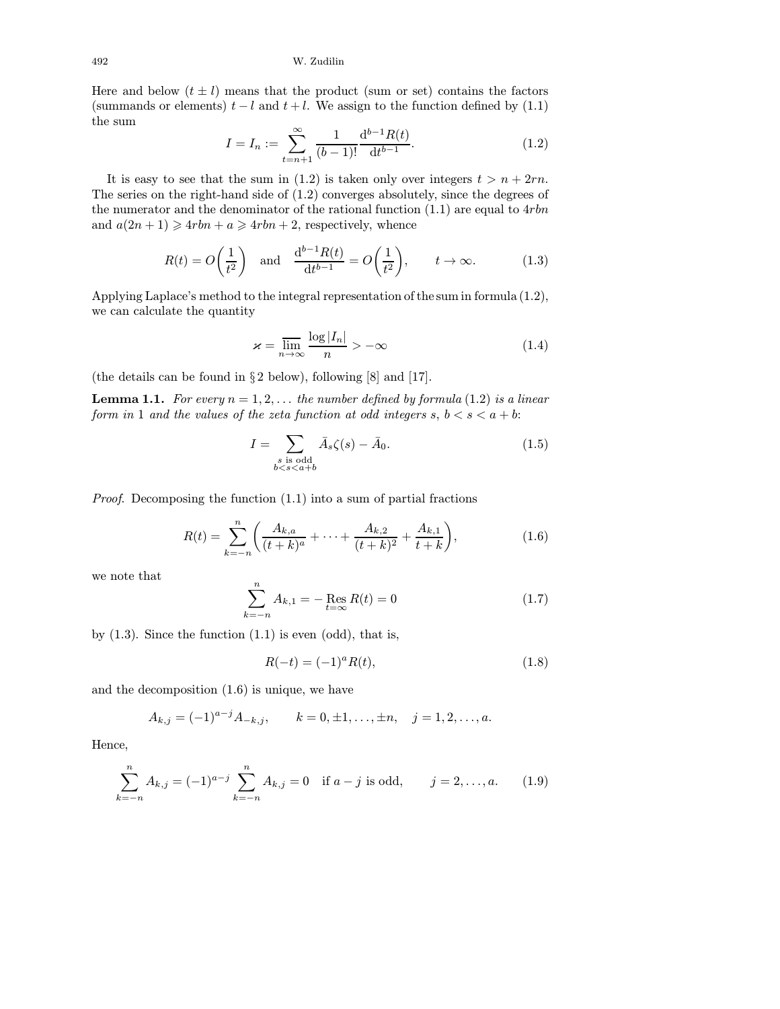Here and below  $(t \pm l)$  means that the product (sum or set) contains the factors (summands or elements)  $t - l$  and  $t + l$ . We assign to the function defined by (1.1) the sum

$$
I = I_n := \sum_{t=n+1}^{\infty} \frac{1}{(b-1)!} \frac{\mathrm{d}^{b-1} R(t)}{\mathrm{d} t^{b-1}}.
$$
 (1.2)

It is easy to see that the sum in (1.2) is taken only over integers  $t>n+2rn$ . The series on the right-hand side of (1.2) converges absolutely, since the degrees of the numerator and the denominator of the rational function  $(1.1)$  are equal to  $4rbn$ and  $a(2n+1) \geq a r b n + a \geq a r b n + 2$ , respectively, whence

$$
R(t) = O\left(\frac{1}{t^2}\right) \quad \text{and} \quad \frac{\mathrm{d}^{b-1}R(t)}{\mathrm{d}t^{b-1}} = O\left(\frac{1}{t^2}\right), \qquad t \to \infty. \tag{1.3}
$$

Applying Laplace's method to the integral representation of the sum in formula (1.2), we can calculate the quantity

$$
\varkappa = \overline{\lim}_{n \to \infty} \frac{\log |I_n|}{n} > -\infty \tag{1.4}
$$

(the details can be found in § 2 below), following [\[8\]](#page-52-0) and [\[17\].](#page-53-0)

**Lemma 1.1.** For every  $n = 1, 2, \ldots$  the number defined by formula (1.2) is a linear form in 1 and the values of the zeta function at odd integers  $s, b < s < a + b$ :

$$
I = \sum_{\substack{s \text{ is odd} \\ b < s < a+b}} \bar{A}_s \zeta(s) - \bar{A}_0. \tag{1.5}
$$

Proof. Decomposing the function (1.1) into a sum of partial fractions

$$
R(t) = \sum_{k=-n}^{n} \left( \frac{A_{k,a}}{(t+k)^a} + \dots + \frac{A_{k,2}}{(t+k)^2} + \frac{A_{k,1}}{t+k} \right),\tag{1.6}
$$

we note that

$$
\sum_{k=-n}^{n} A_{k,1} = -\operatorname{Res}_{t=\infty} R(t) = 0
$$
\n(1.7)

by  $(1.3)$ . Since the function  $(1.1)$  is even  $(odd)$ , that is,

$$
R(-t) = (-1)^{a} R(t), \qquad (1.8)
$$

and the decomposition (1.6) is unique, we have

$$
A_{k,j} = (-1)^{a-j} A_{-k,j}, \qquad k = 0, \pm 1, \ldots, \pm n, \quad j = 1, 2, \ldots, a.
$$

Hence,

$$
\sum_{k=-n}^{n} A_{k,j} = (-1)^{a-j} \sum_{k=-n}^{n} A_{k,j} = 0 \quad \text{if } a-j \text{ is odd}, \qquad j = 2, ..., a. \tag{1.9}
$$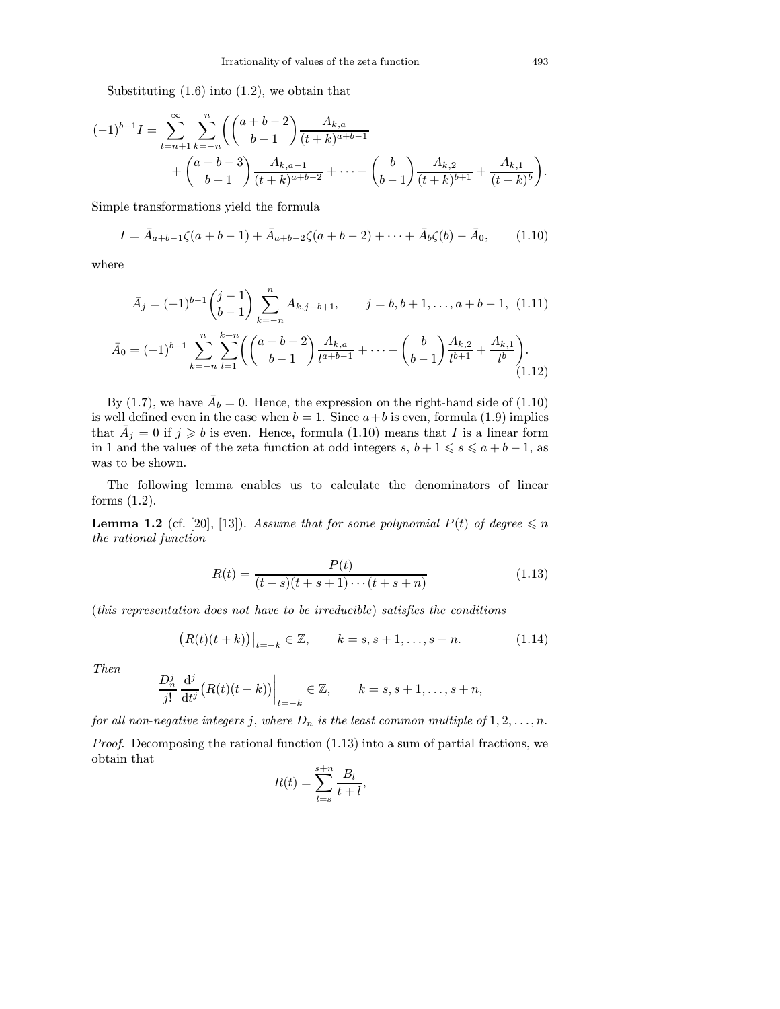Substituting  $(1.6)$  into  $(1.2)$ , we obtain that

$$
(-1)^{b-1}I = \sum_{t=n+1}^{\infty} \sum_{k=-n}^{n} \left( \binom{a+b-2}{b-1} \frac{A_{k,a}}{(t+k)^{a+b-1}} + \binom{a+b-3}{b-1} \frac{A_{k,a-1}}{(t+k)^{a+b-2}} + \dots + \binom{b}{b-1} \frac{A_{k,2}}{(t+k)^{b+1}} + \frac{A_{k,1}}{(t+k)^b} \right)
$$

Simple transformations yield the formula

$$
I = \bar{A}_{a+b-1}\zeta(a+b-1) + \bar{A}_{a+b-2}\zeta(a+b-2) + \cdots + \bar{A}_b\zeta(b) - \bar{A}_0, \qquad (1.10)
$$

where

$$
\bar{A}_{j} = (-1)^{b-1} \binom{j-1}{b-1} \sum_{k=-n}^{n} A_{k,j-b+1}, \qquad j = b, b+1, \dots, a+b-1, \quad (1.11)
$$

$$
\bar{A}_{0} = (-1)^{b-1} \sum_{k=-n}^{n} \sum_{l=1}^{k+n} \left( \binom{a+b-2}{b-1} \frac{A_{k,a}}{l^{a+b-1}} + \dots + \binom{b}{b-1} \frac{A_{k,2}}{l^{b+1}} + \frac{A_{k,1}}{l^{b}} \right). \tag{1.12}
$$

By (1.7), we have  $\bar{A}_b = 0$ . Hence, the expression on the right-hand side of (1.10) is well defined even in the case when  $b = 1$ . Since  $a + b$  is even, formula (1.9) implies that  $\overline{A}_j = 0$  if  $j \geqslant b$  is even. Hence, formula (1.10) means that  $I$  is a linear form in 1 and the values of the zeta function at odd integers  $s, b + 1 \leqslant s \leqslant a + b - 1$ , as was to be shown.

The following lemma enables us to calculate the denominators of linear forms (1.2).

**Lemma 1.2** (cf. [\[20\],](#page-53-0) [\[13\]](#page-52-0)). Assume that for some polynomial  $P(t)$  of degree  $\leq n$ the rational function

$$
R(t) = \frac{P(t)}{(t+s)(t+s+1)\cdots(t+s+n)}\tag{1.13}
$$

(this representation does not have to be irreducible) satisfies the conditions

$$
(R(t)(t+k))|_{t=-k} \in \mathbb{Z}, \qquad k=s, s+1, \ldots, s+n.
$$
 (1.14)

Then

$$
\frac{D_n^j}{j!} \frac{\mathrm{d}^j}{\mathrm{d}t^j} \big( R(t)(t+k) \big) \Big|_{t=-k} \in \mathbb{Z}, \qquad k=s, s+1, \ldots, s+n,
$$

for all non-negative integers j, where  $D_n$  is the least common multiple of  $1, 2, \ldots, n$ .

Proof. Decomposing the rational function (1.13) into a sum of partial fractions, we obtain that

$$
R(t) = \sum_{l=s}^{s+n} \frac{B_l}{t+l},
$$

.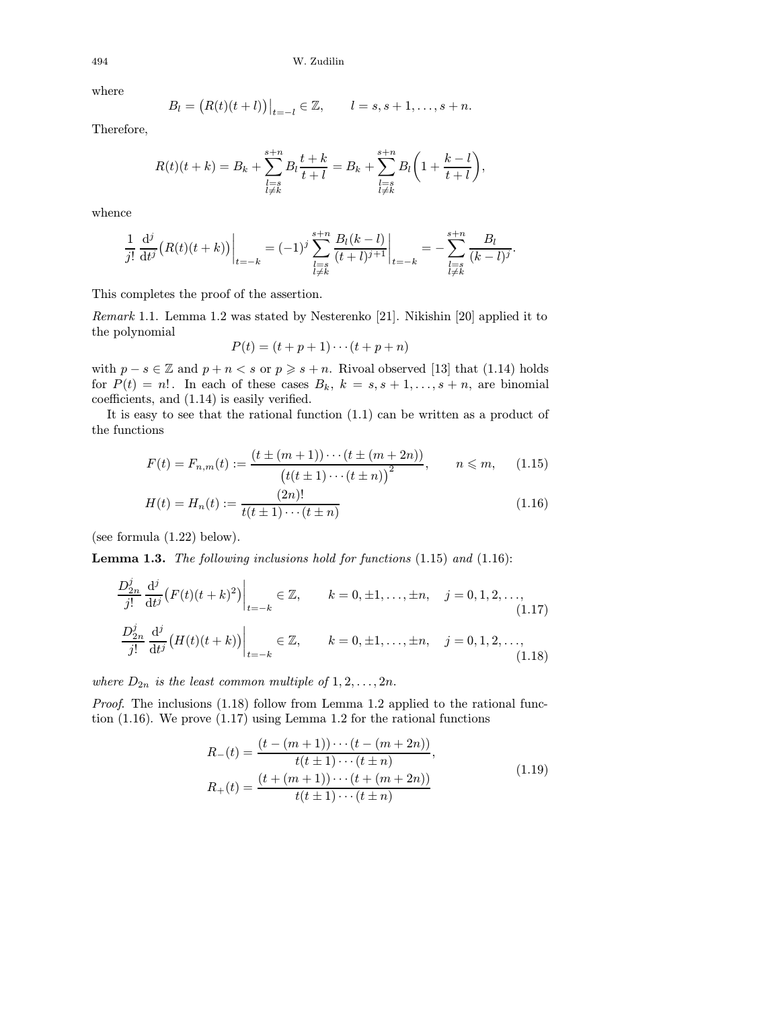where

$$
B_l = (R(t)(t+l))|_{t=-l} \in \mathbb{Z}, \qquad l = s, s+1, \ldots, s+n.
$$

Therefore,

$$
R(t)(t+k) = B_k + \sum_{\substack{l=s \ l \neq k}}^{s+n} B_l \frac{t+k}{t+l} = B_k + \sum_{\substack{l=s \ l \neq k}}^{s+n} B_l \bigg( 1 + \frac{k-l}{t+l} \bigg),
$$

whence

$$
\frac{1}{j!} \frac{d^j}{dt^j} (R(t)(t+k)) \Big|_{t=-k} = (-1)^j \sum_{\substack{l=s \\ l \neq k}}^{s+n} \frac{B_l(k-l)}{(t+l)^{j+1}} \Big|_{t=-k} = -\sum_{\substack{l=s \\ l \neq k}}^{s+n} \frac{B_l}{(k-l)^j}.
$$

This completes the proof of the assertion.

Remark 1.1. Lemma 1.2 was stated by Nesterenko [\[21\].](#page-53-0) Nikishin [\[20\]](#page-53-0) applied it to the polynomial

$$
P(t) = (t + p + 1) \cdots (t + p + n)
$$

with  $p - s \in \mathbb{Z}$  and  $p + n < s$  or  $p \geq s + n$ . Rivoal observed [\[13\]](#page-52-0) that (1.14) holds for  $P(t) = n!$ . In each of these cases  $B_k$ ,  $k = s, s + 1, \ldots, s + n$ , are binomial coefficients, and (1.14) is easily verified.

It is easy to see that the rational function (1.1) can be written as a product of the functions

$$
F(t) = F_{n,m}(t) := \frac{\left(t \pm (m+1)\right) \cdots \left(t \pm (m+2n)\right)}{\left(t(t \pm 1)\cdots(t \pm n)\right)^2}, \qquad n \leq m,\qquad(1.15)
$$

$$
H(t) = H_n(t) := \frac{(2n)!}{t(t \pm 1) \cdots (t \pm n)}\tag{1.16}
$$

(see formula (1.22) below).

**Lemma 1.3.** The following inclusions hold for functions  $(1.15)$  and  $(1.16)$ :

$$
\frac{D_{2n}^{j}}{j!} \frac{d^{j}}{dt^{j}} \left( F(t)(t+k)^{2} \right) \Big|_{t=-k} \in \mathbb{Z}, \qquad k=0, \pm 1, \dots, \pm n, \quad j=0, 1, 2, \dots, \tag{1.17}
$$
\n
$$
\frac{D_{2n}^{j}}{j!} \frac{d^{j}}{dt^{j}} \left( H(t)(t+k) \right) \Big|_{t=-k} \in \mathbb{Z}, \qquad k=0, \pm 1, \dots, \pm n, \quad j=0, 1, 2, \dots, \tag{1.18}
$$

where  $D_{2n}$  is the least common multiple of  $1, 2, \ldots, 2n$ .

Proof. The inclusions  $(1.18)$  follow from Lemma 1.2 applied to the rational function (1.16). We prove (1.17) using Lemma 1.2 for the rational functions

$$
R_{-}(t) = \frac{(t - (m + 1)) \cdots (t - (m + 2n))}{t(t \pm 1) \cdots (t \pm n)},
$$
  
\n
$$
R_{+}(t) = \frac{(t + (m + 1)) \cdots (t + (m + 2n))}{t(t \pm 1) \cdots (t \pm n)}
$$
\n(1.19)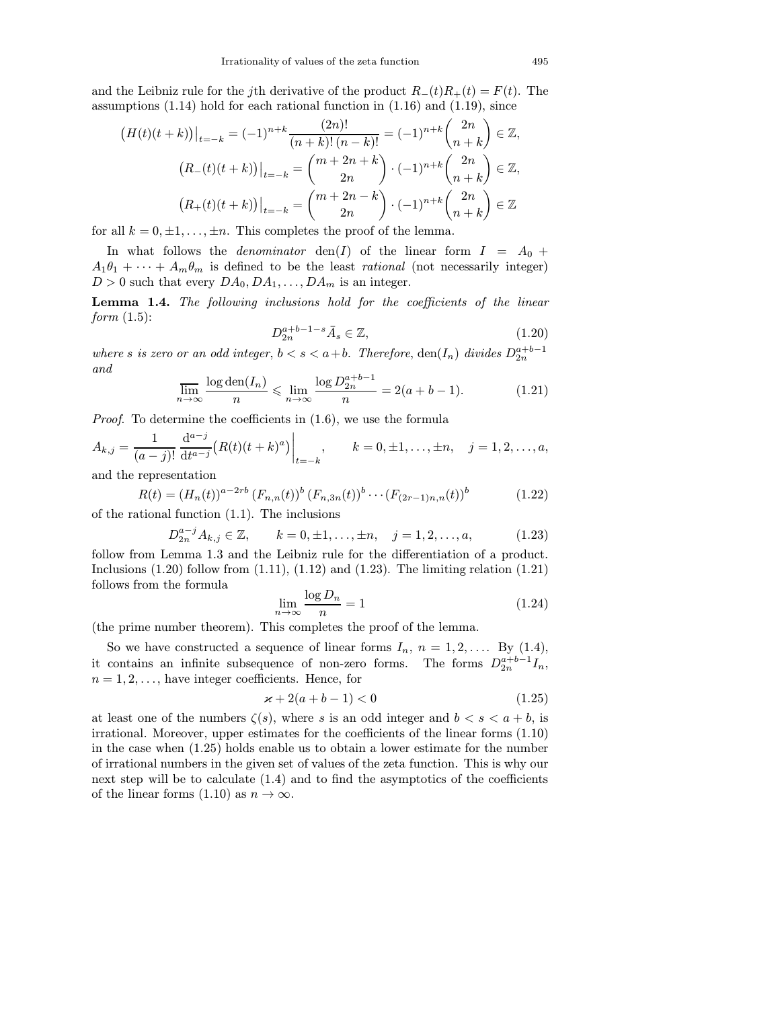and the Leibniz rule for the jth derivative of the product  $R_-(t)R_+(t) = F(t)$ . The assumptions (1.14) hold for each rational function in (1.16) and (1.19), since

$$
(H(t)(t+k))|_{t=-k} = (-1)^{n+k} \frac{(2n)!}{(n+k)!(n-k)!} = (-1)^{n+k} {2n \choose n+k} \in \mathbb{Z},
$$
  

$$
(R_{-}(t)(t+k))|_{t=-k} = {m+2n+k \choose 2n} \cdot (-1)^{n+k} {2n \choose n+k} \in \mathbb{Z},
$$
  

$$
(R_{+}(t)(t+k))|_{t=-k} = {m+2n-k \choose 2n} \cdot (-1)^{n+k} {2n \choose n+k} \in \mathbb{Z}
$$

for all  $k = 0, \pm 1, \ldots, \pm n$ . This completes the proof of the lemma.

In what follows the *denominator* den(I) of the linear form  $I = A_0 +$  $A_1\theta_1 + \cdots + A_m\theta_m$  is defined to be the least *rational* (not necessarily integer)  $D > 0$  such that every  $DA_0, DA_1, \ldots, DA_m$  is an integer.

Lemma 1.4. The following inclusions hold for the coefficients of the linear form  $(1.5)$ :

$$
D_{2n}^{a+b-1-s}\bar{A}_s \in \mathbb{Z},\tag{1.20}
$$

where s is zero or an odd integer,  $b < s < a+b$ . Therefore,  $den(I_n)$  divides  $D_{2n}^{a+b-1}$ and

$$
\overline{\lim}_{n \to \infty} \frac{\log \operatorname{den}(I_n)}{n} \le \lim_{n \to \infty} \frac{\log D_2^{a+b-1}}{n} = 2(a+b-1). \tag{1.21}
$$

Proof. To determine the coefficients in (1.6), we use the formula

$$
A_{k,j} = \frac{1}{(a-j)!} \frac{d^{a-j}}{dt^{a-j}} (R(t)(t+k)^a) \Big|_{t=-k}, \qquad k = 0, \pm 1, \ldots, \pm n, \quad j = 1, 2, \ldots, a,
$$

and the representation

$$
R(t) = (H_n(t))^{a-2rb} (F_{n,n}(t))^b (F_{n,3n}(t))^b \cdots (F_{(2r-1)n,n}(t))^b
$$
\n(1.22)

of the rational function (1.1). The inclusions

$$
D_{2n}^{a-j}A_{k,j}\in\mathbb{Z}, \qquad k=0,\pm 1,\ldots,\pm n, \quad j=1,2,\ldots,a,\tag{1.23}
$$

follow from Lemma 1.3 and the Leibniz rule for the differentiation of a product. Inclusions  $(1.20)$  follow from  $(1.11)$ ,  $(1.12)$  and  $(1.23)$ . The limiting relation  $(1.21)$ follows from the formula

$$
\lim_{n \to \infty} \frac{\log D_n}{n} = 1\tag{1.24}
$$

(the prime number theorem). This completes the proof of the lemma.

So we have constructed a sequence of linear forms  $I_n$ ,  $n = 1, 2, \ldots$  By (1.4), it contains an infinite subsequence of non-zero forms. The forms  $D_{2n}^{a+b-1}I_n$ ,  $n = 1, 2, \ldots$ , have integer coefficients. Hence, for

$$
x + 2(a + b - 1) < 0 \tag{1.25}
$$

at least one of the numbers  $\zeta(s)$ , where s is an odd integer and  $b < s < a + b$ , is irrational. Moreover, upper estimates for the coefficients of the linear forms (1.10) in the case when (1.25) holds enable us to obtain a lower estimate for the number of irrational numbers in the given set of values of the zeta function. This is why our next step will be to calculate  $(1.4)$  and to find the asymptotics of the coefficients of the linear forms  $(1.10)$  as  $n \to \infty$ .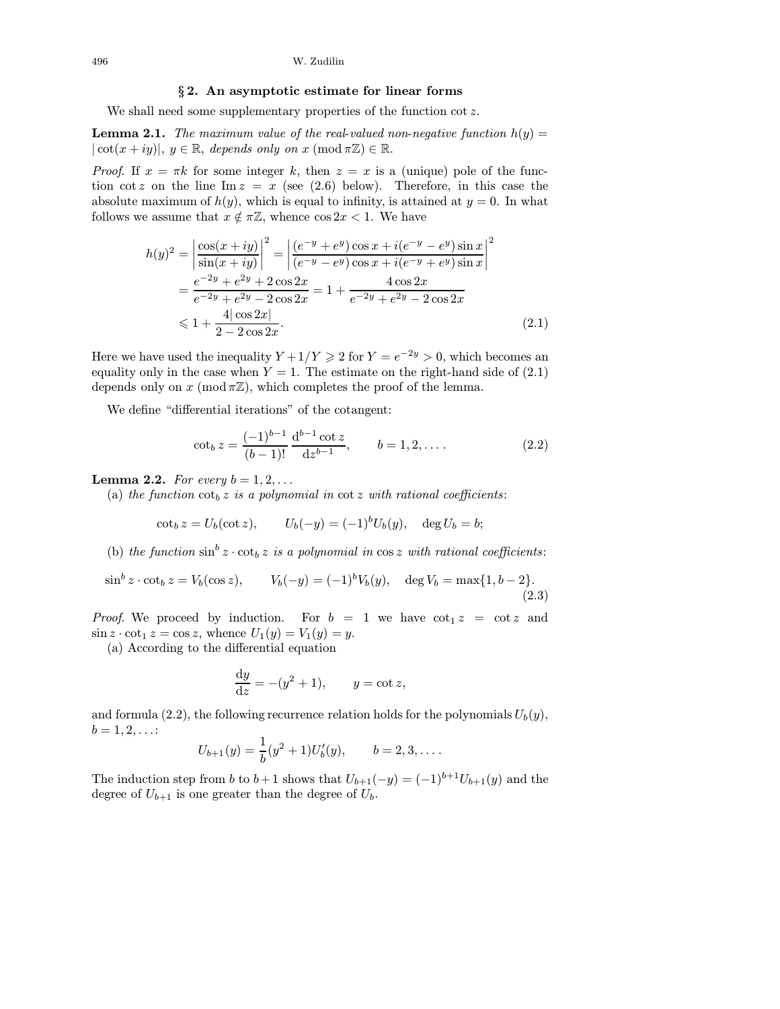#### § 2. An asymptotic estimate for linear forms

We shall need some supplementary properties of the function  $\cot z$ .

**Lemma 2.1.** The maximum value of the real-valued non-negative function  $h(y)$  =  $|\cot(x+iy)|, y \in \mathbb{R}, \text{ depends only on } x \pmod{\pi \mathbb{Z}} \in \mathbb{R}.$ 

*Proof.* If  $x = \pi k$  for some integer k, then  $z = x$  is a (unique) pole of the function cot z on the line Im  $z = x$  (see (2.6) below). Therefore, in this case the absolute maximum of  $h(y)$ , which is equal to infinity, is attained at  $y = 0$ . In what follows we assume that  $x \notin \pi \mathbb{Z}$ , whence  $\cos 2x < 1$ . We have

$$
h(y)^2 = \left| \frac{\cos(x+iy)}{\sin(x+iy)} \right|^2 = \left| \frac{(e^{-y} + e^y)\cos x + i(e^{-y} - e^y)\sin x}{(e^{-y} - e^y)\cos x + i(e^{-y} + e^y)\sin x} \right|^2
$$
  
= 
$$
\frac{e^{-2y} + e^{2y} + 2\cos 2x}{e^{-2y} + e^{2y} - 2\cos 2x} = 1 + \frac{4\cos 2x}{e^{-2y} + e^{2y} - 2\cos 2x}
$$
  
\$\leq 1 + \frac{4|\cos 2x|}{2 - 2\cos 2x}\$. (2.1)

Here we have used the inequality  $Y + 1/Y \ge 2$  for  $Y = e^{-2y} > 0$ , which becomes an equality only in the case when  $Y = 1$ . The estimate on the right-hand side of (2.1) depends only on x (mod  $\pi \mathbb{Z}$ ), which completes the proof of the lemma.

We define "differential iterations" of the cotangent:

$$
\cot_b z = \frac{(-1)^{b-1}}{(b-1)!} \frac{d^{b-1} \cot z}{dz^{b-1}}, \qquad b = 1, 2, \dots
$$
 (2.2)

**Lemma 2.2.** For every  $b = 1, 2, \ldots$ 

(a) the function  $\cot_b z$  is a polynomial in  $\cot z$  with rational coefficients:

$$
\cot_b z = U_b(\cot z), \qquad U_b(-y) = (-1)^b U_b(y), \quad \deg U_b = b;
$$

(b) the function  $\sin^b z \cdot \cot_b z$  is a polynomial in  $\cos z$  with rational coefficients:

$$
\sin^b z \cdot \cot_b z = V_b(\cos z), \qquad V_b(-y) = (-1)^b V_b(y), \quad \deg V_b = \max\{1, b-2\}.
$$
\n(2.3)

*Proof.* We proceed by induction. For  $b = 1$  we have  $\cot_1 z = \cot z$  and  $\sin z \cdot \cot_1 z = \cos z$ , whence  $U_1(y) = V_1(y) = y$ .

(a) According to the differential equation

$$
\frac{\mathrm{d}y}{\mathrm{d}z} = -(y^2 + 1), \qquad y = \cot z,
$$

and formula (2.2), the following recurrence relation holds for the polynomials  $U_b(y)$ ,  $b = 1, 2, \ldots$ :

$$
U_{b+1}(y) = \frac{1}{b}(y^2 + 1)U'_b(y), \qquad b = 2, 3, \dots.
$$

The induction step from b to b+1 shows that  $U_{b+1}(-y)=(-1)^{b+1}U_{b+1}(y)$  and the degree of  $U_{b+1}$  is one greater than the degree of  $U_b$ .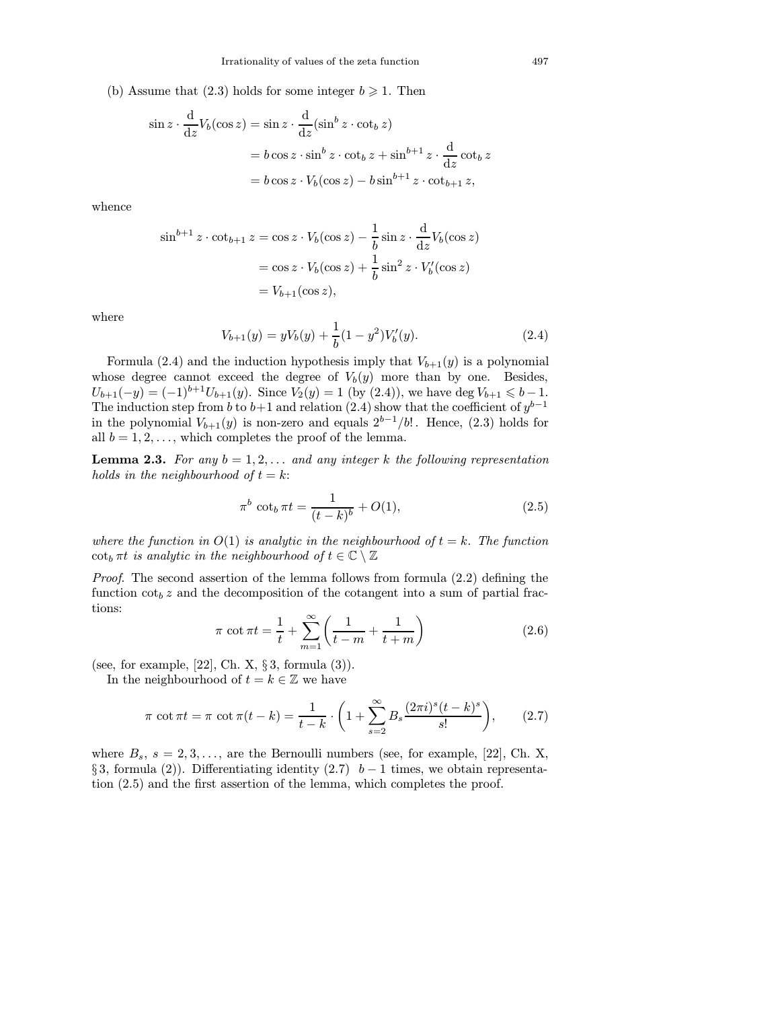(b) Assume that (2.3) holds for some integer  $b \ge 1$ . Then

$$
\sin z \cdot \frac{d}{dz} V_b(\cos z) = \sin z \cdot \frac{d}{dz} (\sin^b z \cdot \cot_b z)
$$
  
=  $b \cos z \cdot \sin^b z \cdot \cot_b z + \sin^{b+1} z \cdot \frac{d}{dz} \cot_b z$   
=  $b \cos z \cdot V_b(\cos z) - b \sin^{b+1} z \cdot \cot_{b+1} z$ ,

whence

$$
\sin^{b+1} z \cdot \cot_{b+1} z = \cos z \cdot V_b(\cos z) - \frac{1}{b} \sin z \cdot \frac{d}{dz} V_b(\cos z)
$$

$$
= \cos z \cdot V_b(\cos z) + \frac{1}{b} \sin^2 z \cdot V'_b(\cos z)
$$

$$
= V_{b+1}(\cos z),
$$

where

$$
V_{b+1}(y) = yV_b(y) + \frac{1}{b}(1 - y^2)V'_b(y).
$$
\n(2.4)

Formula (2.4) and the induction hypothesis imply that  $V_{b+1}(y)$  is a polynomial whose degree cannot exceed the degree of  $V_b(y)$  more than by one. Besides,  $U_{b+1}(-y) = (-1)^{b+1}U_{b+1}(y)$ . Since  $V_2(y) = 1$  (by  $(2.4)$ ), we have deg  $V_{b+1} \leq b-1$ . The induction step from b to b+1 and relation (2.4) show that the coefficient of  $y^{b-1}$ in the polynomial  $V_{b+1}(y)$  is non-zero and equals  $2^{b-1}/b!$ . Hence, (2.3) holds for all  $b = 1, 2, \ldots$ , which completes the proof of the lemma.

**Lemma 2.3.** For any  $b = 1, 2, \ldots$  and any integer k the following representation holds in the neighbourhood of  $t = k$ :

$$
\pi^b \cot_b \pi t = \frac{1}{(t-k)^b} + O(1),\tag{2.5}
$$

where the function in  $O(1)$  is analytic in the neighbourhood of  $t = k$ . The function  $\cot_b \pi t$  is analytic in the neighbourhood of  $t \in \mathbb{C} \setminus \mathbb{Z}$ 

Proof. The second assertion of the lemma follows from formula (2.2) defining the function  $\cot_b z$  and the decomposition of the cotangent into a sum of partial fractions:

$$
\pi \cot \pi t = \frac{1}{t} + \sum_{m=1}^{\infty} \left( \frac{1}{t-m} + \frac{1}{t+m} \right)
$$
 (2.6)

(see, for example, [\[22\],](#page-53-0) Ch. X,  $\S 3$ , formula (3)).

In the neighbourhood of  $t = k \in \mathbb{Z}$  we have

$$
\pi \cot \pi t = \pi \cot \pi (t - k) = \frac{1}{t - k} \cdot \left( 1 + \sum_{s=2}^{\infty} B_s \frac{(2\pi i)^s (t - k)^s}{s!} \right), \tag{2.7}
$$

where  $B_s$ ,  $s = 2, 3, \ldots$ , are the Bernoulli numbers (see, for example, [\[22\],](#page-53-0) Ch. X, § 3, formula (2)). Differentiating identity (2.7)  $b-1$  times, we obtain representation (2.5) and the first assertion of the lemma, which completes the proof.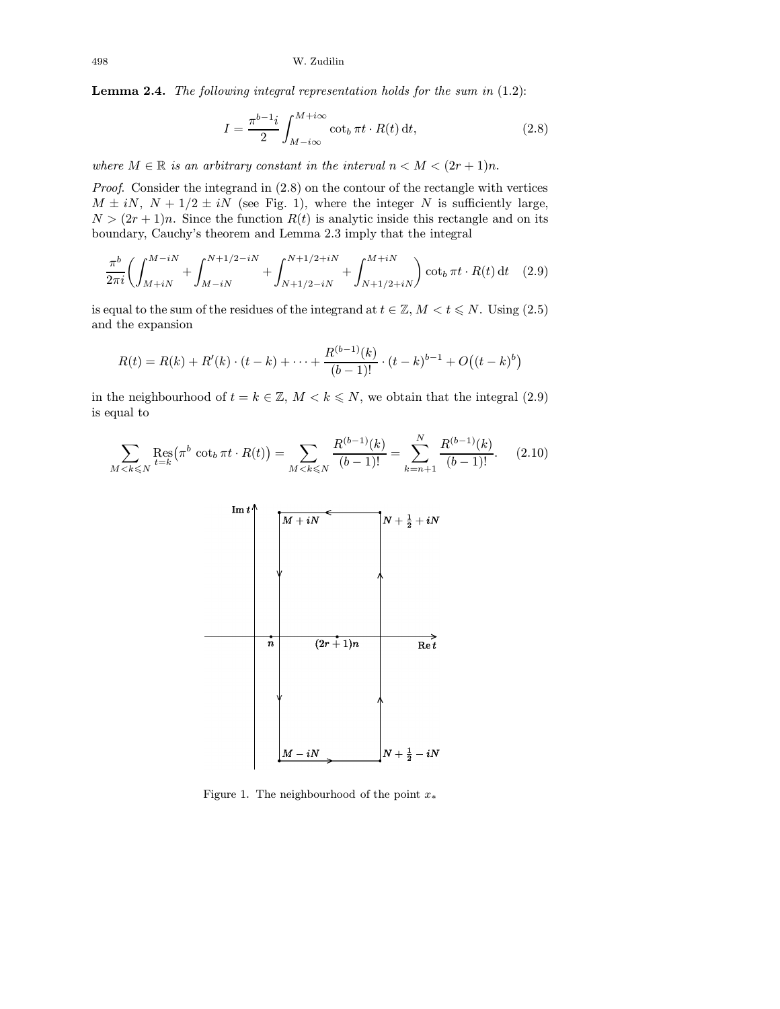Lemma 2.4. The following integral representation holds for the sum in (1.2):

$$
I = \frac{\pi^{b-1}i}{2} \int_{M-i\infty}^{M+i\infty} \cot_b \pi t \cdot R(t) \, \mathrm{d}t,\tag{2.8}
$$

where  $M \in \mathbb{R}$  is an arbitrary constant in the interval  $n < M < (2r + 1)n$ .

Proof. Consider the integrand in (2.8) on the contour of the rectangle with vertices  $M \pm iN$ ,  $N + 1/2 \pm iN$  (see Fig. 1), where the integer N is sufficiently large,  $N > (2r + 1)n$ . Since the function  $R(t)$  is analytic inside this rectangle and on its boundary, Cauchy's theorem and Lemma 2.3 imply that the integral

$$
\frac{\pi^b}{2\pi i} \left( \int_{M+iN}^{M-iN} + \int_{M-iN}^{N+1/2-iN} + \int_{N+1/2-iN}^{N+1/2+iN} + \int_{N+1/2+iN}^{M+iN} \right) \cot_b \pi t \cdot R(t) dt \quad (2.9)
$$

is equal to the sum of the residues of the integrand at  $t \in \mathbb{Z}$ ,  $M < t \le N$ . Using  $(2.5)$ and the expansion

$$
R(t) = R(k) + R'(k) \cdot (t - k) + \dots + \frac{R^{(b-1)}(k)}{(b-1)!} \cdot (t - k)^{b-1} + O((t - k)^b)
$$

in the neighbourhood of  $t = k \in \mathbb{Z}$ ,  $M < k \le N$ , we obtain that the integral (2.9) is equal to

$$
\sum_{M < k \leqslant N} \operatorname{Res}_{t=k}(\pi^b \cot_b \pi t \cdot R(t)) = \sum_{M < k \leqslant N} \frac{R^{(b-1)}(k)}{(b-1)!} = \sum_{k=n+1}^N \frac{R^{(b-1)}(k)}{(b-1)!}.\tag{2.10}
$$



Figure 1. The neighbourhood of the point  $x^*$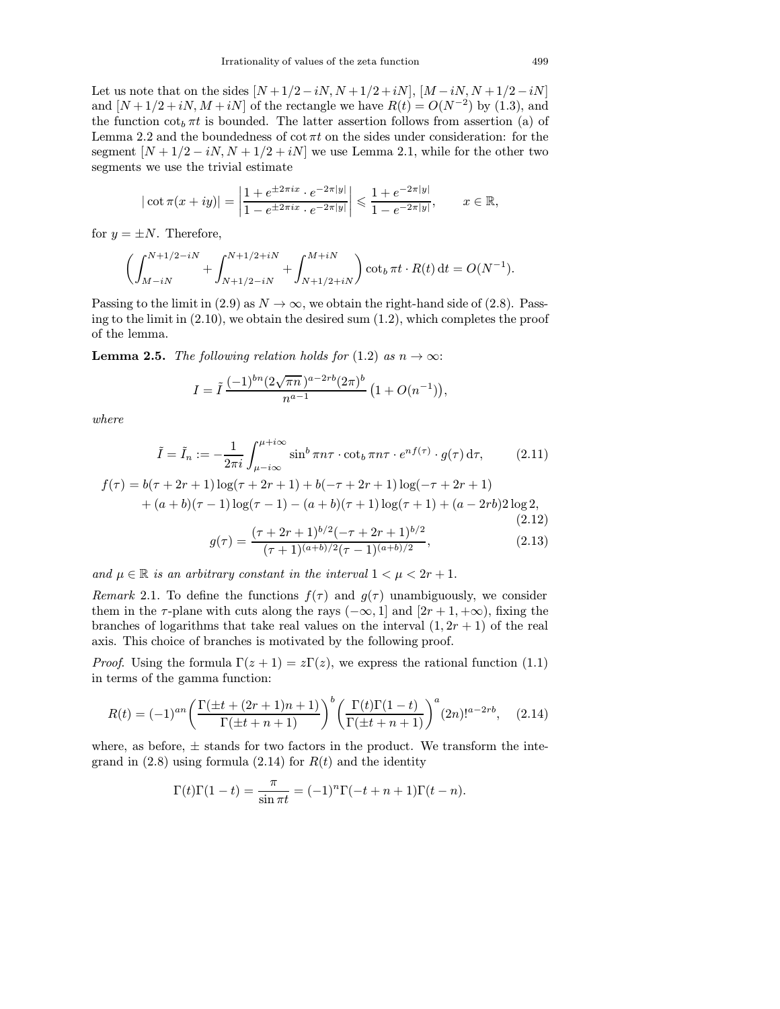Let us note that on the sides  $[N + 1/2 - iN, N + 1/2 + iN]$ ,  $[M - iN, N + 1/2 - iN]$ and  $[N+1/2+iN, M+iN]$  of the rectangle we have  $R(t) = O(N^{-2})$  by (1.3), and the function  $\cot_b \pi t$  is bounded. The latter assertion follows from assertion (a) of Lemma 2.2 and the boundedness of  $\cot \pi t$  on the sides under consideration: for the segment  $[N+1/2-iN, N+1/2+iN]$  we use Lemma 2.1, while for the other two segments we use the trivial estimate

$$
|\cot \pi(x+iy)| = \left|\frac{1+e^{\pm 2\pi ix} \cdot e^{-2\pi |y|}}{1-e^{\pm 2\pi ix} \cdot e^{-2\pi |y|}}\right| \leq \frac{1+e^{-2\pi |y|}}{1-e^{-2\pi |y|}}, \quad x \in \mathbb{R},
$$

for  $y = \pm N$ . Therefore,

$$
\left(\int_{M-iN}^{N+1/2-iN} + \int_{N+1/2-iN}^{N+1/2+iN} + \int_{N+1/2+iN}^{M+iN}\right) \cot_b \pi t \cdot R(t) dt = O(N^{-1}).
$$

Passing to the limit in (2.9) as  $N \to \infty$ , we obtain the right-hand side of (2.8). Passing to the limit in  $(2.10)$ , we obtain the desired sum  $(1.2)$ , which completes the proof of the lemma.

**Lemma 2.5.** The following relation holds for (1.2) as  $n \to \infty$ :

$$
I = \tilde{I} \frac{(-1)^{bn} (2\sqrt{\pi n})^{a-2rb} (2\pi)^b}{n^{a-1}} (1 + O(n^{-1})),
$$

where

$$
\tilde{I} = \tilde{I}_n := -\frac{1}{2\pi i} \int_{\mu - i\infty}^{\mu + i\infty} \sin^b \pi n\tau \cdot \cot_b \pi n\tau \cdot e^{nf(\tau)} \cdot g(\tau) d\tau,
$$
 (2.11)

$$
f(\tau) = b(\tau + 2r + 1)\log(\tau + 2r + 1) + b(-\tau + 2r + 1)\log(-\tau + 2r + 1)
$$
  
+  $(a+b)(\tau - 1)\log(\tau - 1) - (a+b)(\tau + 1)\log(\tau + 1) + (a - 2rb)2\log 2,$   
(2.12)

$$
g(\tau) = \frac{(\tau + 2r + 1)^{b/2}(-\tau + 2r + 1)^{b/2}}{(\tau + 1)^{(a+b)/2}(\tau - 1)^{(a+b)/2}},
$$
\n(2.13)

and  $\mu \in \mathbb{R}$  is an arbitrary constant in the interval  $1 < \mu < 2r + 1$ .

Remark 2.1. To define the functions  $f(\tau)$  and  $g(\tau)$  unambiguously, we consider them in the  $\tau$ -plane with cuts along the rays  $(-\infty, 1]$  and  $[2r + 1, +\infty)$ , fixing the branches of logarithms that take real values on the interval  $(1, 2r + 1)$  of the real axis. This choice of branches is motivated by the following proof.

*Proof.* Using the formula  $\Gamma(z + 1) = z\Gamma(z)$ , we express the rational function (1.1) in terms of the gamma function:

$$
R(t) = (-1)^{an} \left( \frac{\Gamma(\pm t + (2r+1)n + 1)}{\Gamma(\pm t + n + 1)} \right)^b \left( \frac{\Gamma(t)\Gamma(1-t)}{\Gamma(\pm t + n + 1)} \right)^a (2n)!^{a-2rb}, \quad (2.14)
$$

where, as before,  $\pm$  stands for two factors in the product. We transform the integrand in  $(2.8)$  using formula  $(2.14)$  for  $R(t)$  and the identity

$$
\Gamma(t)\Gamma(1-t) = \frac{\pi}{\sin \pi t} = (-1)^n \Gamma(-t+n+1)\Gamma(t-n).
$$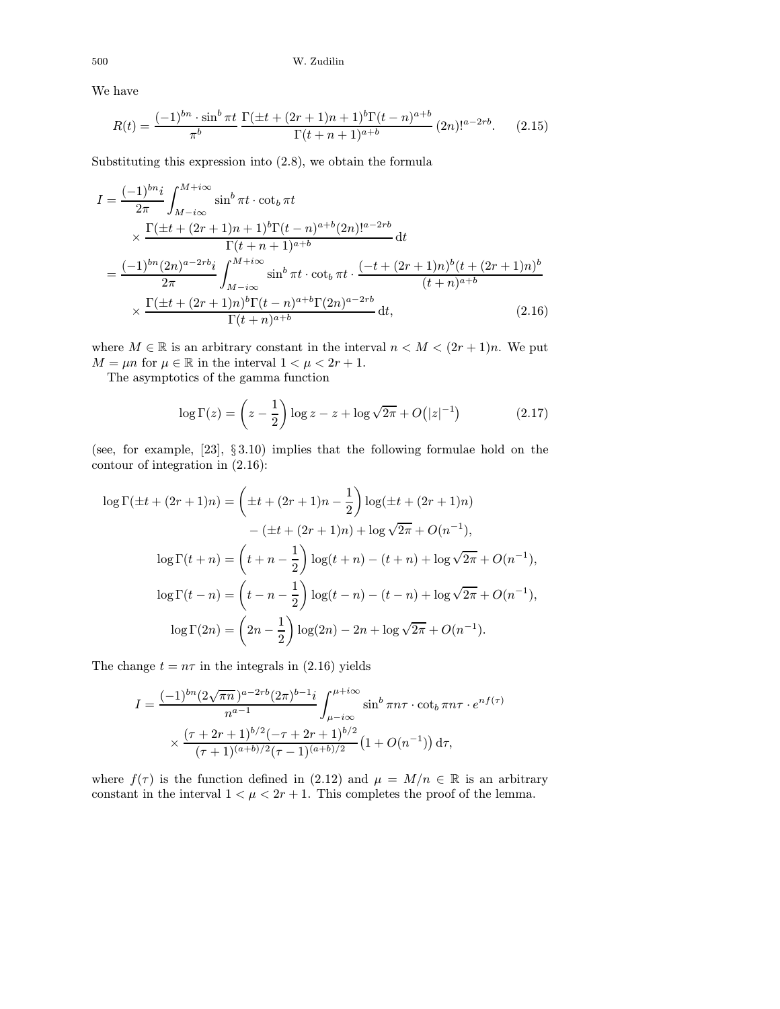We have

$$
R(t) = \frac{(-1)^{bn} \cdot \sin^b \pi t}{\pi^b} \frac{\Gamma(\pm t + (2r+1)n + 1)^b \Gamma(t - n)^{a+b}}{\Gamma(t + n + 1)^{a+b}} (2n)!^{a-2rb}.
$$
 (2.15)

Substituting this expression into (2.8), we obtain the formula

$$
I = \frac{(-1)^{bn}i}{2\pi} \int_{M-i\infty}^{M+i\infty} \sin^b \pi t \cdot \cot_b \pi t
$$
  
\n
$$
\times \frac{\Gamma(\pm t + (2r+1)n+1)^b \Gamma(t-n)^{a+b} (2n)^{a-2rb}}{\Gamma(t+n+1)^{a+b}} dt
$$
  
\n
$$
= \frac{(-1)^{bn} (2n)^{a-2rb}i}{2\pi} \int_{M-i\infty}^{M+i\infty} \sin^b \pi t \cdot \cot_b \pi t \cdot \frac{(-t + (2r+1)n)^b (t + (2r+1)n)^b}{(t+n)^{a+b}}
$$
  
\n
$$
\times \frac{\Gamma(\pm t + (2r+1)n)^b \Gamma(t-n)^{a+b} \Gamma(2n)^{a-2rb}}{\Gamma(t+n)^{a+b}} dt,
$$
\n(2.16)

where  $M \in \mathbb{R}$  is an arbitrary constant in the interval  $n < M < (2r + 1)n$ . We put  $M = \mu n$  for  $\mu \in \mathbb{R}$  in the interval  $1 < \mu < 2r + 1$ .

The asymptotics of the gamma function

$$
\log \Gamma(z) = \left(z - \frac{1}{2}\right) \log z - z + \log \sqrt{2\pi} + O\left(|z|^{-1}\right) \tag{2.17}
$$

(see, for example, [\[23\],](#page-53-0) § 3.10) implies that the following formulae hold on the contour of integration in (2.16):

$$
\log \Gamma(\pm t + (2r+1)n) = \left(\pm t + (2r+1)n - \frac{1}{2}\right) \log(\pm t + (2r+1)n)
$$

$$
-\left(\pm t + (2r+1)n\right) + \log \sqrt{2\pi} + O(n^{-1}),
$$

$$
\log \Gamma(t + n) = \left(t + n - \frac{1}{2}\right) \log(t + n) - (t + n) + \log \sqrt{2\pi} + O(n^{-1}),
$$

$$
\log \Gamma(t - n) = \left(t - n - \frac{1}{2}\right) \log(t - n) - (t - n) + \log \sqrt{2\pi} + O(n^{-1}),
$$

$$
\log \Gamma(2n) = \left(2n - \frac{1}{2}\right) \log(2n) - 2n + \log \sqrt{2\pi} + O(n^{-1}).
$$

The change  $t = n\tau$  in the integrals in (2.16) yields

$$
I = \frac{(-1)^{bn} (2\sqrt{\pi n})^{a-2rb} (2\pi)^{b-1} i}{n^{a-1}} \int_{\mu - i\infty}^{\mu + i\infty} \sin^b \pi n\tau \cdot \cot_b \pi n\tau \cdot e^{nf(\tau)}
$$

$$
\times \frac{(\tau + 2r + 1)^{b/2} (-\tau + 2r + 1)^{b/2}}{(\tau + 1)^{(a+b)/2} (\tau - 1)^{(a+b)/2}} \left(1 + O(n^{-1})\right) d\tau,
$$

where  $f(\tau)$  is the function defined in (2.12) and  $\mu = M/n \in \mathbb{R}$  is an arbitrary constant in the interval  $1 < \mu < 2r + 1$ . This completes the proof of the lemma.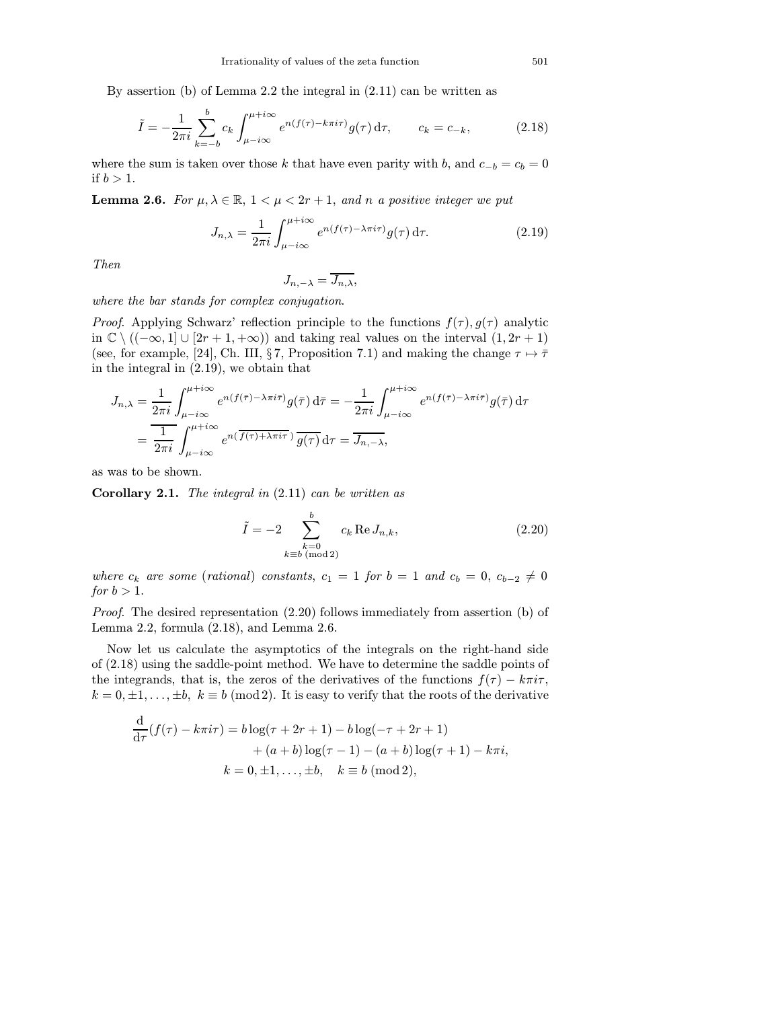By assertion (b) of Lemma 2.2 the integral in (2.11) can be written as

$$
\tilde{I} = -\frac{1}{2\pi i} \sum_{k=-b}^{b} c_k \int_{\mu - i\infty}^{\mu + i\infty} e^{n(f(\tau) - k\pi i\tau)} g(\tau) d\tau, \qquad c_k = c_{-k},
$$
\n(2.18)

where the sum is taken over those k that have even parity with b, and  $c_{-b} = c_b = 0$ if  $b > 1$ .

**Lemma 2.6.** For  $\mu, \lambda \in \mathbb{R}$ ,  $1 < \mu < 2r + 1$ , and n a positive integer we put

$$
J_{n,\lambda} = \frac{1}{2\pi i} \int_{\mu - i\infty}^{\mu + i\infty} e^{n(f(\tau) - \lambda \pi i \tau)} g(\tau) d\tau.
$$
 (2.19)

Then

$$
J_{n,-\lambda} = \overline{J_{n,\lambda}},
$$

where the bar stands for complex conjugation.

*Proof.* Applying Schwarz' reflection principle to the functions  $f(\tau)$ ,  $g(\tau)$  analytic in  $\mathbb{C} \setminus ((-\infty, 1] \cup [2r + 1, +\infty))$  and taking real values on the interval  $(1, 2r + 1)$ (see, for example, [\[24\],](#page-53-0) Ch. III, §7, Proposition 7.1) and making the change  $\tau \mapsto \bar{\tau}$ in the integral in (2.19), we obtain that

$$
J_{n,\lambda} = \frac{1}{2\pi i} \int_{\mu - i\infty}^{\mu + i\infty} e^{n(f(\bar{\tau}) - \lambda \pi i \bar{\tau})} g(\bar{\tau}) d\bar{\tau} = -\frac{1}{2\pi i} \int_{\mu - i\infty}^{\mu + i\infty} e^{n(f(\bar{\tau}) - \lambda \pi i \bar{\tau})} g(\bar{\tau}) d\tau
$$

$$
= \frac{1}{2\pi i} \int_{\mu - i\infty}^{\mu + i\infty} e^{n(\bar{f}(\tau) + \lambda \pi i \bar{\tau})} \overline{g(\tau)} d\tau = \overline{J_{n, -\lambda}},
$$

as was to be shown.

**Corollary 2.1.** The integral in  $(2.11)$  can be written as

$$
\tilde{I} = -2 \sum_{\substack{k=0 \ k \equiv b \pmod{2}}}^{b} c_k \operatorname{Re} J_{n,k},
$$
\n(2.20)

where  $c_k$  are some (rational) constants,  $c_1 = 1$  for  $b = 1$  and  $c_b = 0$ ,  $c_{b-2} \neq 0$ for  $b > 1$ .

Proof. The desired representation (2.20) follows immediately from assertion (b) of Lemma 2.2, formula (2.18), and Lemma 2.6.

Now let us calculate the asymptotics of the integrals on the right-hand side of (2.18) using the saddle-point method. We have to determine the saddle points of the integrands, that is, the zeros of the derivatives of the functions  $f(\tau) - k\pi i\tau$ ,  $k = 0, \pm 1, \ldots, \pm b, \; k \equiv b \; (\text{mod } 2)$ . It is easy to verify that the roots of the derivative

$$
\frac{d}{d\tau}(f(\tau) - k\pi i\tau) = b\log(\tau + 2r + 1) - b\log(-\tau + 2r + 1) \n+ (a + b)\log(\tau - 1) - (a + b)\log(\tau + 1) - k\pi i, \nk = 0, \pm 1, ..., \pm b, \quad k \equiv b \pmod{2},
$$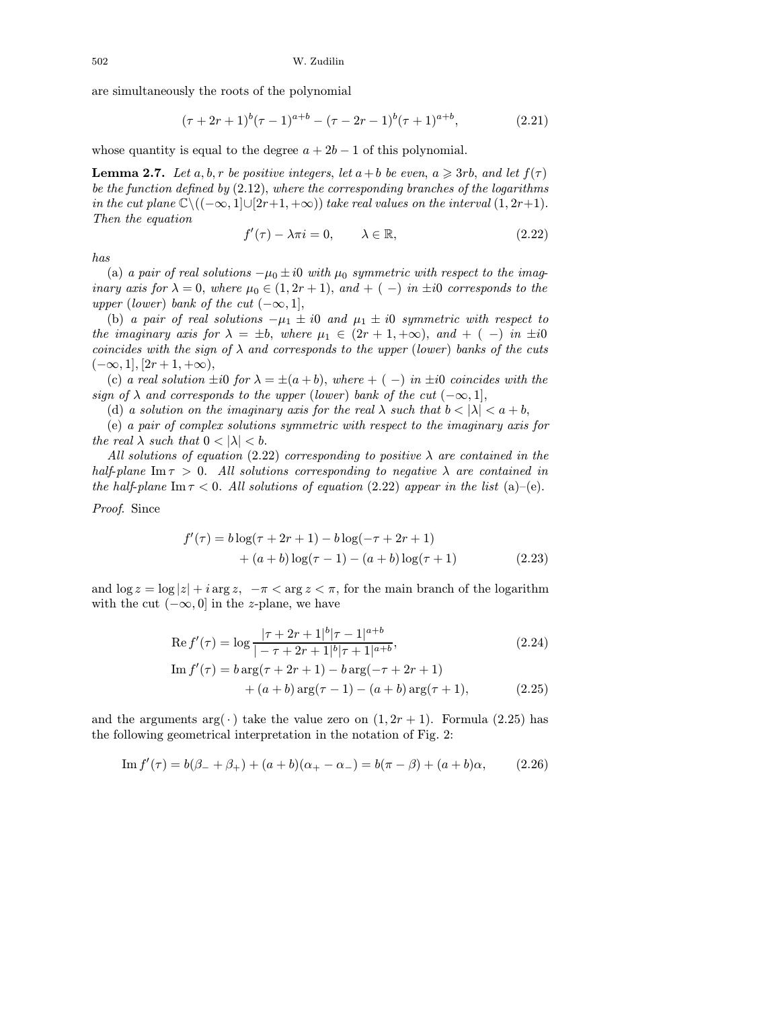are simultaneously the roots of the polynomial

$$
(\tau + 2r + 1)^{b}(\tau - 1)^{a+b} - (\tau - 2r - 1)^{b}(\tau + 1)^{a+b}, \qquad (2.21)
$$

whose quantity is equal to the degree  $a + 2b - 1$  of this polynomial.

**Lemma 2.7.** Let a, b, r be positive integers, let  $a + b$  be even,  $a \geqslant 3rb$ , and let  $f(\tau)$ be the function defined by  $(2.12)$ , where the corresponding branches of the logarithms in the cut plane  $\mathbb{C}\setminus ((-\infty, 1] \cup [2r+1, +\infty))$  take real values on the interval  $(1, 2r+1)$ . Then the equation

$$
f'(\tau) - \lambda \pi i = 0, \qquad \lambda \in \mathbb{R}, \tag{2.22}
$$

has

(a) a pair of real solutions  $-\mu_0 \pm i0$  with  $\mu_0$  symmetric with respect to the imaginary axis for  $\lambda = 0$ , where  $\mu_0 \in (1, 2r + 1)$ , and  $+ (-)$  in  $\pm i0$  corresponds to the upper (lower) bank of the cut  $(-\infty, 1]$ ,

(b) a pair of real solutions  $-\mu_1 \pm i0$  and  $\mu_1 \pm i0$  symmetric with respect to the imaginary axis for  $\lambda = \pm b$ , where  $\mu_1 \in (2r + 1, +\infty)$ , and  $+ (-)$  in  $\pm i0$ coincides with the sign of  $\lambda$  and corresponds to the upper (lower) banks of the cuts  $(-\infty, 1]$ ,  $[2r+1, +\infty)$ ,

(c) a real solution  $\pm i0$  for  $\lambda = \pm (a+b)$ , where  $+ (-)$  in  $\pm i0$  coincides with the sign of  $\lambda$  and corresponds to the upper (lower) bank of the cut  $(-\infty, 1]$ ,

(d) a solution on the imaginary axis for the real  $\lambda$  such that  $b < |\lambda| < a+b$ ,

(e) a pair of complex solutions symmetric with respect to the imaginary axis for the real  $\lambda$  such that  $0 < |\lambda| < b$ .

All solutions of equation (2.22) corresponding to positive  $\lambda$  are contained in the half-plane Im  $\tau > 0$ . All solutions corresponding to negative  $\lambda$  are contained in the half-plane Im  $\tau < 0$ . All solutions of equation (2.22) appear in the list (a)–(e).

Proof. Since

$$
f'(\tau) = b \log(\tau + 2r + 1) - b \log(-\tau + 2r + 1)
$$
  
+  $(a + b) \log(\tau - 1) - (a + b) \log(\tau + 1)$  (2.23)

and  $\log z = \log |z| + i \arg z$ ,  $-\pi < \arg z < \pi$ , for the main branch of the logarithm with the cut  $(-\infty, 0]$  in the z-plane, we have

Re 
$$
f'(\tau) = \log \frac{|\tau + 2r + 1|^b |\tau - 1|^{a+b}}{|-\tau + 2r + 1|^b |\tau + 1|^{a+b}},
$$
  
\nIm  $f'(\tau) = b \arg(\tau + 2r + 1) - b \arg(-\tau + 2r + 1)$  (2.24)

$$
+ (a + b) \arg(\tau - 1) - (a + b) \arg(\tau + 1), \tag{2.25}
$$

and the arguments  $arg(\cdot)$  take the value zero on  $(1, 2r + 1)$ . Formula (2.25) has the following geometrical interpretation in the notation of Fig. 2:

Im 
$$
f'(\tau) = b(\beta_- + \beta_+) + (a+b)(\alpha_+ - \alpha_-) = b(\pi - \beta) + (a+b)\alpha,
$$
 (2.26)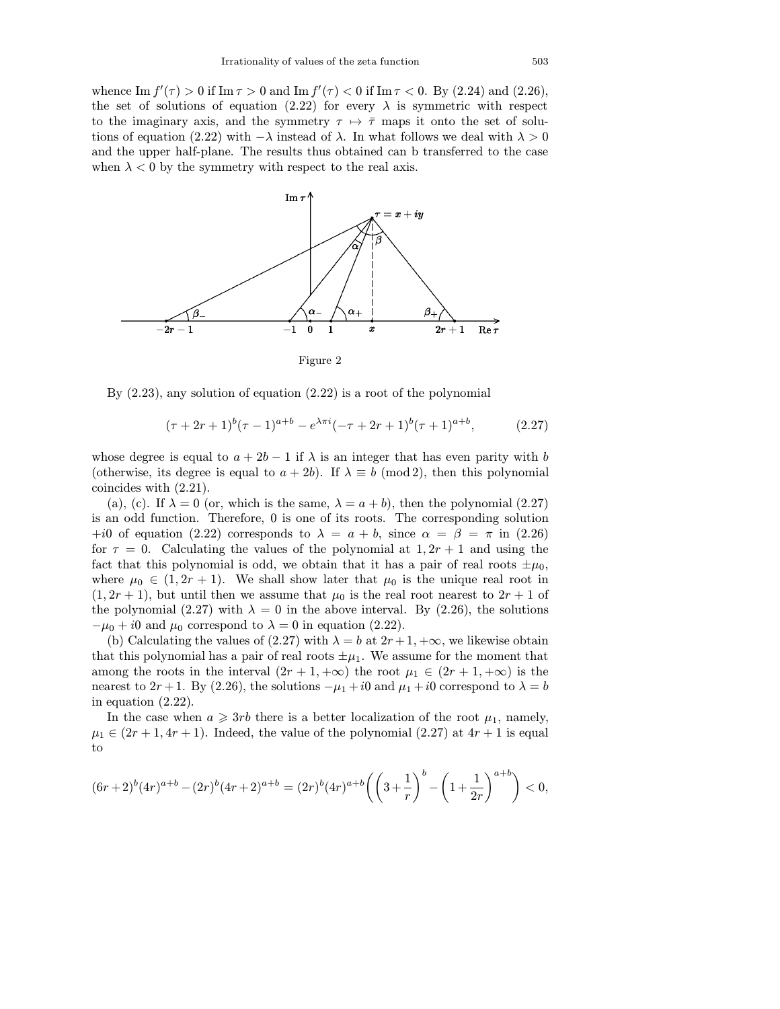whence  $\text{Im } f'(\tau) > 0$  if  $\text{Im } \tau > 0$  and  $\text{Im } f'(\tau) < 0$  if  $\text{Im } \tau < 0$ . By (2.24) and (2.26), the set of solutions of equation (2.22) for every  $\lambda$  is symmetric with respect to the imaginary axis, and the symmetry  $\tau \mapsto \overline{\tau}$  maps it onto the set of solutions of equation (2.22) with  $-\lambda$  instead of  $\lambda$ . In what follows we deal with  $\lambda > 0$ and the upper half-plane. The results thus obtained can b transferred to the case when  $\lambda < 0$  by the symmetry with respect to the real axis.



Figure 2

By (2.23), any solution of equation (2.22) is a root of the polynomial

$$
(\tau + 2r + 1)^{b}(\tau - 1)^{a+b} - e^{\lambda \pi i}(-\tau + 2r + 1)^{b}(\tau + 1)^{a+b}, \qquad (2.27)
$$

whose degree is equal to  $a + 2b - 1$  if  $\lambda$  is an integer that has even parity with b (otherwise, its degree is equal to  $a + 2b$ ). If  $\lambda \equiv b \pmod{2}$ , then this polynomial coincides with (2.21).

(a), (c). If  $\lambda = 0$  (or, which is the same,  $\lambda = a + b$ ), then the polynomial (2.27) is an odd function. Therefore, 0 is one of its roots. The corresponding solution +i0 of equation (2.22) corresponds to  $\lambda = a + b$ , since  $\alpha = \beta = \pi$  in (2.26) for  $\tau = 0$ . Calculating the values of the polynomial at  $1, 2r + 1$  and using the fact that this polynomial is odd, we obtain that it has a pair of real roots  $\pm \mu_0$ , where  $\mu_0 \in (1, 2r + 1)$ . We shall show later that  $\mu_0$  is the unique real root in  $(1, 2r + 1)$ , but until then we assume that  $\mu_0$  is the real root nearest to  $2r + 1$  of the polynomial (2.27) with  $\lambda = 0$  in the above interval. By (2.26), the solutions  $-\mu_0 + i0$  and  $\mu_0$  correspond to  $\lambda = 0$  in equation (2.22).

(b) Calculating the values of (2.27) with  $\lambda = b$  at  $2r + 1, +\infty$ , we likewise obtain that this polynomial has a pair of real roots  $\pm \mu_1$ . We assume for the moment that among the roots in the interval  $(2r + 1, +\infty)$  the root  $\mu_1 \in (2r + 1, +\infty)$  is the nearest to 2r + 1. By (2.26), the solutions  $-\mu_1 + i0$  and  $\mu_1 + i0$  correspond to  $\lambda = b$ in equation (2.22).

In the case when  $a \geqslant 3rb$  there is a better localization of the root  $\mu_1$ , namely,  $\mu_1 \in (2r+1, 4r+1)$ . Indeed, the value of the polynomial  $(2.27)$  at  $4r+1$  is equal to

$$
(6r+2)^b(4r)^{a+b} - (2r)^b(4r+2)^{a+b} = (2r)^b(4r)^{a+b}\left(\left(3+\frac{1}{r}\right)^b - \left(1+\frac{1}{2r}\right)^{a+b}\right) < 0,
$$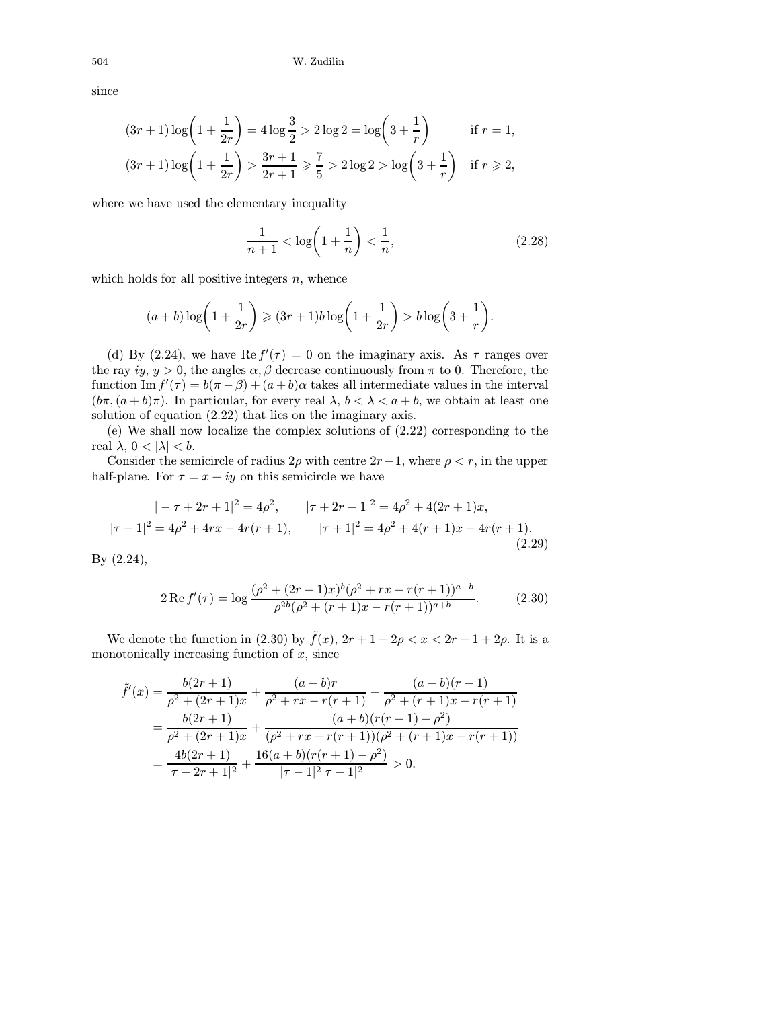since

$$
(3r+1)\log\left(1+\frac{1}{2r}\right) = 4\log\frac{3}{2} > 2\log 2 = \log\left(3+\frac{1}{r}\right) \quad \text{if } r=1,
$$
  

$$
(3r+1)\log\left(1+\frac{1}{2r}\right) > \frac{3r+1}{2r+1} \ge \frac{7}{5} > 2\log 2 > \log\left(3+\frac{1}{r}\right) \quad \text{if } r \ge 2,
$$

where we have used the elementary inequality

$$
\frac{1}{n+1} < \log\left(1 + \frac{1}{n}\right) < \frac{1}{n},\tag{2.28}
$$

which holds for all positive integers  $n$ , whence

$$
(a+b)\log\left(1+\frac{1}{2r}\right) \geqslant (3r+1)b\log\left(1+\frac{1}{2r}\right) > b\log\left(3+\frac{1}{r}\right).
$$

(d) By (2.24), we have Re  $f'(\tau) = 0$  on the imaginary axis. As  $\tau$  ranges over the ray iy,  $y > 0$ , the angles  $\alpha, \beta$  decrease continuously from  $\pi$  to 0. Therefore, the function  $\text{Im } f'(\tau) = b(\pi - \beta) + (a + b)\alpha$  takes all intermediate values in the interval  $(b\pi,(a+b)\pi)$ . In particular, for every real  $\lambda, b < \lambda < a+b$ , we obtain at least one solution of equation (2.22) that lies on the imaginary axis.

(e) We shall now localize the complex solutions of (2.22) corresponding to the real  $\lambda$ ,  $0 < |\lambda| < b$ .

Consider the semicircle of radius  $2\rho$  with centre  $2r+1$ , where  $\rho < r$ , in the upper half-plane. For  $\tau = x + iy$  on this semicircle we have

$$
|-\tau + 2r + 1|^2 = 4\rho^2, \qquad |\tau + 2r + 1|^2 = 4\rho^2 + 4(2r + 1)x,
$$
  

$$
|\tau - 1|^2 = 4\rho^2 + 4rx - 4r(r + 1), \qquad |\tau + 1|^2 = 4\rho^2 + 4(r + 1)x - 4r(r + 1).
$$
  
(2.29)

By (2.24),

$$
2\operatorname{Re} f'(\tau) = \log \frac{(\rho^2 + (2r+1)x)^b (\rho^2 + rx - r(r+1))^{a+b}}{\rho^{2b} (\rho^2 + (r+1)x - r(r+1))^{a+b}}.
$$
 (2.30)

We denote the function in (2.30) by  $\tilde{f}(x)$ ,  $2r + 1 - 2\rho < x < 2r + 1 + 2\rho$ . It is a monotonically increasing function of  $x$ , since

$$
\tilde{f}'(x) = \frac{b(2r+1)}{\rho^2 + (2r+1)x} + \frac{(a+b)r}{\rho^2 + rx - r(r+1)} - \frac{(a+b)(r+1)}{\rho^2 + (r+1)x - r(r+1)}
$$
\n
$$
= \frac{b(2r+1)}{\rho^2 + (2r+1)x} + \frac{(a+b)(r(r+1) - \rho^2)}{(\rho^2 + rx - r(r+1))(\rho^2 + (r+1)x - r(r+1))}
$$
\n
$$
= \frac{4b(2r+1)}{|\tau + 2r + 1|^2} + \frac{16(a+b)(r(r+1) - \rho^2)}{|\tau - 1|^2|\tau + 1|^2} > 0.
$$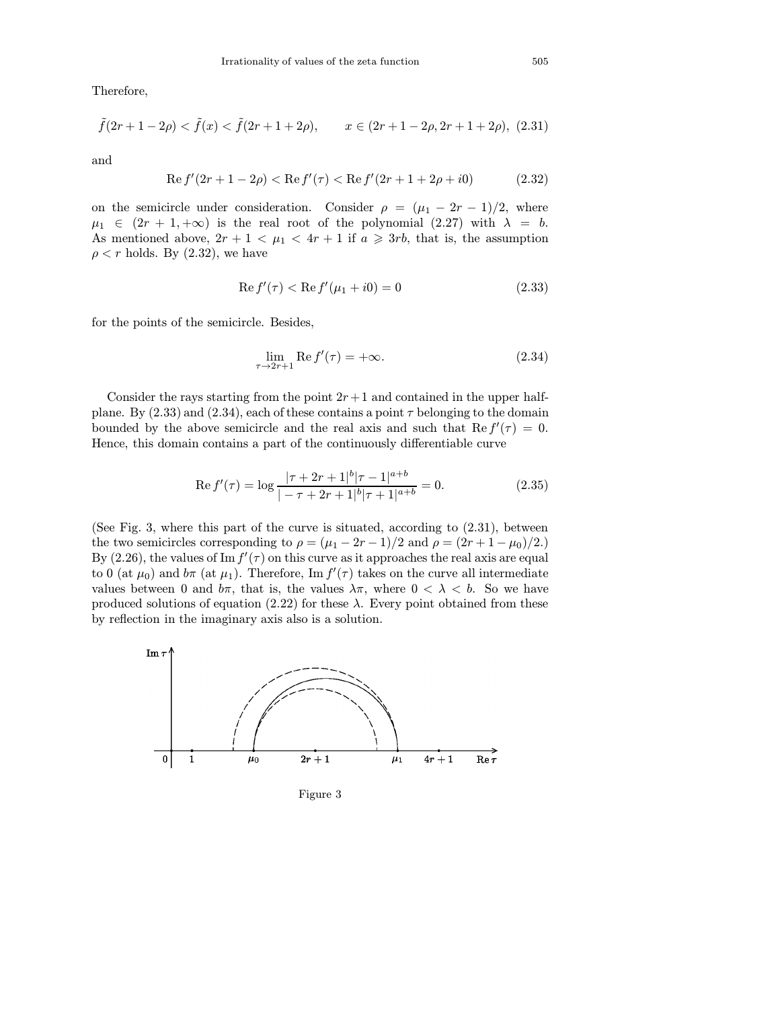Therefore,

$$
\tilde{f}(2r+1-2\rho) < \tilde{f}(x) < \tilde{f}(2r+1+2\rho), \qquad x \in (2r+1-2\rho, 2r+1+2\rho), \tag{2.31}
$$

and

$$
Re f'(2r + 1 - 2\rho) < Re f'(\tau) < Re f'(2r + 1 + 2\rho + i0) \tag{2.32}
$$

on the semicircle under consideration. Consider  $\rho = (\mu_1 - 2r - 1)/2$ , where  $\mu_1 \in (2r + 1, +\infty)$  is the real root of the polynomial  $(2.27)$  with  $\lambda = b$ . As mentioned above,  $2r + 1 < \mu_1 < 4r + 1$  if  $a \geqslant 3rb$ , that is, the assumption  $\rho < r$  holds. By (2.32), we have

$$
Re f'(\tau) < Re f'(\mu_1 + i0) = 0
$$
\n(2.33)

for the points of the semicircle. Besides,

$$
\lim_{\tau \to 2r+1} \operatorname{Re} f'(\tau) = +\infty. \tag{2.34}
$$

Consider the rays starting from the point  $2r+1$  and contained in the upper halfplane. By  $(2.33)$  and  $(2.34)$ , each of these contains a point  $\tau$  belonging to the domain bounded by the above semicircle and the real axis and such that  $\text{Re } f'(\tau) = 0$ . Hence, this domain contains a part of the continuously differentiable curve

$$
\operatorname{Re} f'(\tau) = \log \frac{|\tau + 2r + 1|^b |\tau - 1|^{a+b}}{|-\tau + 2r + 1|^b |\tau + 1|^{a+b}} = 0. \tag{2.35}
$$

(See Fig. 3, where this part of the curve is situated, according to (2.31), between the two semicircles corresponding to  $\rho = (\mu_1 - 2r - 1)/2$  and  $\rho = (2r + 1 - \mu_0)/2$ . By (2.26), the values of  $\text{Im } f'(\tau)$  on this curve as it approaches the real axis are equal to 0 (at  $\mu_0$ ) and  $b\pi$  (at  $\mu_1$ ). Therefore, Im  $f'(\tau)$  takes on the curve all intermediate values between 0 and  $b\pi$ , that is, the values  $\lambda\pi$ , where  $0 < \lambda < b$ . So we have produced solutions of equation (2.22) for these  $\lambda$ . Every point obtained from these by reflection in the imaginary axis also is a solution.



Figure 3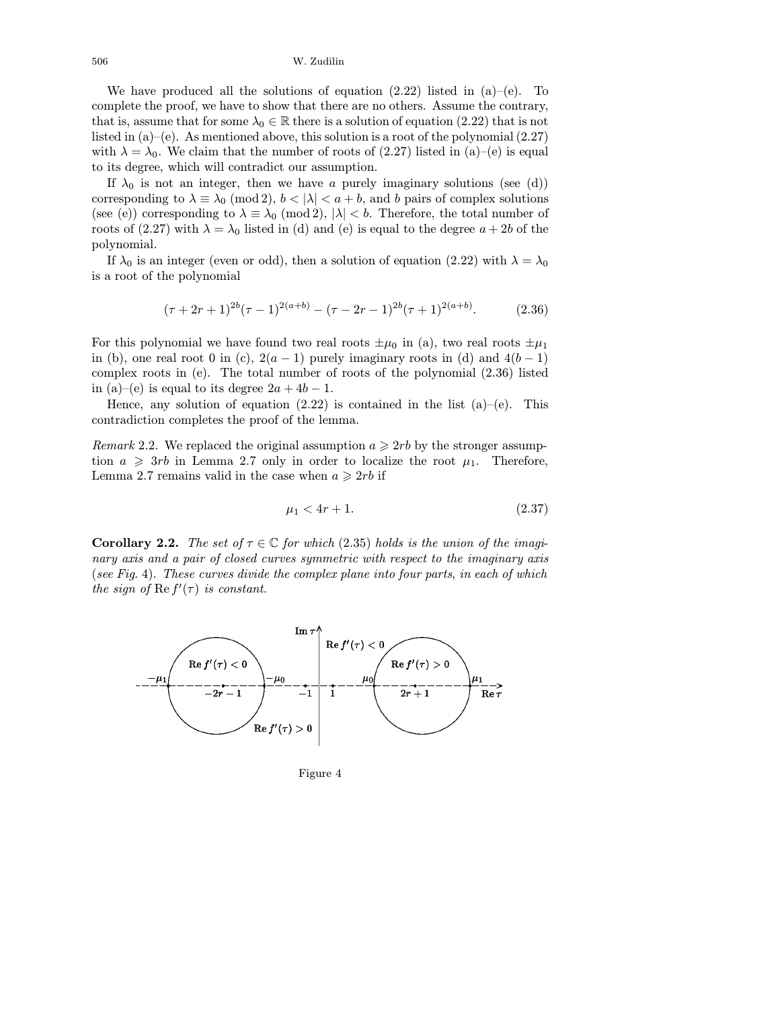We have produced all the solutions of equation  $(2.22)$  listed in  $(a)$ –(e). To complete the proof, we have to show that there are no others. Assume the contrary, that is, assume that for some  $\lambda_0 \in \mathbb{R}$  there is a solution of equation (2.22) that is not listed in  $(a)$ –(e). As mentioned above, this solution is a root of the polynomial (2.27) with  $\lambda = \lambda_0$ . We claim that the number of roots of (2.27) listed in (a)–(e) is equal to its degree, which will contradict our assumption.

If  $\lambda_0$  is not an integer, then we have a purely imaginary solutions (see (d)) corresponding to  $\lambda \equiv \lambda_0 \pmod{2}$ ,  $b < |\lambda| < a + b$ , and b pairs of complex solutions (see (e)) corresponding to  $\lambda \equiv \lambda_0 \pmod{2}$ ,  $|\lambda| < b$ . Therefore, the total number of roots of (2.27) with  $\lambda = \lambda_0$  listed in (d) and (e) is equal to the degree  $a + 2b$  of the polynomial.

If  $\lambda_0$  is an integer (even or odd), then a solution of equation (2.22) with  $\lambda = \lambda_0$ is a root of the polynomial

$$
(\tau + 2r + 1)^{2b}(\tau - 1)^{2(a+b)} - (\tau - 2r - 1)^{2b}(\tau + 1)^{2(a+b)}.
$$
 (2.36)

For this polynomial we have found two real roots  $\pm \mu_0$  in (a), two real roots  $\pm \mu_1$ in (b), one real root 0 in (c),  $2(a-1)$  purely imaginary roots in (d) and  $4(b-1)$ complex roots in (e). The total number of roots of the polynomial (2.36) listed in (a)–(e) is equal to its degree  $2a + 4b - 1$ .

Hence, any solution of equation  $(2.22)$  is contained in the list  $(a)$ – $(e)$ . This contradiction completes the proof of the lemma.

Remark 2.2. We replaced the original assumption  $a \geqslant 2rb$  by the stronger assumption  $a \geqslant 3rb$  in Lemma 2.7 only in order to localize the root  $\mu_1$ . Therefore, Lemma 2.7 remains valid in the case when  $a \geqslant 2rb$  if

$$
\mu_1 < 4r + 1. \tag{2.37}
$$

**Corollary 2.2.** The set of  $\tau \in \mathbb{C}$  for which (2.35) holds is the union of the imaginary axis and a pair of closed curves symmetric with respect to the imaginary axis (see Fig. 4). These curves divide the complex plane into four parts, in each of which the sign of  $\text{Re } f'(\tau)$  is constant.



Figure 4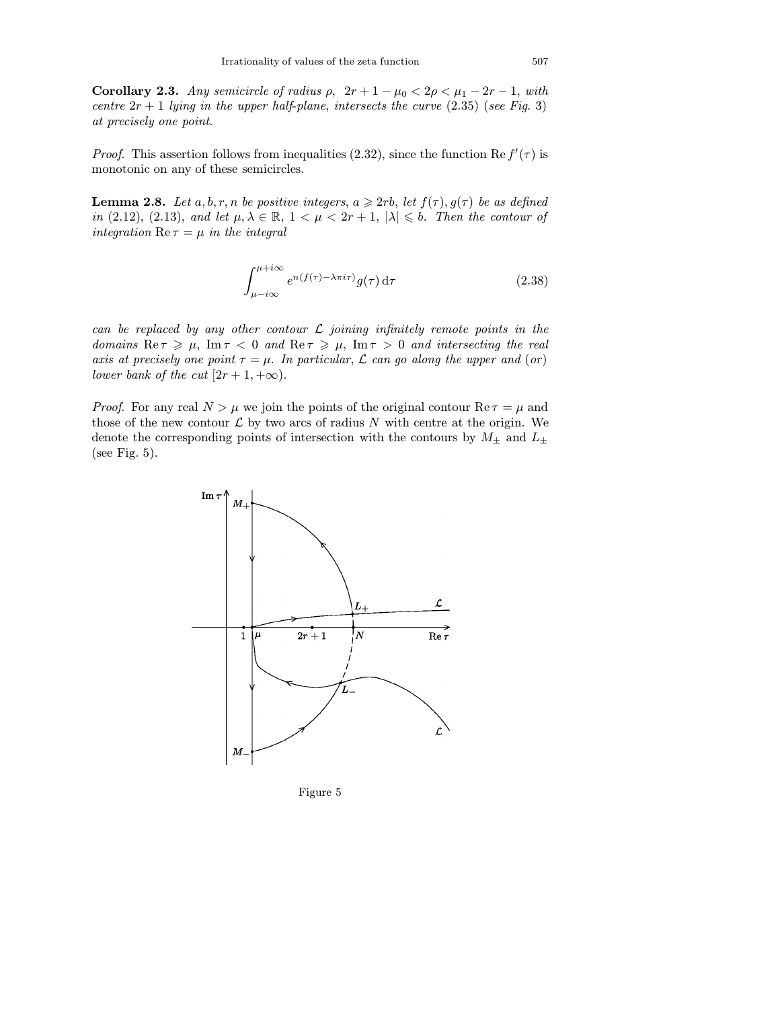Corollary 2.3. Any semicircle of radius  $\rho$ ,  $2r + 1 - \mu_0 < 2\rho < \mu_1 - 2r - 1$ , with centre  $2r + 1$  lying in the upper half-plane, intersects the curve (2.35) (see Fig. 3) at precisely one point.

*Proof.* This assertion follows from inequalities (2.32), since the function Re  $f'(\tau)$  is monotonic on any of these semicircles.

**Lemma 2.8.** Let  $a, b, r, n$  be positive integers,  $a \geq 2rb$ , let  $f(\tau), g(\tau)$  be as defined in (2.12), (2.13), and let  $\mu, \lambda \in \mathbb{R}, 1 < \mu < 2r + 1, |\lambda| \leqslant b$ . Then the contour of integration  $\text{Re}\,\tau = \mu$  in the integral

$$
\int_{\mu - i\infty}^{\mu + i\infty} e^{n(f(\tau) - \lambda \pi i\tau)} g(\tau) \, \mathrm{d}\tau \tag{2.38}
$$

can be replaced by any other contour  $\mathcal L$  joining infinitely remote points in the domains  $\text{Re}\,\tau \geqslant \mu$ ,  $\text{Im}\,\tau < 0$  and  $\text{Re}\,\tau \geqslant \mu$ ,  $\text{Im}\,\tau > 0$  and intersecting the real axis at precisely one point  $\tau = \mu$ . In particular,  $\mathcal L$  can go along the upper and (or) lower bank of the cut  $[2r+1, +\infty)$ .

*Proof.* For any real  $N > \mu$  we join the points of the original contour  $\text{Re } \tau = \mu$  and those of the new contour  $\mathcal L$  by two arcs of radius N with centre at the origin. We denote the corresponding points of intersection with the contours by  $M_{\pm}$  and  $L_{\pm}$ (see Fig. 5).



Figure 5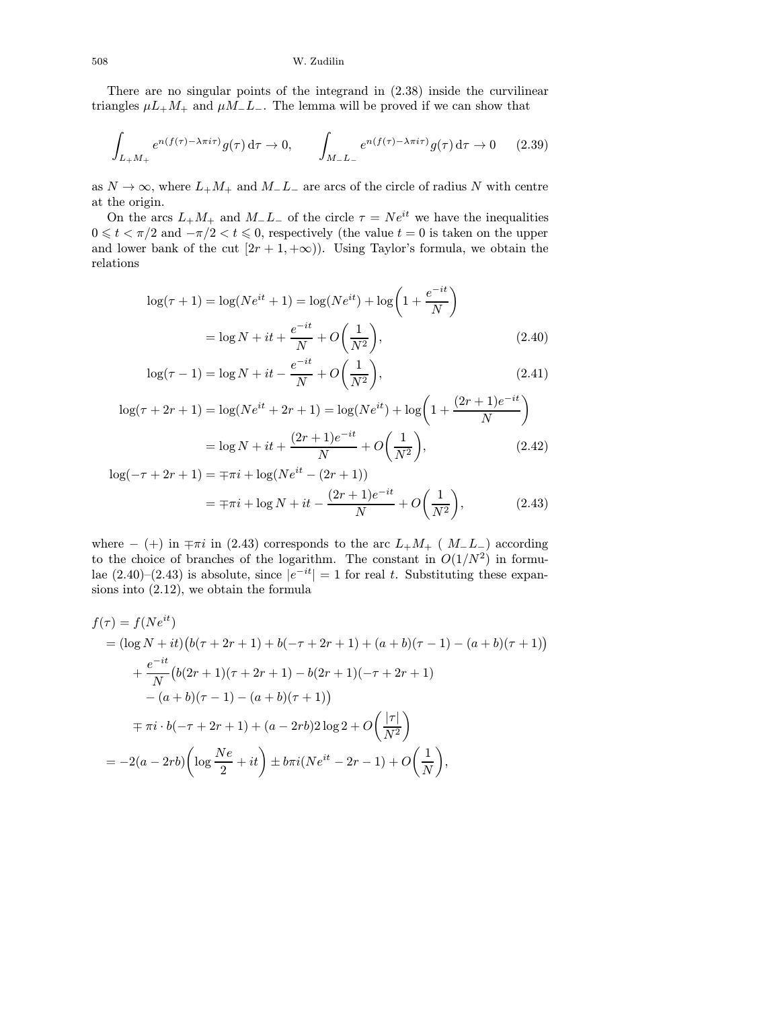There are no singular points of the integrand in (2.38) inside the curvilinear triangles  $\mu L_+M_+$  and  $\mu M_-L_-$ . The lemma will be proved if we can show that

$$
\int_{L+M+} e^{n(f(\tau)-\lambda \pi i \tau)} g(\tau) d\tau \to 0, \qquad \int_{M-L-} e^{n(f(\tau)-\lambda \pi i \tau)} g(\tau) d\tau \to 0 \qquad (2.39)
$$

as  $N \to \infty$ , where  $L_+M_+$  and  $M_-L_-$  are arcs of the circle of radius N with centre at the origin.

On the arcs  $L_+M_+$  and  $M_-L_-$  of the circle  $\tau = Ne^{it}$  we have the inequalities  $0 \leqslant t < \pi/2$  and  $-\pi/2 < t \leqslant 0$ , respectively (the value  $t = 0$  is taken on the upper and lower bank of the cut  $[2r + 1, +\infty)$ . Using Taylor's formula, we obtain the relations

$$
\log(\tau + 1) = \log(Ne^{it} + 1) = \log(Ne^{it}) + \log\left(1 + \frac{e^{-it}}{N}\right)
$$

$$
= \log N + it + \frac{e^{-it}}{N} + O\left(\frac{1}{N^2}\right),\tag{2.40}
$$

$$
\log(\tau - 1) = \log N + it - \frac{e^{-it}}{N} + O\left(\frac{1}{N^2}\right),\tag{2.41}
$$

$$
\log(\tau + 2r + 1) = \log(Ne^{it} + 2r + 1) = \log(Ne^{it}) + \log\left(1 + \frac{(2r+1)e^{-it}}{N}\right)
$$

$$
= \log N + it + \frac{(2r+1)e^{-it}}{N} + O\left(\frac{1}{N^2}\right),\tag{2.42}
$$

$$
\log(-\tau + 2r + 1) = \mp \pi i + \log(N e^{it} - (2r + 1))
$$

$$
= \mp \pi i + \log N + it - \frac{(2r + 1)e^{-it}}{N} + O\left(\frac{1}{N^2}\right), \tag{2.43}
$$

where  $-$  (+) in  $\mp \pi i$  in (2.43) corresponds to the arc  $L_+M_+$  (  $M_-L_-$ ) according to the choice of branches of the logarithm. The constant in  $O(1/N^2)$  in formulae (2.40)–(2.43) is absolute, since  $|e^{-it}| = 1$  for real t. Substituting these expansions into (2.12), we obtain the formula

$$
f(\tau) = f(Ne^{it})
$$
  
=  $(\log N + it)(b(\tau + 2r + 1) + b(-\tau + 2r + 1) + (a + b)(\tau - 1) - (a + b)(\tau + 1))$   
+  $\frac{e^{-it}}{N}(b(2r + 1)(\tau + 2r + 1) - b(2r + 1)(-\tau + 2r + 1)$   
-  $(a + b)(\tau - 1) - (a + b)(\tau + 1)$   
=  $\tau i \cdot b(-\tau + 2r + 1) + (a - 2rb)2 \log 2 + O\left(\frac{|\tau|}{N^2}\right)$   
=  $-2(a - 2rb)\left(\log \frac{Ne}{2} + it\right) \pm b\pi i(Ne^{it} - 2r - 1) + O\left(\frac{1}{N}\right),$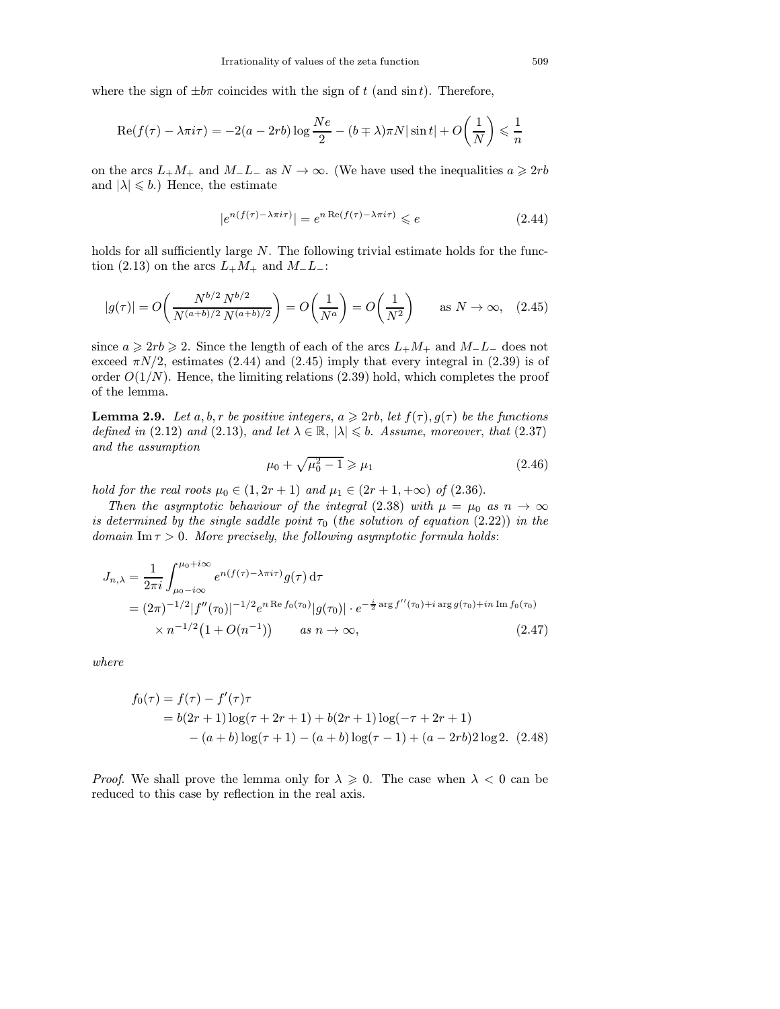where the sign of  $\pm b\pi$  coincides with the sign of t (and sin t). Therefore,

$$
\operatorname{Re}(f(\tau) - \lambda \pi i \tau) = -2(a - 2rb) \log \frac{Ne}{2} - (b \mp \lambda)\pi N |\sin t| + O\left(\frac{1}{N}\right) \leq \frac{1}{n}
$$

on the arcs  $L_+M_+$  and  $M_-L_-$  as  $N \to \infty$ . (We have used the inequalities  $a \geqslant 2rb$ and  $|\lambda| \leqslant b$ .) Hence, the estimate

$$
|e^{n(f(\tau) - \lambda \pi i \tau)}| = e^{n \operatorname{Re}(f(\tau) - \lambda \pi i \tau)} \leqslant e \tag{2.44}
$$

holds for all sufficiently large N. The following trivial estimate holds for the function (2.13) on the arcs  $L_+M_+$  and  $M_-L_-$ :

$$
|g(\tau)| = O\left(\frac{N^{b/2} N^{b/2}}{N^{(a+b)/2} N^{(a+b)/2}}\right) = O\left(\frac{1}{N^a}\right) = O\left(\frac{1}{N^2}\right) \quad \text{as } N \to \infty,
$$
 (2.45)

since  $a \geqslant 2rb \geqslant 2$ . Since the length of each of the arcs  $L_+M_+$  and  $M_-L_-$  does not exceed  $\pi N/2$ , estimates (2.44) and (2.45) imply that every integral in (2.39) is of order  $O(1/N)$ . Hence, the limiting relations (2.39) hold, which completes the proof of the lemma.

**Lemma 2.9.** Let a, b, r be positive integers,  $a \geqslant 2rb$ , let  $f(\tau)$ ,  $g(\tau)$  be the functions defined in (2.12) and (2.13), and let  $\lambda \in \mathbb{R}$ ,  $|\lambda| \leq b$ . Assume, moreover, that (2.37) and the assumption

$$
\mu_0 + \sqrt{\mu_0^2 - 1} \ge \mu_1 \tag{2.46}
$$

hold for the real roots  $\mu_0 \in (1, 2r + 1)$  and  $\mu_1 \in (2r + 1, +\infty)$  of  $(2.36)$ .

Then the asymptotic behaviour of the integral (2.38) with  $\mu = \mu_0$  as  $n \to \infty$ is determined by the single saddle point  $\tau_0$  (the solution of equation (2.22)) in the domain Im  $\tau > 0$ . More precisely, the following asymptotic formula holds:

$$
J_{n,\lambda} = \frac{1}{2\pi i} \int_{\mu_0 - i\infty}^{\mu_0 + i\infty} e^{n(f(\tau) - \lambda \pi i\tau)} g(\tau) d\tau
$$
  
=  $(2\pi)^{-1/2} |f''(\tau_0)|^{-1/2} e^{n \operatorname{Re} f_0(\tau_0)} |g(\tau_0)| \cdot e^{-\frac{i}{2} \operatorname{arg} f''(\tau_0) + i \operatorname{arg} g(\tau_0) + i n \operatorname{Im} f_0(\tau_0)}$   
 $\times n^{-1/2} (1 + O(n^{-1})) \qquad \text{as } n \to \infty,$  (2.47)

where

$$
f_0(\tau) = f(\tau) - f'(\tau)\tau
$$
  
= b(2r + 1) log(\tau + 2r + 1) + b(2r + 1) log(-\tau + 2r + 1)  
-(a + b) log(\tau + 1) - (a + b) log(\tau - 1) + (a - 2rb)2 log 2. (2.48)

*Proof.* We shall prove the lemma only for  $\lambda \geq 0$ . The case when  $\lambda < 0$  can be reduced to this case by reflection in the real axis.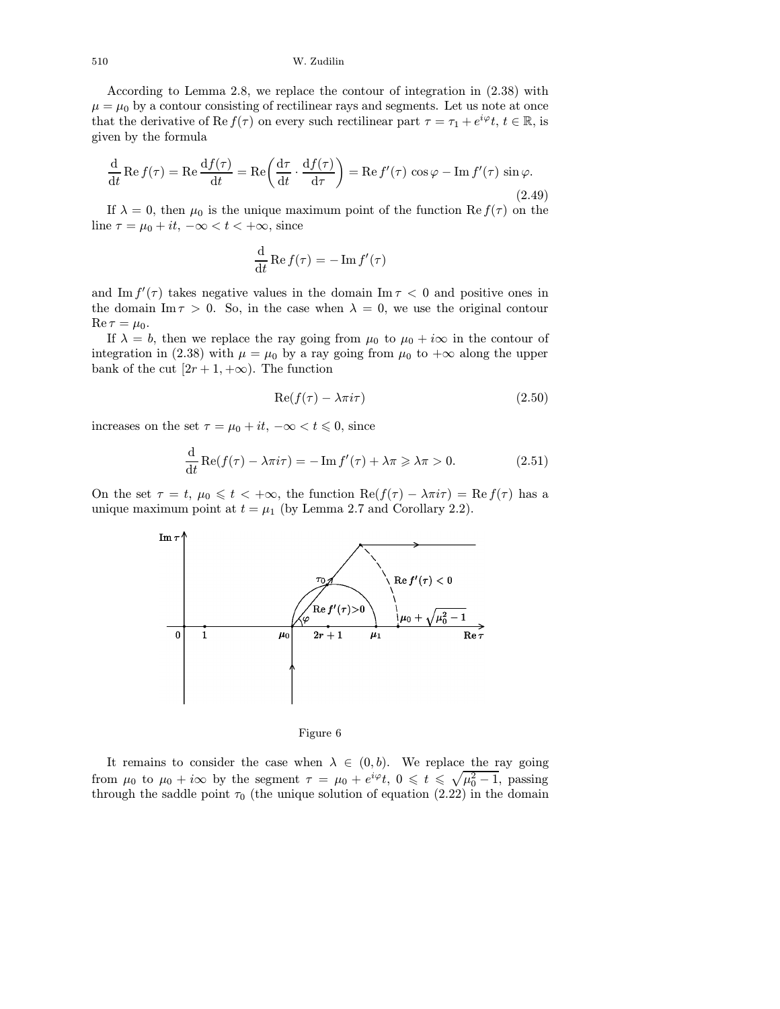According to Lemma 2.8, we replace the contour of integration in (2.38) with  $\mu = \mu_0$  by a contour consisting of rectilinear rays and segments. Let us note at once that the derivative of Re  $f(\tau)$  on every such rectilinear part  $\tau = \tau_1 + e^{i\varphi}t$ ,  $t \in \mathbb{R}$ , is given by the formula

$$
\frac{d}{dt} \operatorname{Re} f(\tau) = \operatorname{Re} \frac{df(\tau)}{dt} = \operatorname{Re} \left( \frac{d\tau}{dt} \cdot \frac{df(\tau)}{d\tau} \right) = \operatorname{Re} f'(\tau) \cos \varphi - \operatorname{Im} f'(\tau) \sin \varphi.
$$
\n(2.49)

If  $\lambda = 0$ , then  $\mu_0$  is the unique maximum point of the function Re  $f(\tau)$  on the line  $\tau = \mu_0 + it$ ,  $-\infty < t < +\infty$ , since

$$
\frac{\mathrm{d}}{\mathrm{d}t} \operatorname{Re} f(\tau) = -\operatorname{Im} f'(\tau)
$$

and Im  $f'(\tau)$  takes negative values in the domain Im  $\tau < 0$  and positive ones in the domain Im  $\tau > 0$ . So, in the case when  $\lambda = 0$ , we use the original contour  $\operatorname{Re} \tau = \mu_0.$ 

If  $\lambda = b$ , then we replace the ray going from  $\mu_0$  to  $\mu_0 + i\infty$  in the contour of integration in (2.38) with  $\mu = \mu_0$  by a ray going from  $\mu_0$  to  $+\infty$  along the upper bank of the cut  $[2r + 1, +\infty)$ . The function

$$
Re(f(\tau) - \lambda \pi i \tau) \tag{2.50}
$$

increases on the set  $\tau = \mu_0 + it$ ,  $-\infty < t \leq 0$ , since

$$
\frac{\mathrm{d}}{\mathrm{d}t}\operatorname{Re}(f(\tau) - \lambda \pi i \tau) = -\operatorname{Im} f'(\tau) + \lambda \pi \geqslant \lambda \pi > 0. \tag{2.51}
$$

On the set  $\tau = t$ ,  $\mu_0 \leq t < +\infty$ , the function  $\text{Re}(f(\tau) - \lambda \pi i \tau) = \text{Re}(f(\tau))$  has a unique maximum point at  $t = \mu_1$  (by Lemma 2.7 and Corollary 2.2).



Figure 6

It remains to consider the case when  $\lambda \in (0, b)$ . We replace the ray going from  $\mu_0$  to  $\mu_0 + i\infty$  by the segment  $\tau = \mu_0 + e^{i\varphi}t$ ,  $0 \leqslant t \leqslant \sqrt{\mu_0^2 - 1}$ , passing through the saddle point  $\tau_0$  (the unique solution of equation (2.22) in the domain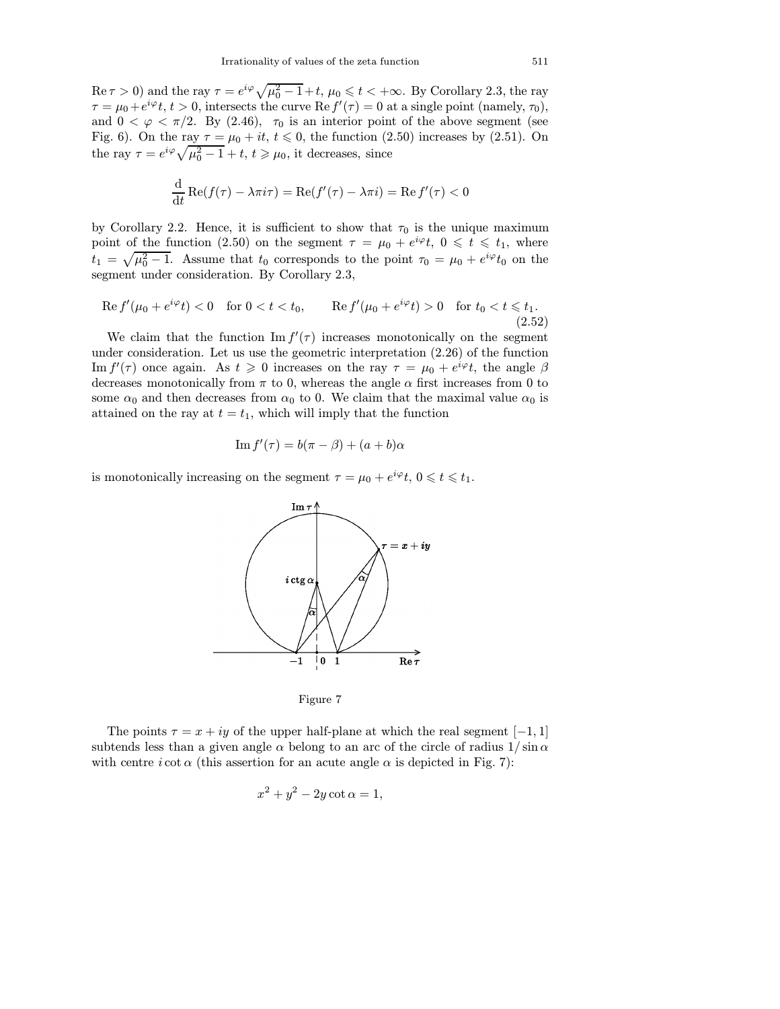$\text{Re}\,\tau > 0$ ) and the ray  $\tau = e^{i\varphi}\sqrt{\mu_0^2 - 1} + t$ ,  $\mu_0 \leqslant t < +\infty$ . By Corollary 2.3, the ray  $\tau = \mu_0 + e^{i\varphi} t$ ,  $t > 0$ , intersects the curve Re  $f'(\tau) = 0$  at a single point (namely,  $\tau_0$ ), and  $0 < \varphi < \pi/2$ . By (2.46),  $\tau_0$  is an interior point of the above segment (see Fig. 6). On the ray  $\tau = \mu_0 + it$ ,  $t \le 0$ , the function (2.50) increases by (2.51). On the ray  $\tau = e^{i\varphi} \sqrt{\mu_0^2 - 1} + t$ ,  $t \ge \mu_0$ , it decreases, since

$$
\frac{\mathrm{d}}{\mathrm{d}t}\operatorname{Re}(f(\tau)-\lambda\pi i\tau)=\operatorname{Re}(f'(\tau)-\lambda\pi i)=\operatorname{Re}f'(\tau)<0
$$

by Corollary 2.2. Hence, it is sufficient to show that  $\tau_0$  is the unique maximum point of the function (2.50) on the segment  $\tau = \mu_0 + e^{i\varphi}t$ ,  $0 \leq t \leq t_1$ , where  $t_1 = \sqrt{\mu_0^2 - 1}$ . Assume that  $t_0$  corresponds to the point  $\tau_0 = \mu_0 + e^{i\varphi} t_0$  on the segment under consideration. By Corollary 2.3,

$$
\operatorname{Re} f'(\mu_0 + e^{i\varphi} t) < 0 \quad \text{for } 0 < t < t_0, \qquad \operatorname{Re} f'(\mu_0 + e^{i\varphi} t) > 0 \quad \text{for } t_0 < t \leq t_1. \tag{2.52}
$$

We claim that the function  $\text{Im } f'(\tau)$  increases monotonically on the segment under consideration. Let us use the geometric interpretation (2.26) of the function Im  $f'(\tau)$  once again. As  $t \geq 0$  increases on the ray  $\tau = \mu_0 + e^{i\varphi}t$ , the angle  $\beta$ decreases monotonically from  $\pi$  to 0, whereas the angle  $\alpha$  first increases from 0 to some  $\alpha_0$  and then decreases from  $\alpha_0$  to 0. We claim that the maximal value  $\alpha_0$  is attained on the ray at  $t = t_1$ , which will imply that the function

$$
\operatorname{Im} f'(\tau) = b(\pi - \beta) + (a + b)\alpha
$$

is monotonically increasing on the segment  $\tau = \mu_0 + e^{i\varphi} t$ ,  $0 \leqslant t \leqslant t_1$ .



Figure 7

The points  $\tau = x + iy$  of the upper half-plane at which the real segment [−1, 1] subtends less than a given angle  $\alpha$  belong to an arc of the circle of radius  $1/\sin \alpha$ with centre  $i \cot \alpha$  (this assertion for an acute angle  $\alpha$  is depicted in Fig. 7):

$$
x^2 + y^2 - 2y \cot \alpha = 1,
$$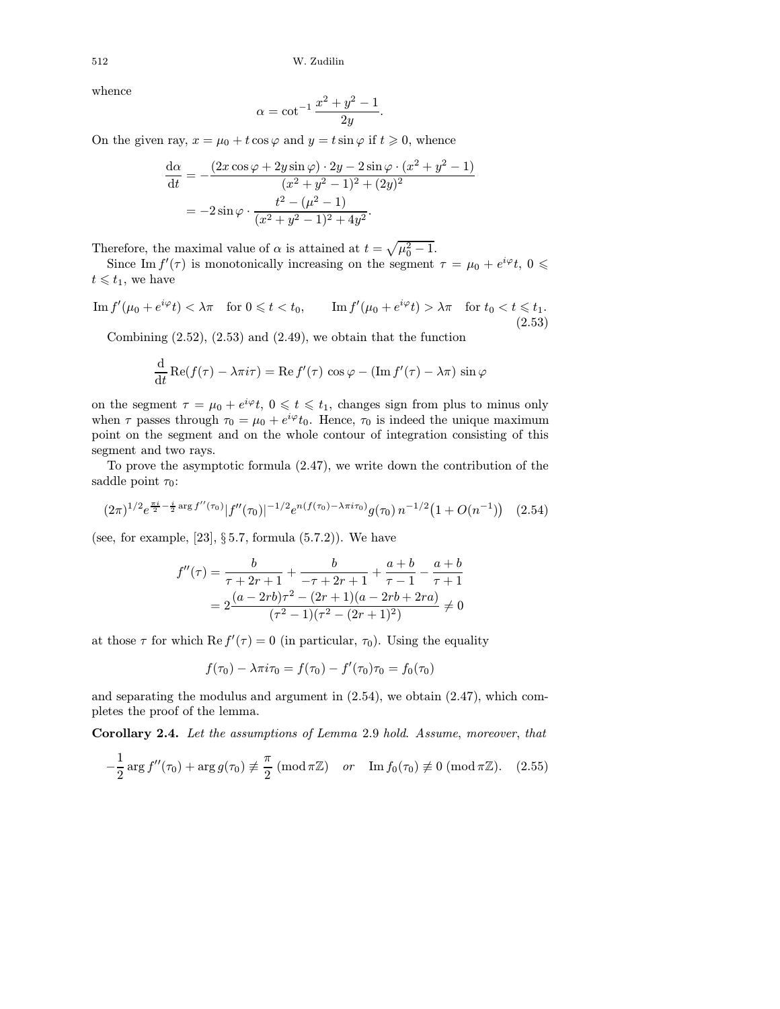whence

$$
\alpha = \cot^{-1} \frac{x^2 + y^2 - 1}{2y}.
$$

On the given ray,  $x = \mu_0 + t \cos \varphi$  and  $y = t \sin \varphi$  if  $t \ge 0$ , whence

$$
\frac{d\alpha}{dt} = -\frac{(2x\cos\varphi + 2y\sin\varphi) \cdot 2y - 2\sin\varphi \cdot (x^2 + y^2 - 1)}{(x^2 + y^2 - 1)^2 + (2y)^2}
$$

$$
= -2\sin\varphi \cdot \frac{t^2 - (\mu^2 - 1)}{(x^2 + y^2 - 1)^2 + 4y^2}.
$$

Therefore, the maximal value of  $\alpha$  is attained at  $t = \sqrt{\mu_0^2 - 1}$ .

Since Im  $f'(\tau)$  is monotonically increasing on the segment  $\tau = \mu_0 + e^{i\varphi}t$ ,  $0 \leq$  $t \leq t_1$ , we have

 $\text{Im } f'(\mu_0 + e^{i\varphi}t) < \lambda \pi \quad \text{for } 0 \leqslant t < t_0, \qquad \text{Im } f'(\mu_0 + e^{i\varphi}t) > \lambda \pi \quad \text{for } t_0 < t \leqslant t_1.$ (2.53)

Combining  $(2.52)$ ,  $(2.53)$  and  $(2.49)$ , we obtain that the function

$$
\frac{\mathrm{d}}{\mathrm{d}t}\mathrm{Re}(f(\tau)-\lambda\pi i\tau)=\mathrm{Re}\,f'(\tau)\,\cos\varphi-(\mathrm{Im}\,f'(\tau)-\lambda\pi)\,\sin\varphi
$$

on the segment  $\tau = \mu_0 + e^{i\varphi} t$ ,  $0 \leqslant t \leqslant t_1$ , changes sign from plus to minus only when  $\tau$  passes through  $\tau_0 = \mu_0 + e^{i\varphi} t_0$ . Hence,  $\tau_0$  is indeed the unique maximum point on the segment and on the whole contour of integration consisting of this segment and two rays.

To prove the asymptotic formula (2.47), we write down the contribution of the saddle point  $\tau_0$ :

$$
(2\pi)^{1/2}e^{\frac{\pi i}{2} - \frac{i}{2}\arg f''(\tau_0)}|f''(\tau_0)|^{-1/2}e^{n(f(\tau_0) - \lambda\pi i\tau_0)}g(\tau_0)\,n^{-1/2}\big(1 + O(n^{-1})\big) \tag{2.54}
$$

(see, for example,  $[23]$ ,  $\S 5.7$ , formula  $(5.7.2)$ ). We have

$$
f''(\tau) = \frac{b}{\tau + 2r + 1} + \frac{b}{-\tau + 2r + 1} + \frac{a+b}{\tau - 1} - \frac{a+b}{\tau + 1}
$$
  
= 
$$
2 \frac{(a - 2rb)\tau^2 - (2r + 1)(a - 2rb + 2ra)}{(\tau^2 - 1)(\tau^2 - (2r + 1)^2)} \neq 0
$$

at those  $\tau$  for which  $\text{Re } f'(\tau) = 0$  (in particular,  $\tau_0$ ). Using the equality

$$
f(\tau_0) - \lambda \pi i \tau_0 = f(\tau_0) - f'(\tau_0) \tau_0 = f_0(\tau_0)
$$

and separating the modulus and argument in  $(2.54)$ , we obtain  $(2.47)$ , which completes the proof of the lemma.

Corollary 2.4. Let the assumptions of Lemma 2.9 hold. Assume, moreover, that

$$
-\frac{1}{2}\arg f''(\tau_0) + \arg g(\tau_0) \not\equiv \frac{\pi}{2} \ (\operatorname{mod} \pi \mathbb{Z}) \quad or \quad \operatorname{Im} f_0(\tau_0) \not\equiv 0 \ (\operatorname{mod} \pi \mathbb{Z}). \tag{2.55}
$$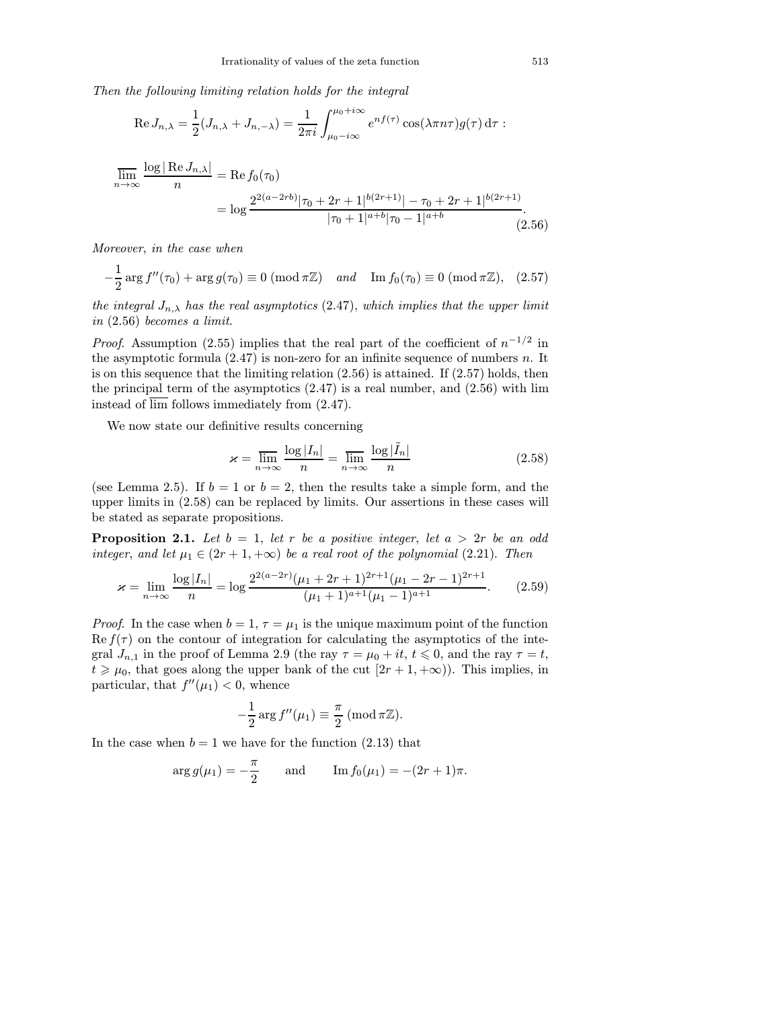Then the following limiting relation holds for the integral

Re 
$$
J_{n,\lambda} = \frac{1}{2}(J_{n,\lambda} + J_{n,-\lambda}) = \frac{1}{2\pi i} \int_{\mu_0 - i\infty}^{\mu_0 + i\infty} e^{nf(\tau)} \cos(\lambda \pi n \tau) g(\tau) d\tau
$$
:

$$
\overline{\lim}_{n \to \infty} \frac{\log |\operatorname{Re} J_{n,\lambda}|}{n} = \operatorname{Re} f_0(\tau_0)
$$
  
= 
$$
\log \frac{2^{2(a-2rb)} |\tau_0 + 2r + 1|^{b(2r+1)} | -\tau_0 + 2r + 1|^{b(2r+1)}}{|\tau_0 + 1|^{a+b} |\tau_0 - 1|^{a+b}}.
$$
 (2.56)

Moreover, in the case when

$$
-\frac{1}{2}\arg f''(\tau_0) + \arg g(\tau_0) \equiv 0 \ (\text{mod } \pi \mathbb{Z}) \quad \text{and} \quad \text{Im } f_0(\tau_0) \equiv 0 \ (\text{mod } \pi \mathbb{Z}), \tag{2.57}
$$

the integral  $J_{n,\lambda}$  has the real asymptotics (2.47), which implies that the upper limit in (2.56) becomes a limit.

*Proof.* Assumption (2.55) implies that the real part of the coefficient of  $n^{-1/2}$  in the asymptotic formula  $(2.47)$  is non-zero for an infinite sequence of numbers n. It is on this sequence that the limiting relation  $(2.56)$  is attained. If  $(2.57)$  holds, then the principal term of the asymptotics  $(2.47)$  is a real number, and  $(2.56)$  with lim instead of lim follows immediately from (2.47).

We now state our definitive results concerning

$$
\varkappa = \overline{\lim_{n \to \infty}} \frac{\log |I_n|}{n} = \overline{\lim_{n \to \infty}} \frac{\log |\tilde{I}_n|}{n}
$$
\n(2.58)

(see Lemma 2.5). If  $b = 1$  or  $b = 2$ , then the results take a simple form, and the upper limits in (2.58) can be replaced by limits. Our assertions in these cases will be stated as separate propositions.

**Proposition 2.1.** Let  $b = 1$ , let r be a positive integer, let  $a > 2r$  be an odd integer, and let  $\mu_1 \in (2r+1, +\infty)$  be a real root of the polynomial (2.21). Then

$$
\varkappa = \lim_{n \to \infty} \frac{\log |I_n|}{n} = \log \frac{2^{2(a-2r)} (\mu_1 + 2r + 1)^{2r+1} (\mu_1 - 2r - 1)^{2r+1}}{(\mu_1 + 1)^{a+1} (\mu_1 - 1)^{a+1}}.
$$
 (2.59)

*Proof.* In the case when  $b = 1, \tau = \mu_1$  is the unique maximum point of the function  $\text{Re } f(\tau)$  on the contour of integration for calculating the asymptotics of the integral  $J_{n,1}$  in the proof of Lemma 2.9 (the ray  $\tau = \mu_0 + it$ ,  $t \le 0$ , and the ray  $\tau = t$ ,  $t \geq \mu_0$ , that goes along the upper bank of the cut  $[2r+1, +\infty)$ . This implies, in particular, that  $f''(\mu_1) < 0$ , whence

$$
-\frac{1}{2}\arg f''(\mu_1) \equiv \frac{\pi}{2} \ (\operatorname{mod} \pi \mathbb{Z}).
$$

In the case when  $b = 1$  we have for the function  $(2.13)$  that

$$
arg g(\mu_1) = -\frac{\pi}{2}
$$
 and  $Im f_0(\mu_1) = -(2r+1)\pi$ .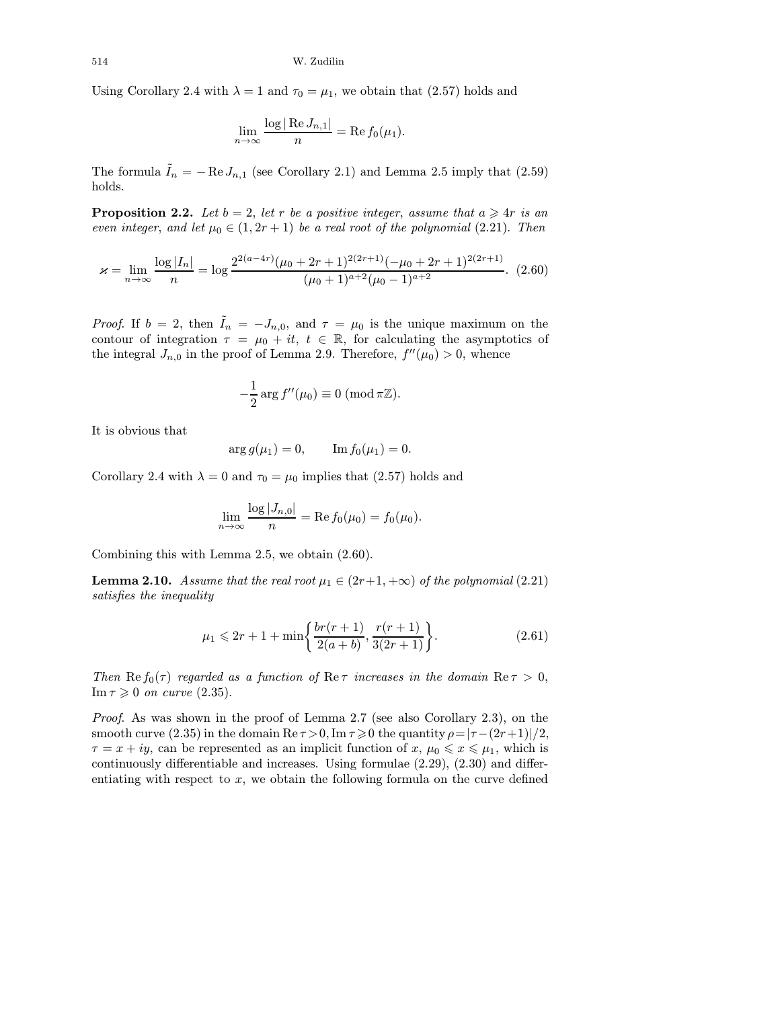Using Corollary 2.4 with  $\lambda = 1$  and  $\tau_0 = \mu_1$ , we obtain that (2.57) holds and

$$
\lim_{n \to \infty} \frac{\log |\operatorname{Re} J_{n,1}|}{n} = \operatorname{Re} f_0(\mu_1).
$$

The formula  $\tilde{I}_n = -\operatorname{Re} J_{n,1}$  (see Corollary 2.1) and Lemma 2.5 imply that (2.59) holds.

**Proposition 2.2.** Let  $b = 2$ , let r be a positive integer, assume that  $a \geq 4r$  is an even integer, and let  $\mu_0 \in (1, 2r + 1)$  be a real root of the polynomial (2.21). Then

$$
\varkappa = \lim_{n \to \infty} \frac{\log |I_n|}{n} = \log \frac{2^{2(a-4r)} (\mu_0 + 2r + 1)^{2(2r+1)} (-\mu_0 + 2r + 1)^{2(2r+1)}}{(\mu_0 + 1)^{a+2} (\mu_0 - 1)^{a+2}}.
$$
 (2.60)

*Proof.* If  $b = 2$ , then  $\tilde{I}_n = -J_{n,0}$ , and  $\tau = \mu_0$  is the unique maximum on the contour of integration  $\tau = \mu_0 + it$ ,  $t \in \mathbb{R}$ , for calculating the asymptotics of the integral  $J_{n,0}$  in the proof of Lemma 2.9. Therefore,  $f''(\mu_0) > 0$ , whence

$$
-\frac{1}{2}\arg f''(\mu_0) \equiv 0 \ (\mathrm{mod}\,\pi\mathbb{Z}).
$$

It is obvious that

$$
arg g(\mu_1) = 0,
$$
  $Im f_0(\mu_1) = 0.$ 

Corollary 2.4 with  $\lambda = 0$  and  $\tau_0 = \mu_0$  implies that (2.57) holds and

$$
\lim_{n\to\infty}\frac{\log|J_{n,0}|}{n}=\operatorname{Re} f_0(\mu_0)=f_0(\mu_0).
$$

Combining this with Lemma 2.5, we obtain (2.60).

**Lemma 2.10.** Assume that the real root  $\mu_1 \in (2r+1, +\infty)$  of the polynomial (2.21) satisfies the inequality

$$
\mu_1 \leqslant 2r + 1 + \min\bigg\{\frac{br(r+1)}{2(a+b)}, \frac{r(r+1)}{3(2r+1)}\bigg\}.
$$
\n(2.61)

Then  $\text{Re } f_0(\tau)$  regarded as a function of  $\text{Re } \tau$  increases in the domain  $\text{Re } \tau > 0$ , Im  $\tau \geqslant 0$  on curve (2.35).

Proof. As was shown in the proof of Lemma 2.7 (see also Corollary 2.3), on the smooth curve (2.35) in the domain  $\text{Re}\,\tau > 0$ ,  $\text{Im}\,\tau \geq 0$  the quantity  $\rho = |\tau - (2r+1)|/2$ ,  $\tau = x + iy$ , can be represented as an implicit function of  $x, \mu_0 \leqslant x \leqslant \mu_1$ , which is continuously differentiable and increases. Using formulae (2.29), (2.30) and differentiating with respect to  $x$ , we obtain the following formula on the curve defined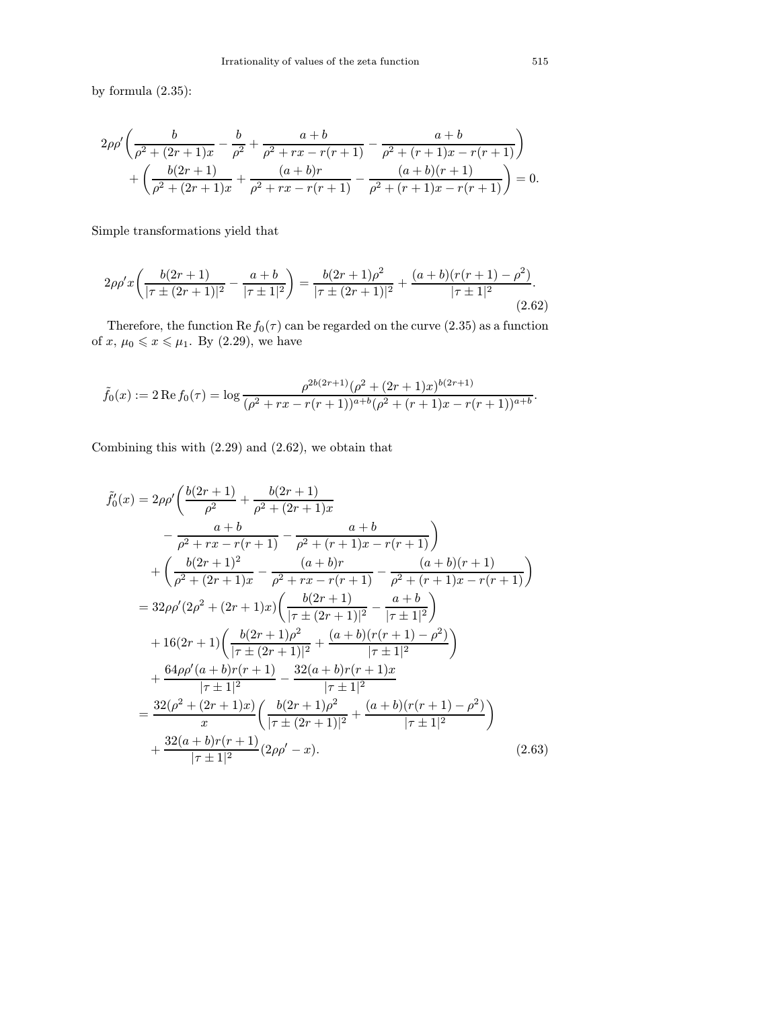by formula (2.35):

$$
2\rho\rho'\left(\frac{b}{\rho^2 + (2r+1)x} - \frac{b}{\rho^2} + \frac{a+b}{\rho^2 + rx - r(r+1)} - \frac{a+b}{\rho^2 + (r+1)x - r(r+1)}\right) + \left(\frac{b(2r+1)}{\rho^2 + (2r+1)x} + \frac{(a+b)r}{\rho^2 + rx - r(r+1)} - \frac{(a+b)(r+1)}{\rho^2 + (r+1)x - r(r+1)}\right) = 0.
$$

Simple transformations yield that

$$
2\rho\rho'x\left(\frac{b(2r+1)}{|\tau\pm(2r+1)|^2} - \frac{a+b}{|\tau\pm 1|^2}\right) = \frac{b(2r+1)\rho^2}{|\tau\pm(2r+1)|^2} + \frac{(a+b)(r(r+1)-\rho^2)}{|\tau\pm 1|^2}.
$$
\n(2.62)

Therefore, the function  $\text{Re } f_0(\tau)$  can be regarded on the curve (2.35) as a function of  $x, \mu_0 \leqslant x \leqslant \mu_1$ . By (2.29), we have

$$
\tilde{f}_0(x) := 2 \operatorname{Re} f_0(\tau) = \log \frac{\rho^{2b(2r+1)} (\rho^2 + (2r+1)x)^{b(2r+1)}}{(\rho^2 + rx - r(r+1))^{a+b} (\rho^2 + (r+1)x - r(r+1))^{a+b}}.
$$

Combining this with (2.29) and (2.62), we obtain that

$$
\tilde{f}'_0(x) = 2\rho \rho' \left( \frac{b(2r+1)}{\rho^2} + \frac{b(2r+1)}{\rho^2 + (2r+1)x} - \frac{a+b}{\rho^2 + rx - r(r+1)} - \frac{a+b}{\rho^2 + (r+1)x - r(r+1)} \right) \n+ \left( \frac{b(2r+1)^2}{\rho^2 + (2r+1)x} - \frac{(a+b)r}{\rho^2 + rx - r(r+1)} - \frac{(a+b)(r+1)}{\rho^2 + (r+1)x - r(r+1)} \right) \n= 32\rho \rho' (2\rho^2 + (2r+1)x) \left( \frac{b(2r+1)}{|\tau \pm (2r+1)|^2} - \frac{a+b}{|\tau \pm 1|^2} \right) \n+ 16(2r+1) \left( \frac{b(2r+1)\rho^2}{|\tau \pm (2r+1)|^2} + \frac{(a+b)(r(r+1)-\rho^2)}{|\tau \pm 1|^2} \right) \n+ \frac{64\rho \rho'(a+b)r(r+1)}{|\tau \pm 1|^2} - \frac{32(a+b)r(r+1)x}{|\tau \pm 1|^2} \n= \frac{32(\rho^2 + (2r+1)x)}{x} \left( \frac{b(2r+1)\rho^2}{|\tau \pm (2r+1)|^2} + \frac{(a+b)(r(r+1)-\rho^2)}{|\tau \pm 1|^2} \right) \n+ \frac{32(a+b)r(r+1)}{|\tau \pm 1|^2} (2\rho \rho' - x).
$$
\n(2.63)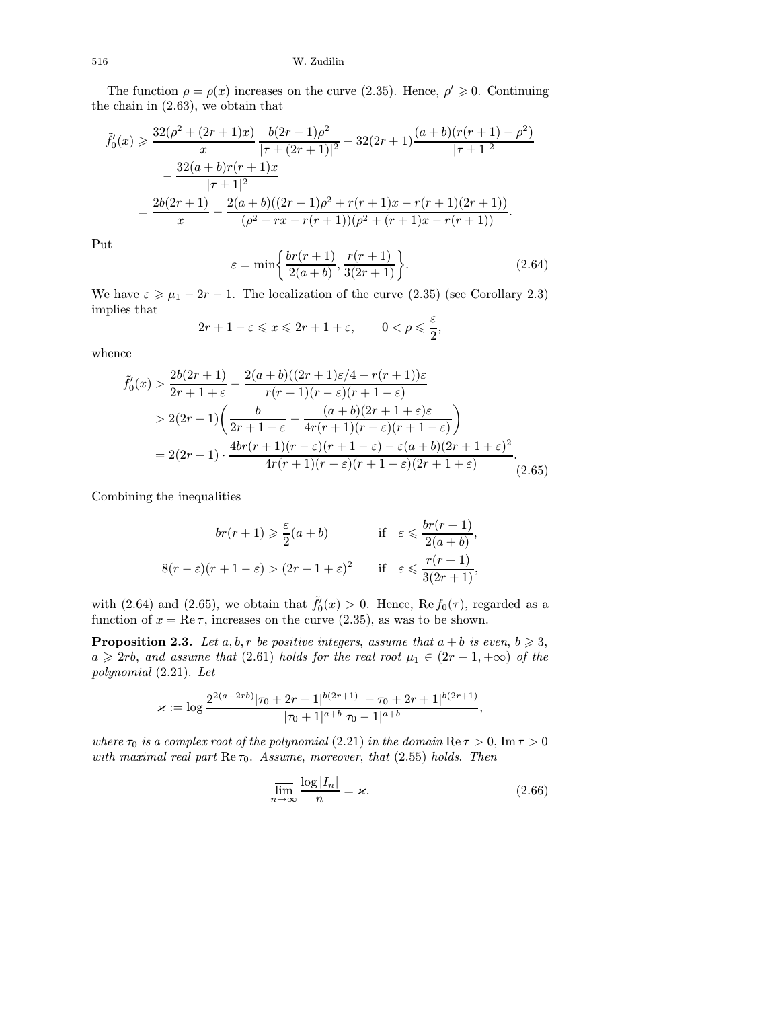The function  $\rho = \rho(x)$  increases on the curve (2.35). Hence,  $\rho' \geq 0$ . Continuing the chain in (2.63), we obtain that

$$
\tilde{f}'_0(x) \geq \frac{32(\rho^2 + (2r+1)x)}{x} \frac{b(2r+1)\rho^2}{|\tau \pm (2r+1)|^2} + 32(2r+1)\frac{(a+b)(r(r+1)-\rho^2)}{|\tau \pm 1|^2} \n- \frac{32(a+b)r(r+1)x}{|\tau \pm 1|^2} \n= \frac{2b(2r+1)}{x} - \frac{2(a+b)((2r+1)\rho^2 + r(r+1)x - r(r+1)(2r+1))}{(\rho^2 + rx - r(r+1))(\rho^2 + (r+1)x - r(r+1))}.
$$

Put

$$
\varepsilon = \min\left\{\frac{br(r+1)}{2(a+b)}, \frac{r(r+1)}{3(2r+1)}\right\}.
$$
\n(2.64)

We have  $\varepsilon \ge \mu_1 - 2r - 1$ . The localization of the curve (2.35) (see Corollary 2.3) implies that

$$
2r + 1 - \varepsilon \leqslant x \leqslant 2r + 1 + \varepsilon, \qquad 0 < \rho \leqslant \frac{\varepsilon}{2},
$$

whence

 $\overline{1}$ 

$$
\tilde{e}'_0(x) > \frac{2b(2r+1)}{2r+1+\varepsilon} - \frac{2(a+b)((2r+1)\varepsilon/4 + r(r+1))\varepsilon}{r(r+1)(r-\varepsilon)(r+1-\varepsilon)} \n&> 2(2r+1)\left(\frac{b}{2r+1+\varepsilon} - \frac{(a+b)(2r+1+\varepsilon)\varepsilon}{4r(r+1)(r-\varepsilon)(r+1-\varepsilon)}\right) \n= 2(2r+1) \cdot \frac{4br(r+1)(r-\varepsilon)(r+1-\varepsilon) - \varepsilon(a+b)(2r+1+\varepsilon)^2}{4r(r+1)(r-\varepsilon)(r+1-\varepsilon)(2r+1+\varepsilon)}.
$$
\n(2.65)

Combining the inequalities

$$
br(r+1) \ge \frac{\varepsilon}{2}(a+b) \qquad \text{if} \quad \varepsilon \le \frac{br(r+1)}{2(a+b)},
$$

$$
8(r-\varepsilon)(r+1-\varepsilon) > (2r+1+\varepsilon)^2 \qquad \text{if} \quad \varepsilon \le \frac{r(r+1)}{3(2r+1)},
$$

with (2.64) and (2.65), we obtain that  $\tilde{f}'_0(x) > 0$ . Hence, Re  $f_0(\tau)$ , regarded as a function of  $x = \text{Re}\,\tau$ , increases on the curve (2.35), as was to be shown.

**Proposition 2.3.** Let a, b, r be positive integers, assume that  $a + b$  is even,  $b \ge 3$ ,  $a \geqslant 2rb$ , and assume that (2.61) holds for the real root  $\mu_1 \in (2r+1, +\infty)$  of the polynomial (2.21). Let

$$
\varkappa := \log \frac{2^{2(a-2rb)}|\tau_0 + 2r + 1|^{b(2r+1)}| - \tau_0 + 2r + 1|^{b(2r+1)}}{|\tau_0 + 1|^{a+b}|\tau_0 - 1|^{a+b}},
$$

where  $\tau_0$  is a complex root of the polynomial (2.21) in the domain Re  $\tau > 0$ , Im  $\tau > 0$ with maximal real part  $\text{Re}\,\tau_0$ . Assume, moreover, that (2.55) holds. Then

$$
\overline{\lim_{n \to \infty}} \frac{\log |I_n|}{n} = \varkappa.
$$
\n(2.66)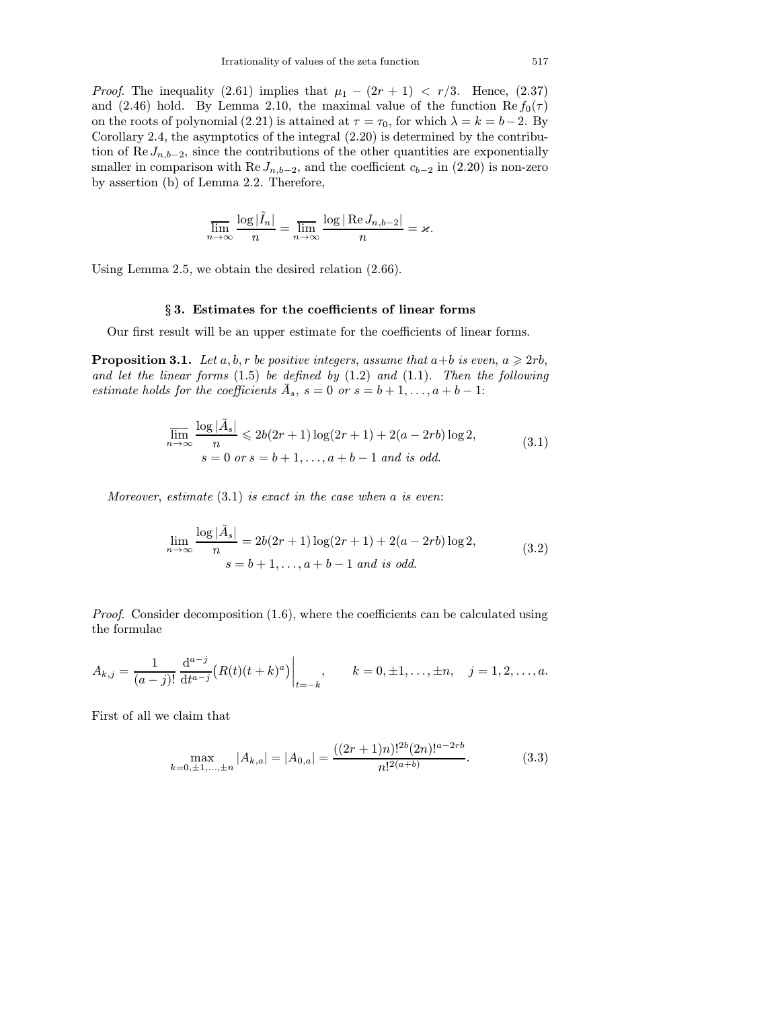*Proof.* The inequality (2.61) implies that  $\mu_1 - (2r + 1) < r/3$ . Hence, (2.37) and (2.46) hold. By Lemma 2.10, the maximal value of the function Re  $f_0(\tau)$ on the roots of polynomial (2.21) is attained at  $\tau = \tau_0$ , for which  $\lambda = k = b - 2$ . By Corollary 2.4, the asymptotics of the integral (2.20) is determined by the contribution of Re  $J_{n,b-2}$ , since the contributions of the other quantities are exponentially smaller in comparison with Re  $J_{n,b-2}$ , and the coefficient  $c_{b-2}$  in (2.20) is non-zero by assertion (b) of Lemma 2.2. Therefore,

$$
\overline{\lim_{n \to \infty}} \frac{\log |\tilde{I}_n|}{n} = \overline{\lim_{n \to \infty}} \frac{\log |\operatorname{Re} J_{n,b-2}|}{n} = \varkappa.
$$

Using Lemma 2.5, we obtain the desired relation (2.66).

# § 3. Estimates for the coefficients of linear forms

Our first result will be an upper estimate for the coefficients of linear forms.

**Proposition 3.1.** Let  $a, b, r$  be positive integers, assume that  $a+b$  is even,  $a \geq 2rb$ , and let the linear forms  $(1.5)$  be defined by  $(1.2)$  and  $(1.1)$ . Then the following estimate holds for the coefficients  $\bar{A}_s$ ,  $s = 0$  or  $s = b + 1, \ldots, a + b - 1$ :

$$
\overline{\lim}_{n \to \infty} \frac{\log |\bar{A}_s|}{n} \leq 2b(2r+1)\log(2r+1) + 2(a-2rb)\log 2,
$$
\n
$$
s = 0 \text{ or } s = b+1, ..., a+b-1 \text{ and is odd.}
$$
\n(3.1)

Moreover, estimate  $(3.1)$  is exact in the case when a is even:

$$
\lim_{n \to \infty} \frac{\log |\bar{A}_s|}{n} = 2b(2r+1)\log(2r+1) + 2(a-2rb)\log 2,
$$
\n
$$
s = b+1, \dots, a+b-1 \text{ and is odd.}
$$
\n(3.2)

*Proof.* Consider decomposition  $(1.6)$ , where the coefficients can be calculated using the formulae

$$
A_{k,j} = \frac{1}{(a-j)!} \frac{d^{a-j}}{dt^{a-j}} (R(t)(t+k)^a) \Big|_{t=-k}, \qquad k = 0, \pm 1, \ldots, \pm n, \quad j = 1, 2, \ldots, a.
$$

First of all we claim that

$$
\max_{k=0,\pm 1,\dots,\pm n} |A_{k,a}| = |A_{0,a}| = \frac{((2r+1)n)!^{2b}(2n)!^{a-2rb}}{n!^{2(a+b)}}.
$$
 (3.3)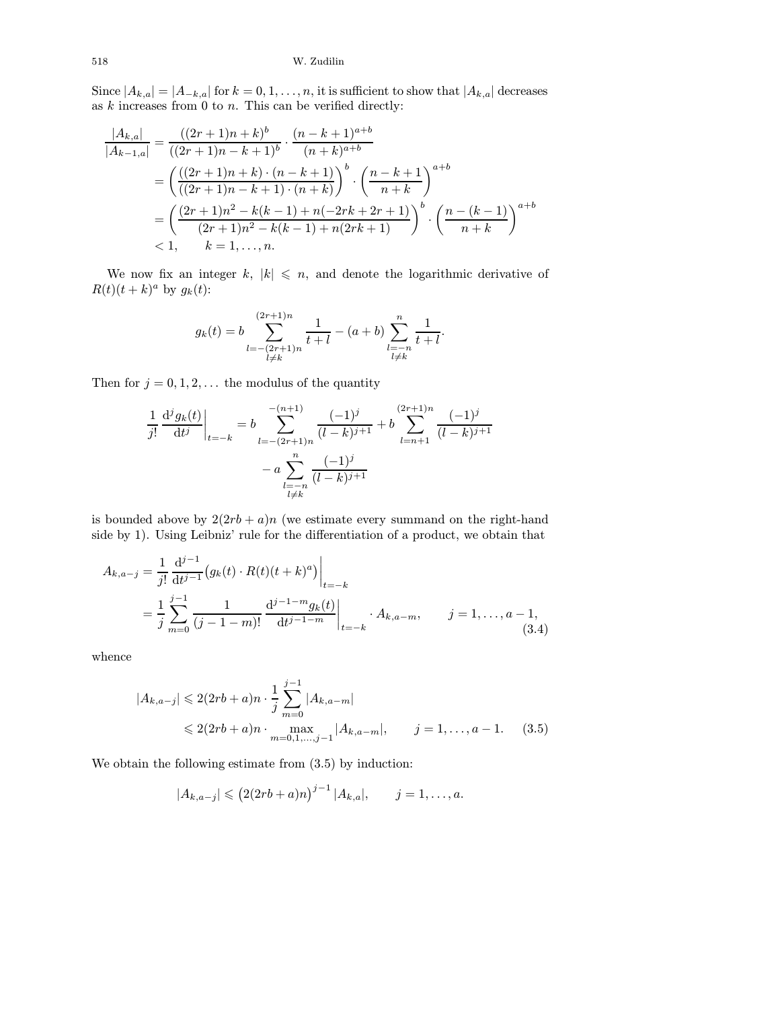Since  $|A_{k,a}| = |A_{-k,a}|$  for  $k = 0, 1, \ldots, n$ , it is sufficient to show that  $|A_{k,a}|$  decreases as  $k$  increases from 0 to  $n$ . This can be verified directly:

$$
\frac{|A_{k,a}|}{|A_{k-1,a}|} = \frac{((2r+1)n+k)^b}{((2r+1)n-k+1)^b} \cdot \frac{(n-k+1)^{a+b}}{(n+k)^{a+b}}
$$
\n
$$
= \left(\frac{((2r+1)n+k)\cdot(n-k+1)}{((2r+1)n-k+1)\cdot(n+k)}\right)^b \cdot \left(\frac{n-k+1}{n+k}\right)^{a+b}
$$
\n
$$
= \left(\frac{(2r+1)n^2 - k(k-1) + n(-2rk+2r+1)}{(2r+1)n^2 - k(k-1) + n(2rk+1)}\right)^b \cdot \left(\frac{n-(k-1)}{n+k}\right)^{a+b}
$$
\n
$$
< 1, \qquad k = 1, \ldots, n.
$$

We now fix an integer k,  $|k| \leq n$ , and denote the logarithmic derivative of  $R(t)(t + k)^a$  by  $g_k(t)$ :

$$
g_k(t) = b \sum_{\substack{l=-(2r+1)n\\l\neq k}}^{(2r+1)n} \frac{1}{t+l} - (a+b) \sum_{\substack{l=-n\\l\neq k}}^{n} \frac{1}{t+l}.
$$

Then for  $j = 0, 1, 2, \ldots$  the modulus of the quantity

$$
\frac{1}{j!} \frac{d^j g_k(t)}{dt^j} \bigg|_{t=-k} = b \sum_{l=-(2r+1)n}^{-(n+1)} \frac{(-1)^j}{(l-k)^{j+1}} + b \sum_{l=n+1}^{(2r+1)n} \frac{(-1)^j}{(l-k)^{j+1}} - a \sum_{\substack{l=-n \\ l \neq k}}^n \frac{(-1)^j}{(l-k)^{j+1}}
$$

is bounded above by  $2(2rb + a)n$  (we estimate every summand on the right-hand side by 1). Using Leibniz' rule for the differentiation of a product, we obtain that

$$
A_{k,a-j} = \frac{1}{j!} \frac{d^{j-1}}{dt^{j-1}} \left( g_k(t) \cdot R(t) (t+k)^a \right) \Big|_{t=-k}
$$
  
= 
$$
\frac{1}{j} \sum_{m=0}^{j-1} \frac{1}{(j-1-m)!} \frac{d^{j-1-m} g_k(t)}{dt^{j-1-m}} \Big|_{t=-k} \cdot A_{k,a-m}, \qquad j=1,\ldots,a-1,
$$
 (3.4)

whence

$$
|A_{k,a-j}| \leq 2(2rb+a)n \cdot \frac{1}{j} \sum_{m=0}^{j-1} |A_{k,a-m}|
$$
  
 
$$
\leq 2(2rb+a)n \cdot \max_{m=0,1,\dots,j-1} |A_{k,a-m}|, \qquad j=1,\dots,a-1. \tag{3.5}
$$

We obtain the following estimate from (3.5) by induction:

$$
|A_{k,a-j}| \leq (2(2rb+a)n)^{j-1} |A_{k,a}|, \qquad j=1,\ldots,a.
$$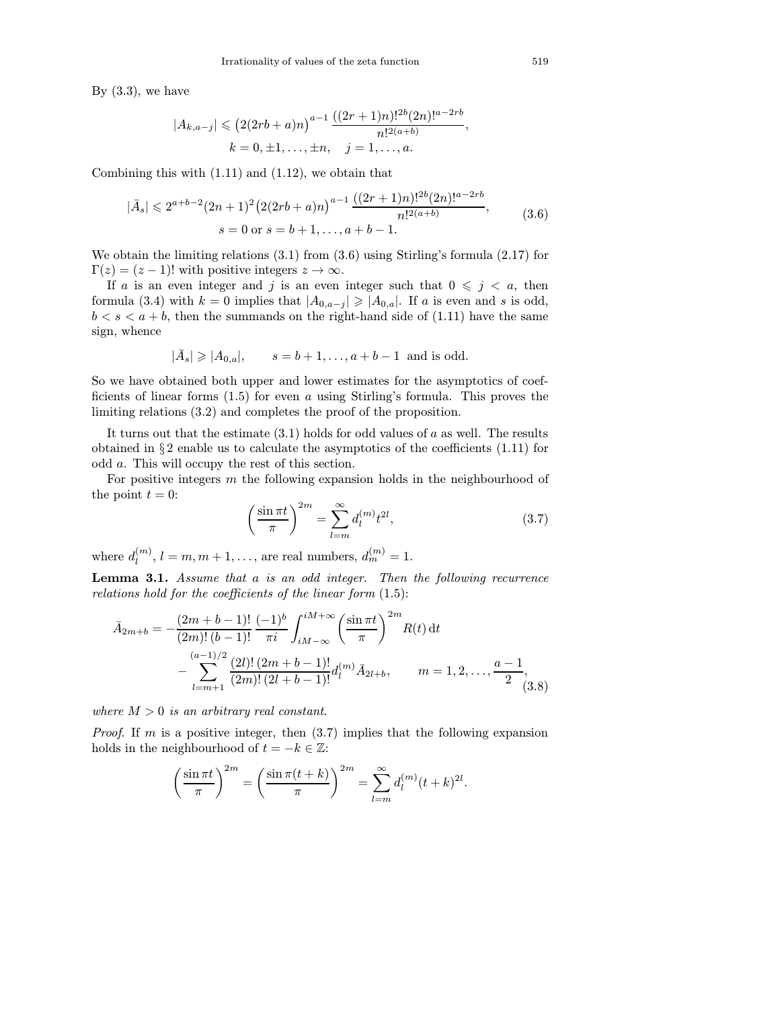By  $(3.3)$ , we have

$$
|A_{k,a-j}| \leq (2(2rb+a)n)^{a-1} \frac{((2r+1)n)!^{2b}(2n)!^{a-2rb}}{n!^{2(a+b)}},
$$
  

$$
k = 0, \pm 1, \dots, \pm n, \quad j = 1, \dots, a.
$$

Combining this with (1.11) and (1.12), we obtain that

$$
|\bar{A}_s| \leq 2^{a+b-2} (2n+1)^2 \left( 2(2rb+a)n \right)^{a-1} \frac{((2r+1)n)!^{2b} (2n)!^{a-2rb}}{n!^{2(a+b)}},
$$
\n
$$
s = 0 \text{ or } s = b+1, \dots, a+b-1.
$$
\n(3.6)

We obtain the limiting relations  $(3.1)$  from  $(3.6)$  using Stirling's formula  $(2.17)$  for  $\Gamma(z)=(z - 1)!$  with positive integers  $z \to \infty$ .

If a is an even integer and j is an even integer such that  $0 \leq j \leq a$ , then formula (3.4) with  $k = 0$  implies that  $|A_{0,a-j}| \geq |A_{0,a}|$ . If a is even and s is odd,  $b < s < a + b$ , then the summands on the right-hand side of (1.11) have the same sign, whence

$$
|\bar{A}_s| \ge |A_{0,a}|
$$
,  $s = b + 1,..., a + b - 1$  and is odd.

So we have obtained both upper and lower estimates for the asymptotics of coefficients of linear forms  $(1.5)$  for even a using Stirling's formula. This proves the limiting relations (3.2) and completes the proof of the proposition.

It turns out that the estimate  $(3.1)$  holds for odd values of a as well. The results obtained in  $\S 2$  enable us to calculate the asymptotics of the coefficients  $(1.11)$  for odd a. This will occupy the rest of this section.

For positive integers m the following expansion holds in the neighbourhood of the point  $t = 0$ :

$$
\left(\frac{\sin \pi t}{\pi}\right)^{2m} = \sum_{l=m}^{\infty} d_l^{(m)} t^{2l},\tag{3.7}
$$

where  $d_l^{(m)}$ ,  $l = m, m + 1, \ldots$ , are real numbers,  $d_m^{(m)} = 1$ .

Lemma 3.1. Assume that a is an odd integer. Then the following recurrence relations hold for the coefficients of the linear form (1.5):

$$
\bar{A}_{2m+b} = -\frac{(2m+b-1)!}{(2m)!(b-1)!} \frac{(-1)^b}{\pi i} \int_{iM-\infty}^{iM+\infty} \left(\frac{\sin \pi t}{\pi}\right)^{2m} R(t) dt
$$

$$
-\sum_{l=m+1}^{(a-1)/2} \frac{(2l)!(2m+b-1)!}{(2m)!(2l+b-1)!} d_l^{(m)} \bar{A}_{2l+b}, \qquad m = 1, 2, \dots, \frac{a-1}{2}, \tag{3.8}
$$

where  $M > 0$  is an arbitrary real constant.

*Proof.* If m is a positive integer, then  $(3.7)$  implies that the following expansion holds in the neighbourhood of  $t = -k \in \mathbb{Z}$ :

$$
\left(\frac{\sin \pi t}{\pi}\right)^{2m} = \left(\frac{\sin \pi (t+k)}{\pi}\right)^{2m} = \sum_{l=m}^{\infty} d_l^{(m)}(t+k)^{2l}.
$$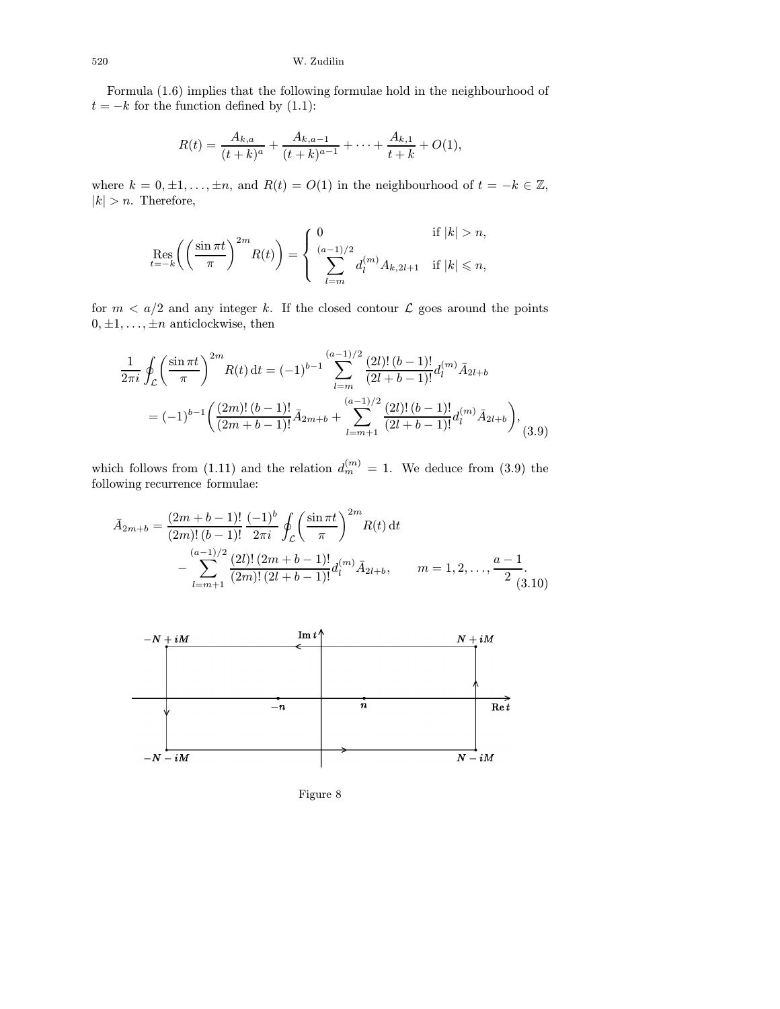Formula (1.6) implies that the following formulae hold in the neighbourhood of  $t = -k$  for the function defined by (1.1):

$$
R(t) = \frac{A_{k,a}}{(t+k)^a} + \frac{A_{k,a-1}}{(t+k)^{a-1}} + \cdots + \frac{A_{k,1}}{t+k} + O(1),
$$

where  $k = 0, \pm 1, \ldots, \pm n$ , and  $R(t) = O(1)$  in the neighbourhood of  $t = -k \in \mathbb{Z}$ ,  $|k| > n$ . Therefore,

$$
\operatorname{Res}_{t=-k} \left( \left( \frac{\sin \pi t}{\pi} \right)^{2m} R(t) \right) = \begin{cases} 0 & \text{if } |k| > n, \\ \sum_{l=m}^{(a-1)/2} d_l^{(m)} A_{k,2l+1} & \text{if } |k| \leq n, \end{cases}
$$

for  $m < a/2$  and any integer k. If the closed contour  $\mathcal L$  goes around the points  $0, \pm 1, \ldots, \pm n$  anticlockwise, then

$$
\frac{1}{2\pi i} \oint_{\mathcal{L}} \left( \frac{\sin \pi t}{\pi} \right)^{2m} R(t) dt = (-1)^{b-1} \sum_{l=m}^{(a-1)/2} \frac{(2l)! (b-1)!}{(2l+b-1)!} d_l^{(m)} \bar{A}_{2l+b}
$$

$$
= (-1)^{b-1} \left( \frac{(2m)! (b-1)!}{(2m+b-1)!} \bar{A}_{2m+b} + \sum_{l=m+1}^{(a-1)/2} \frac{(2l)! (b-1)!}{(2l+b-1)!} d_l^{(m)} \bar{A}_{2l+b} \right), \tag{3.9}
$$

which follows from (1.11) and the relation  $d_m^{(m)} = 1$ . We deduce from (3.9) the following recurrence formulae:

$$
\bar{A}_{2m+b} = \frac{(2m+b-1)!}{(2m)!(b-1)!} \frac{(-1)^b}{2\pi i} \oint_{\mathcal{L}} \left(\frac{\sin \pi t}{\pi}\right)^{2m} R(t) dt
$$

$$
- \sum_{l=m+1}^{(a-1)/2} \frac{(2l)!(2m+b-1)!}{(2m)!(2l+b-1)!} d_l^{(m)} \bar{A}_{2l+b}, \qquad m = 1, 2, \dots, \frac{a-1}{2}.
$$



Figure 8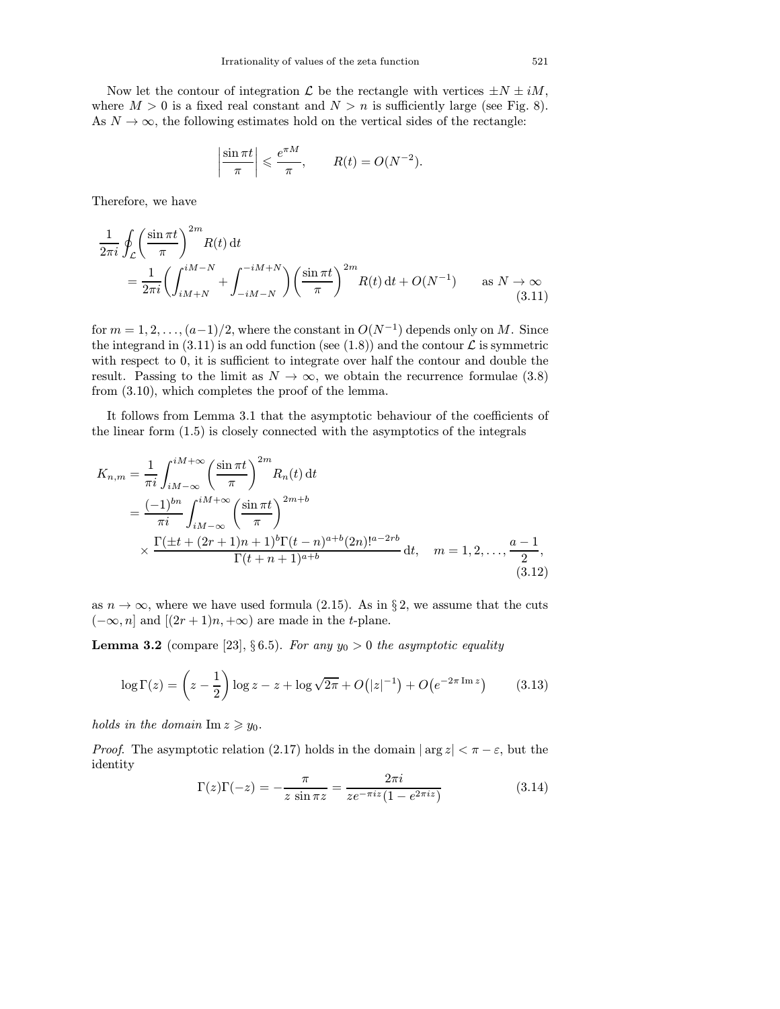Now let the contour of integration  $\mathcal L$  be the rectangle with vertices  $\pm N \pm iM$ , where  $M > 0$  is a fixed real constant and  $N > n$  is sufficiently large (see Fig. 8). As  $N \to \infty$ , the following estimates hold on the vertical sides of the rectangle:

$$
\left|\frac{\sin \pi t}{\pi}\right| \leqslant \frac{e^{\pi M}}{\pi}, \qquad R(t) = O(N^{-2}).
$$

Therefore, we have

$$
\frac{1}{2\pi i} \oint_{\mathcal{L}} \left( \frac{\sin \pi t}{\pi} \right)^{2m} R(t) dt
$$
\n
$$
= \frac{1}{2\pi i} \left( \int_{iM+N}^{iM-N} + \int_{-iM-N}^{-iM+N} \right) \left( \frac{\sin \pi t}{\pi} \right)^{2m} R(t) dt + O(N^{-1}) \quad \text{as } N \to \infty
$$
\n(3.11)

for  $m = 1, 2, \ldots, (a-1)/2$ , where the constant in  $O(N^{-1})$  depends only on M. Since the integrand in  $(3.11)$  is an odd function (see  $(1.8)$ ) and the contour  $\mathcal L$  is symmetric with respect to 0, it is sufficient to integrate over half the contour and double the result. Passing to the limit as  $N \to \infty$ , we obtain the recurrence formulae (3.8) from (3.10), which completes the proof of the lemma.

It follows from Lemma 3.1 that the asymptotic behaviour of the coefficients of the linear form (1.5) is closely connected with the asymptotics of the integrals

$$
K_{n,m} = \frac{1}{\pi i} \int_{iM-\infty}^{iM+\infty} \left(\frac{\sin \pi t}{\pi}\right)^{2m} R_n(t) dt
$$
  
=  $\frac{(-1)^{bn}}{\pi i} \int_{iM-\infty}^{iM+\infty} \left(\frac{\sin \pi t}{\pi}\right)^{2m+b}$   
 $\times \frac{\Gamma(\pm t + (2r+1)n + 1)^b \Gamma(t-n)^{a+b} (2n)!^{a-2rb}}{\Gamma(t+n+1)^{a+b}} dt, \quad m = 1, 2, ..., \frac{a-1}{2},$  (3.12)

as  $n \to \infty$ , where we have used formula (2.15). As in § 2, we assume that the cuts  $(-\infty, n]$  and  $[(2r + 1)n, +\infty)$  are made in the t-plane.

**Lemma 3.2** (compare [\[23\],](#page-53-0) § 6.5). For any  $y_0 > 0$  the asymptotic equality

$$
\log \Gamma(z) = \left(z - \frac{1}{2}\right) \log z - z + \log \sqrt{2\pi} + O(|z|^{-1}) + O(e^{-2\pi \operatorname{Im} z}) \tag{3.13}
$$

holds in the domain  $\text{Im } z \geq y_0$ .

*Proof.* The asymptotic relation (2.17) holds in the domain  $|\arg z| < \pi - \varepsilon$ , but the identity

$$
\Gamma(z)\Gamma(-z) = -\frac{\pi}{z\sin\pi z} = \frac{2\pi i}{ze^{-\pi iz}(1 - e^{2\pi iz})}
$$
(3.14)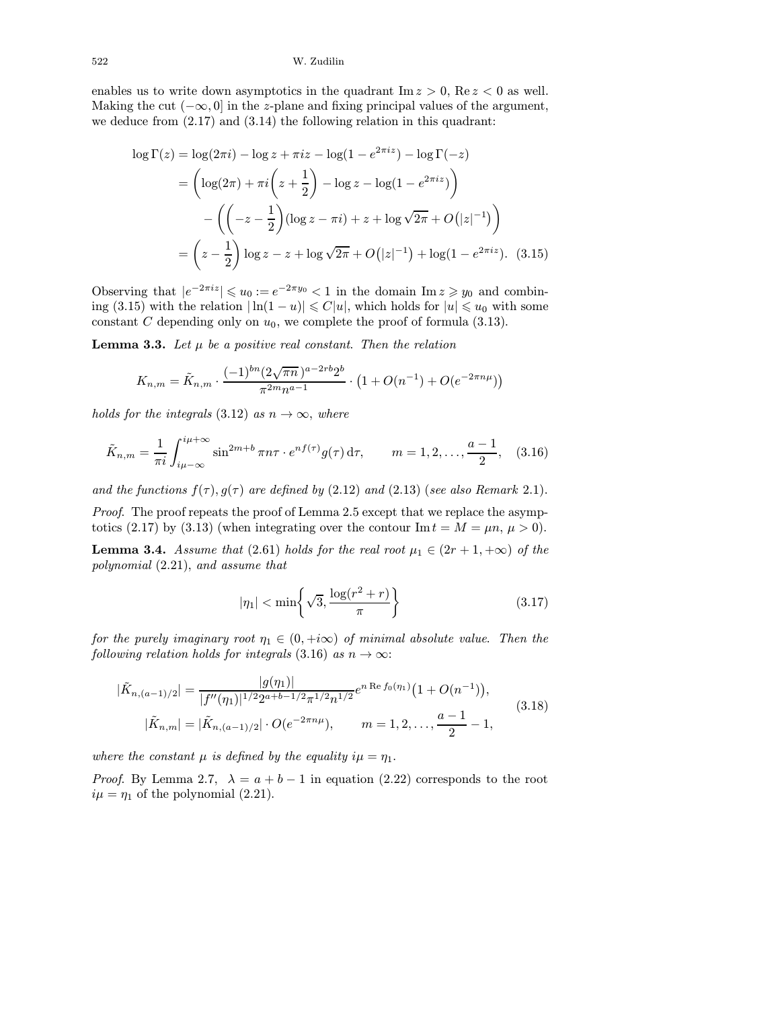enables us to write down asymptotics in the quadrant  $\text{Im } z > 0$ ,  $\text{Re } z < 0$  as well. Making the cut  $(-\infty, 0]$  in the z-plane and fixing principal values of the argument, we deduce from (2.17) and (3.14) the following relation in this quadrant:

$$
\log \Gamma(z) = \log(2\pi i) - \log z + \pi i z - \log(1 - e^{2\pi i z}) - \log \Gamma(-z)
$$
  
=  $\left(\log(2\pi) + \pi i \left(z + \frac{1}{2}\right) - \log z - \log(1 - e^{2\pi i z})\right)$   
 $-\left(\left(-z - \frac{1}{2}\right)(\log z - \pi i) + z + \log \sqrt{2\pi} + O(|z|^{-1})\right)$   
=  $\left(z - \frac{1}{2}\right)\log z - z + \log \sqrt{2\pi} + O(|z|^{-1}) + \log(1 - e^{2\pi i z}).$  (3.15)

Observing that  $|e^{-2\pi i z}| \leq u_0 := e^{-2\pi y_0} < 1$  in the domain  $\text{Im } z \geq v_0$  and combining (3.15) with the relation  $|\ln(1-u)| \leq C|u|$ , which holds for  $|u| \leq u_0$  with some constant C depending only on  $u_0$ , we complete the proof of formula (3.13).

**Lemma 3.3.** Let  $\mu$  be a positive real constant. Then the relation

$$
K_{n,m} = \tilde{K}_{n,m} \cdot \frac{(-1)^{bn} (2\sqrt{\pi n})^{a-2rb} 2^b}{\pi^{2m} n^{a-1}} \cdot \left(1 + O(n^{-1}) + O(e^{-2\pi n\mu})\right)
$$

holds for the integrals (3.12) as  $n \to \infty$ , where

$$
\tilde{K}_{n,m} = \frac{1}{\pi i} \int_{i\mu - \infty}^{i\mu + \infty} \sin^{2m + b} \pi n \tau \cdot e^{n f(\tau)} g(\tau) d\tau, \qquad m = 1, 2, \dots, \frac{a - 1}{2}, \quad (3.16)
$$

and the functions  $f(\tau)$ ,  $g(\tau)$  are defined by (2.12) and (2.13) (see also Remark 2.1).

Proof. The proof repeats the proof of Lemma 2.5 except that we replace the asymptotics (2.17) by (3.13) (when integrating over the contour  $\text{Im } t = M = \mu n, \, \mu > 0$ ).

**Lemma 3.4.** Assume that (2.61) holds for the real root  $\mu_1 \in (2r+1, +\infty)$  of the polynomial (2.21), and assume that

$$
|\eta_1| < \min\left\{\sqrt{3}, \frac{\log(r^2 + r)}{\pi}\right\} \tag{3.17}
$$

for the purely imaginary root  $\eta_1 \in (0, +i\infty)$  of minimal absolute value. Then the following relation holds for integrals (3.16) as  $n \to \infty$ :

$$
|\tilde{K}_{n,(a-1)/2}| = \frac{|g(\eta_1)|}{|f''(\eta_1)|^{1/2} 2^{a+b-1/2} \pi^{1/2} n^{1/2}} e^{n \operatorname{Re} f_0(\eta_1)} \left(1 + O(n^{-1})\right),
$$
\n
$$
|\tilde{K}_{n,m}| = |\tilde{K}_{n,(a-1)/2}| \cdot O(e^{-2\pi n\mu}), \qquad m = 1, 2, \dots, \frac{a-1}{2} - 1,
$$
\n(3.18)

where the constant  $\mu$  is defined by the equality  $i\mu = \eta_1$ .

*Proof.* By Lemma 2.7,  $\lambda = a + b - 1$  in equation (2.22) corresponds to the root  $i\mu = \eta_1$  of the polynomial (2.21).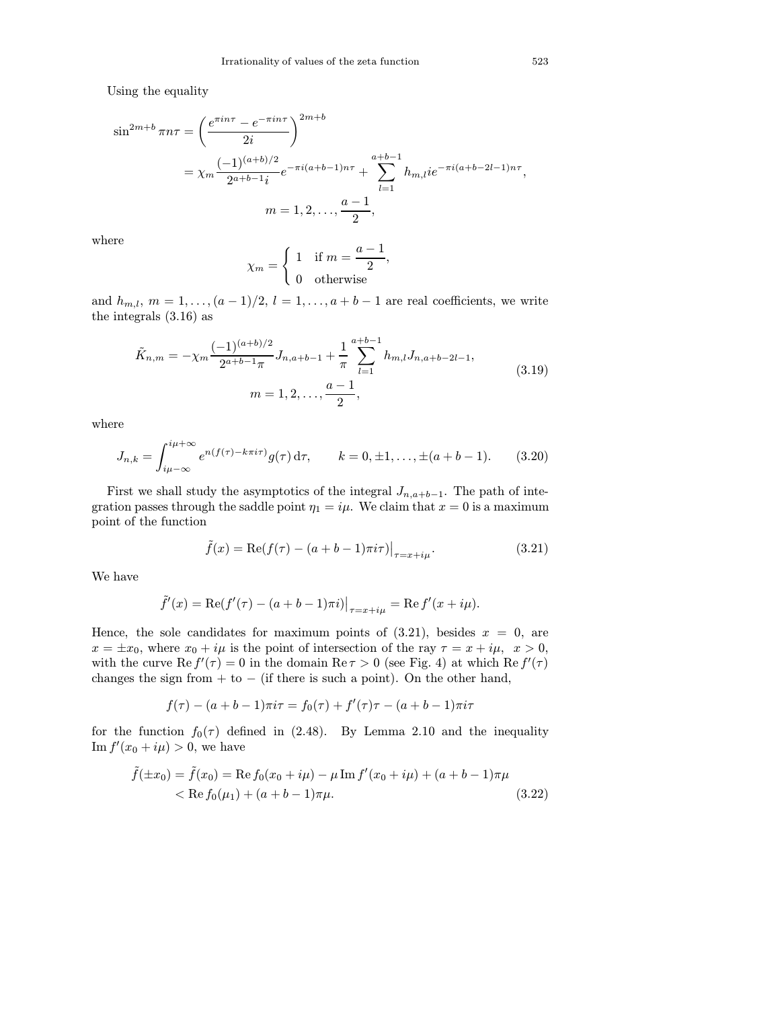Using the equality

$$
\sin^{2m+b} \pi n \tau = \left(\frac{e^{\pi i n \tau} - e^{-\pi i n \tau}}{2i}\right)^{2m+b}
$$
  
=  $\chi_m \frac{(-1)^{(a+b)/2}}{2^{a+b-1}i} e^{-\pi i (a+b-1)n\tau} + \sum_{l=1}^{a+b-1} h_{m,l} i e^{-\pi i (a+b-2l-1)n\tau},$   
 $m = 1, 2, ..., \frac{a-1}{2},$ 

where

$$
\chi_m = \begin{cases} 1 & \text{if } m = \frac{a-1}{2}, \\ 0 & \text{otherwise} \end{cases}
$$

and  $h_{m,l}$ ,  $m = 1, \ldots, (a-1)/2$ ,  $l = 1, \ldots, a+b-1$  are real coefficients, we write the integrals (3.16) as

$$
\tilde{K}_{n,m} = -\chi_m \frac{(-1)^{(a+b)/2}}{2^{a+b-1}\pi} J_{n,a+b-1} + \frac{1}{\pi} \sum_{l=1}^{a+b-1} h_{m,l} J_{n,a+b-2l-1},
$$
\n
$$
m = 1, 2, \dots, \frac{a-1}{2},
$$
\n(3.19)

where

$$
J_{n,k} = \int_{i\mu - \infty}^{i\mu + \infty} e^{n(f(\tau) - k\pi i\tau)} g(\tau) d\tau, \qquad k = 0, \pm 1, \dots, \pm (a + b - 1). \tag{3.20}
$$

First we shall study the asymptotics of the integral  $J_{n,a+b-1}$ . The path of integration passes through the saddle point  $\eta_1 = i\mu$ . We claim that  $x = 0$  is a maximum point of the function

$$
\tilde{f}(x) = \text{Re}(f(\tau) - (a+b-1)\pi i\tau)\big|_{\tau = x+i\mu}.
$$
\n(3.21)

We have

$$
\tilde{f}'(x) = \text{Re}(f'(\tau) - (a+b-1)\pi i)\big|_{\tau=x+i\mu} = \text{Re } f'(x+i\mu).
$$

Hence, the sole candidates for maximum points of  $(3.21)$ , besides  $x = 0$ , are  $x = \pm x_0$ , where  $x_0 + i\mu$  is the point of intersection of the ray  $\tau = x + i\mu$ ,  $x > 0$ , with the curve  $\text{Re } f'(\tau) = 0$  in the domain  $\text{Re } \tau > 0$  (see Fig. 4) at which  $\text{Re } f'(\tau)$ changes the sign from  $+$  to  $-$  (if there is such a point). On the other hand,

$$
f(\tau) - (a+b-1)\pi i \tau = f_0(\tau) + f'(\tau)\tau - (a+b-1)\pi i \tau
$$

for the function  $f_0(\tau)$  defined in (2.48). By Lemma 2.10 and the inequality  $\text{Im } f'(x_0 + i\mu) > 0$ , we have

$$
\tilde{f}(\pm x_0) = \tilde{f}(x_0) = \text{Re}\,f_0(x_0 + i\mu) - \mu \,\text{Im}\,f'(x_0 + i\mu) + (a + b - 1)\pi\mu
$$
\n
$$
< \text{Re}\,f_0(\mu_1) + (a + b - 1)\pi\mu. \tag{3.22}
$$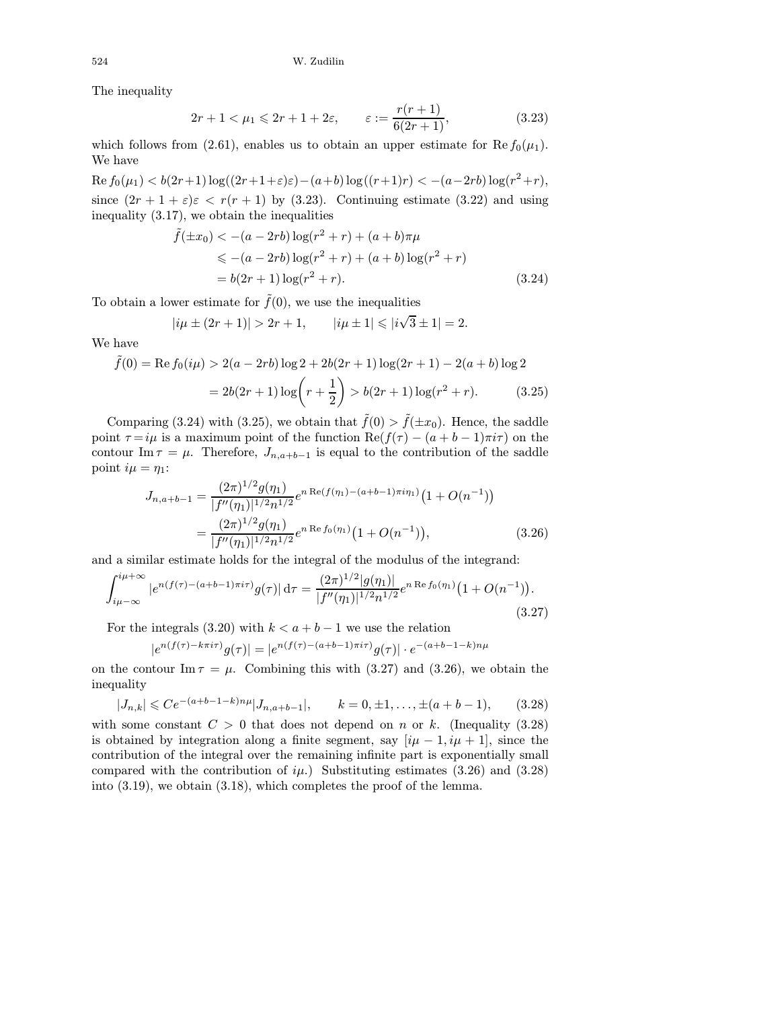The inequality

$$
2r + 1 < \mu_1 \leqslant 2r + 1 + 2\varepsilon, \qquad \varepsilon := \frac{r(r+1)}{6(2r+1)},\tag{3.23}
$$

which follows from (2.61), enables us to obtain an upper estimate for Re  $f_0(\mu_1)$ . We have

Re  $f_0(μ_1) < b(2r+1) \log((2r+1+\varepsilon)\varepsilon)-(a+b) \log((r+1)r) < -(a-2rb) \log(r^2+r)$ , since  $(2r + 1 + \varepsilon)\varepsilon < r(r + 1)$  by (3.23). Continuing estimate (3.22) and using inequality (3.17), we obtain the inequalities

$$
\tilde{f}(\pm x_0) < -(a - 2rb) \log(r^2 + r) + (a + b)\pi\mu
$$
  
\n
$$
\leq -(a - 2rb) \log(r^2 + r) + (a + b) \log(r^2 + r)
$$
  
\n
$$
= b(2r + 1) \log(r^2 + r).
$$
\n(3.24)

To obtain a lower estimate for  $\tilde{f}(0)$ , we use the inequalities

$$
|i\mu \pm (2r+1)| > 2r+1, \qquad |i\mu \pm 1| \le |i\sqrt{3} \pm 1| = 2.
$$

We have

$$
\tilde{f}(0) = \text{Re}\,f_0(i\mu) > 2(a - 2rb)\log 2 + 2b(2r + 1)\log(2r + 1) - 2(a + b)\log 2
$$
\n
$$
= 2b(2r + 1)\log\left(r + \frac{1}{2}\right) > b(2r + 1)\log(r^2 + r). \tag{3.25}
$$

Comparing (3.24) with (3.25), we obtain that  $\tilde{f}(0) > \tilde{f}(\pm x_0)$ . Hence, the saddle point  $\tau = i\mu$  is a maximum point of the function  $\text{Re}(f(\tau) - (a+b-1)\pi i\tau)$  on the contour Im  $\tau = \mu$ . Therefore,  $J_{n,a+b-1}$  is equal to the contribution of the saddle point  $i\mu = \eta_1$ :

$$
J_{n,a+b-1} = \frac{(2\pi)^{1/2} g(\eta_1)}{|f''(\eta_1)|^{1/2} n^{1/2}} e^{n \operatorname{Re}(f(\eta_1) - (a+b-1)\pi i \eta_1)} \left(1 + O(n^{-1})\right)
$$
  
= 
$$
\frac{(2\pi)^{1/2} g(\eta_1)}{|f''(\eta_1)|^{1/2} n^{1/2}} e^{n \operatorname{Re} f_0(\eta_1)} \left(1 + O(n^{-1})\right),
$$
(3.26)

and a similar estimate holds for the integral of the modulus of the integrand:

$$
\int_{i\mu-\infty}^{i\mu+\infty} |e^{n(f(\tau)-(a+b-1)\pi i\tau)}g(\tau)| d\tau = \frac{(2\pi)^{1/2}|g(\eta_1)|}{|f''(\eta_1)|^{1/2}n^{1/2}}e^{n\operatorname{Re}f_0(\eta_1)}(1+O(n^{-1})).
$$
\n(3.27)

For the integrals (3.20) with  $k < a + b - 1$  we use the relation

$$
|e^{n(f(\tau)-k\pi i\tau)}g(\tau)| = |e^{n(f(\tau)-(a+b-1)\pi i\tau)}g(\tau)| \cdot e^{-(a+b-1-k)n\mu}
$$

on the contour  $\text{Im}\,\tau = \mu$ . Combining this with (3.27) and (3.26), we obtain the inequality

$$
|J_{n,k}| \leq C e^{-(a+b-1-k)n\mu} |J_{n,a+b-1}|, \qquad k=0, \pm 1, \dots, \pm (a+b-1), \qquad (3.28)
$$

with some constant  $C > 0$  that does not depend on n or k. (Inequality (3.28) is obtained by integration along a finite segment, say  $[i\mu - 1, i\mu + 1]$ , since the contribution of the integral over the remaining infinite part is exponentially small compared with the contribution of  $i\mu$ .) Substituting estimates (3.26) and (3.28) into (3.19), we obtain (3.18), which completes the proof of the lemma.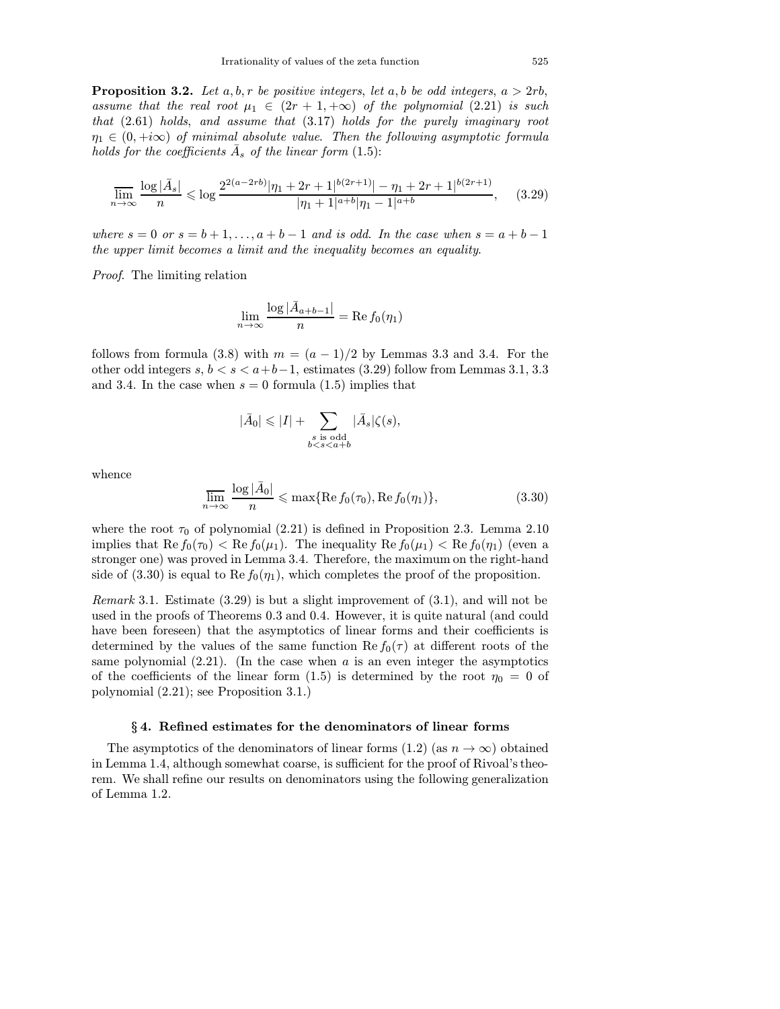**Proposition 3.2.** Let a, b, r be positive integers, let a, b be odd integers,  $a > 2rb$ , assume that the real root  $\mu_1 \in (2r+1, +\infty)$  of the polynomial  $(2.21)$  is such that (2.61) holds, and assume that (3.17) holds for the purely imaginary root  $\eta_1 \in (0, +i\infty)$  of minimal absolute value. Then the following asymptotic formula holds for the coefficients  $\bar{A}_s$  of the linear form (1.5):

$$
\overline{\lim_{n \to \infty}} \frac{\log|\bar{A}_s|}{n} \le \log \frac{2^{2(a-2rb)}|\eta_1 + 2r + 1|^{b(2r+1)}| - \eta_1 + 2r + 1|^{b(2r+1)}}{|\eta_1 + 1|^{a+b}|\eta_1 - 1|^{a+b}}, \quad (3.29)
$$

where  $s = 0$  or  $s = b + 1, \ldots, a + b - 1$  and is odd. In the case when  $s = a + b - 1$ the upper limit becomes a limit and the inequality becomes an equality.

Proof. The limiting relation

$$
\lim_{n \to \infty} \frac{\log |\bar{A}_{a+b-1}|}{n} = \text{Re}\, f_0(\eta_1)
$$

follows from formula (3.8) with  $m = (a - 1)/2$  by Lemmas 3.3 and 3.4. For the other odd integers  $s, b < s < a+b-1$ , estimates (3.29) follow from Lemmas 3.1, 3.3 and 3.4. In the case when  $s = 0$  formula (1.5) implies that

$$
|\bar{A}_0|\leqslant |I|+\sum_{\substack{s\text{ is odd}\\ b
$$

whence

$$
\overline{\lim_{n \to \infty}} \frac{\log|\bar{A}_0|}{n} \le \max\{\text{Re}\,f_0(\tau_0), \text{Re}\,f_0(\eta_1)\},\tag{3.30}
$$

where the root  $\tau_0$  of polynomial (2.21) is defined in Proposition 2.3. Lemma 2.10 implies that  $\text{Re } f_0(\tau_0) < \text{Re } f_0(\mu_1)$ . The inequality  $\text{Re } f_0(\mu_1) < \text{Re } f_0(\eta_1)$  (even a stronger one) was proved in Lemma 3.4. Therefore, the maximum on the right-hand side of (3.30) is equal to Re  $f_0(\eta_1)$ , which completes the proof of the proposition.

Remark 3.1. Estimate  $(3.29)$  is but a slight improvement of  $(3.1)$ , and will not be used in the proofs of Theorems 0.3 and 0.4. However, it is quite natural (and could have been foreseen) that the asymptotics of linear forms and their coefficients is determined by the values of the same function  $\text{Re } f_0(\tau)$  at different roots of the same polynomial  $(2.21)$ . (In the case when a is an even integer the asymptotics of the coefficients of the linear form (1.5) is determined by the root  $\eta_0 = 0$  of polynomial (2.21); see Proposition 3.1.)

#### § 4. Refined estimates for the denominators of linear forms

The asymptotics of the denominators of linear forms (1.2) (as  $n \to \infty$ ) obtained in Lemma 1.4, although somewhat coarse, is sufficient for the proof of Rivoal's theorem. We shall refine our results on denominators using the following generalization of Lemma 1.2.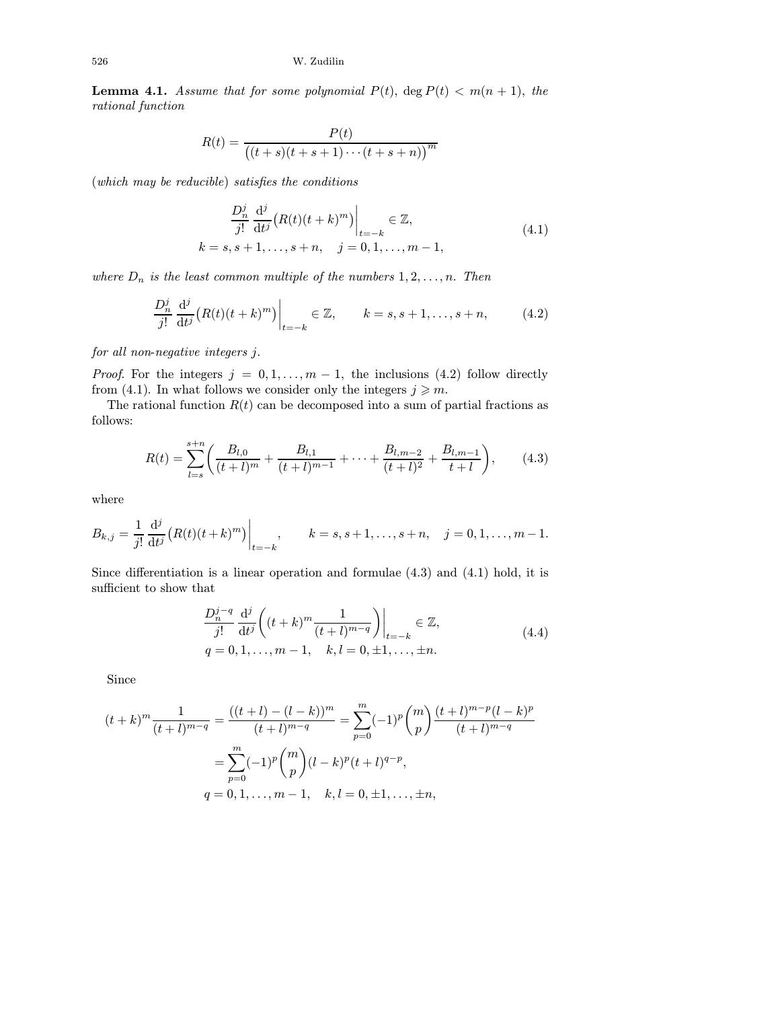**Lemma 4.1.** Assume that for some polynomial  $P(t)$ , deg  $P(t) < m(n + 1)$ , the rational function

$$
R(t) = \frac{P(t)}{(t+s)(t+s+1)\cdots(t+s+n))}^m
$$

(which may be reducible) satisfies the conditions

$$
\frac{D_n^j}{j!} \frac{d^j}{dt^j} (R(t)(t+k)^m) \Big|_{t=-k} \in \mathbb{Z},
$$
  
\n
$$
k = s, s+1, \dots, s+n, \quad j = 0, 1, \dots, m-1,
$$
\n(4.1)

where  $D_n$  is the least common multiple of the numbers  $1, 2, \ldots, n$ . Then

$$
\frac{D_n^j}{j!} \frac{\mathrm{d}^j}{\mathrm{d}t^j} \big( R(t) (t+k)^m \big) \bigg|_{t=-k} \in \mathbb{Z}, \qquad k=s, s+1, \dots, s+n, \tag{4.2}
$$

for all non-negative integers j.

*Proof.* For the integers  $j = 0, 1, ..., m - 1$ , the inclusions (4.2) follow directly from (4.1). In what follows we consider only the integers  $j \geq m$ .

The rational function  $R(t)$  can be decomposed into a sum of partial fractions as follows:

$$
R(t) = \sum_{l=s}^{s+n} \left( \frac{B_{l,0}}{(t+l)^m} + \frac{B_{l,1}}{(t+l)^{m-1}} + \dots + \frac{B_{l,m-2}}{(t+l)^2} + \frac{B_{l,m-1}}{t+l} \right),\tag{4.3}
$$

where

$$
B_{k,j} = \frac{1}{j!} \frac{d^j}{dt^j} (R(t)(t+k)^m) \Big|_{t=-k}, \qquad k = s, s+1, \ldots, s+n, \quad j = 0, 1, \ldots, m-1.
$$

Since differentiation is a linear operation and formulae (4.3) and (4.1) hold, it is sufficient to show that

$$
\frac{D_n^{j-q}}{j!} \frac{d^j}{dt^j} \left( (t+k)^m \frac{1}{(t+l)^{m-q}} \right) \Big|_{t=-k} \in \mathbb{Z},
$$
\n
$$
q = 0, 1, \dots, m-1, \quad k, l = 0, \pm 1, \dots, \pm n.
$$
\n(4.4)

Since

$$
(t+k)^m \frac{1}{(t+l)^{m-q}} = \frac{((t+l)-(l-k))^m}{(t+l)^{m-q}} = \sum_{p=0}^m (-1)^p \binom{m}{p} \frac{(t+l)^{m-p}(l-k)^p}{(t+l)^{m-q}}
$$

$$
= \sum_{p=0}^m (-1)^p \binom{m}{p} (l-k)^p (t+l)^{q-p},
$$

$$
q = 0, 1, \dots, m-1, \quad k, l = 0, \pm 1, \dots, \pm n,
$$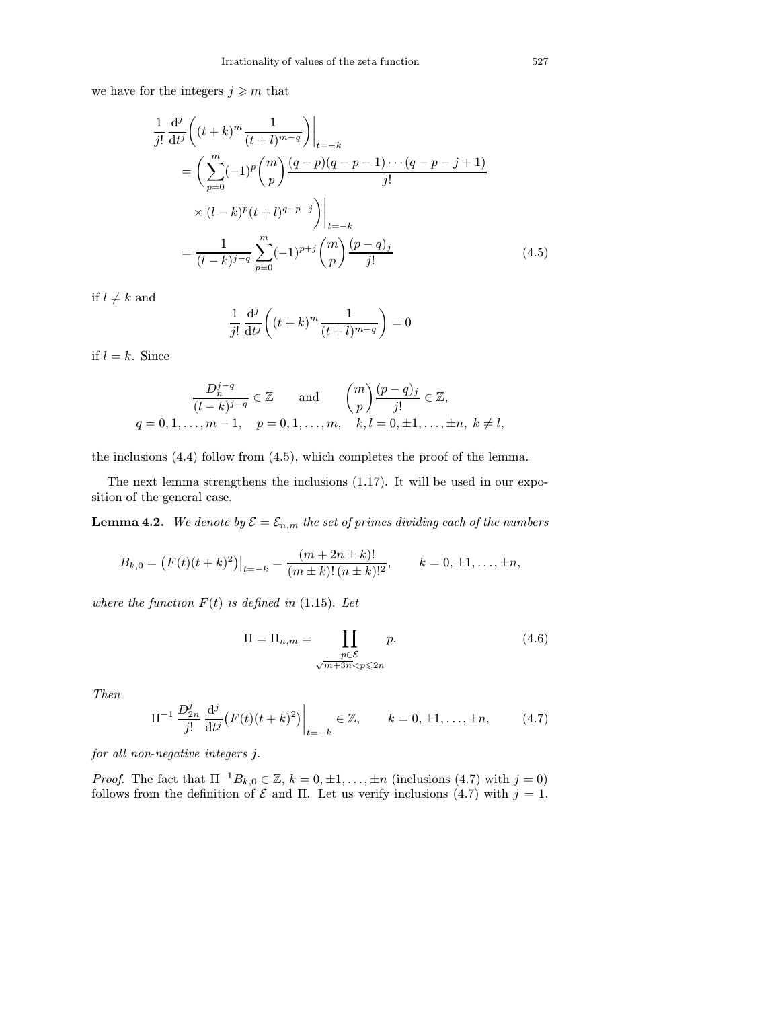we have for the integers  $j\geqslant m$  that

$$
\frac{1}{j!} \frac{d^j}{dt^j} \left( (t+k)^m \frac{1}{(t+l)^{m-q}} \right) \Big|_{t=-k}
$$
\n
$$
= \left( \sum_{p=0}^m (-1)^p \binom{m}{p} \frac{(q-p)(q-p-1)\cdots(q-p-j+1)}{j!} \right)
$$
\n
$$
\times (l-k)^p (t+l)^{q-p-j} \Big) \Big|_{t=-k}
$$
\n
$$
= \frac{1}{(l-k)^{j-q}} \sum_{p=0}^m (-1)^{p+j} \binom{m}{p} \frac{(p-q)_j}{j!} \tag{4.5}
$$

if  $l \neq k$  and

$$
\frac{1}{j!} \frac{\mathrm{d}^j}{\mathrm{d}t^j} \left( (t+k)^m \frac{1}{(t+l)^{m-q}} \right) = 0
$$

if  $l = k$ . Since

$$
\frac{D_n^{j-q}}{(l-k)^{j-q}} \in \mathbb{Z} \quad \text{and} \quad {m \choose p} \frac{(p-q)_j}{j!} \in \mathbb{Z},
$$
  
  $q = 0, 1, ..., m-1, \quad p = 0, 1, ..., m, \quad k, l = 0, \pm 1, ..., \pm n, \ k \neq l,$ 

the inclusions (4.4) follow from (4.5), which completes the proof of the lemma.

The next lemma strengthens the inclusions (1.17). It will be used in our exposition of the general case.

**Lemma 4.2.** We denote by  $\mathcal{E} = \mathcal{E}_{n,m}$  the set of primes dividing each of the numbers

$$
B_{k,0} = (F(t)(t+k)^2)|_{t=-k} = \frac{(m+2n\pm k)!}{(m\pm k)!(n\pm k)!^2}, \qquad k=0,\pm 1,\ldots,\pm n,
$$

where the function  $F(t)$  is defined in (1.15). Let

$$
\Pi = \Pi_{n,m} = \prod_{\substack{p \in \mathcal{E} \\ \sqrt{m+3n} < p \le 2n}} p. \tag{4.6}
$$

Then

$$
\Pi^{-1} \frac{D_{2n}^j}{j!} \frac{d^j}{dt^j} \big( F(t)(t+k)^2 \big) \Big|_{t=-k} \in \mathbb{Z}, \qquad k = 0, \pm 1, \dots, \pm n, \tag{4.7}
$$

for all non-negative integers j.

*Proof.* The fact that  $\Pi^{-1}B_{k,0} \in \mathbb{Z}$ ,  $k = 0, \pm 1, \ldots, \pm n$  (inclusions (4.7) with  $j = 0$ ) follows from the definition of  $\mathcal E$  and  $\Pi$ . Let us verify inclusions (4.7) with  $j = 1$ .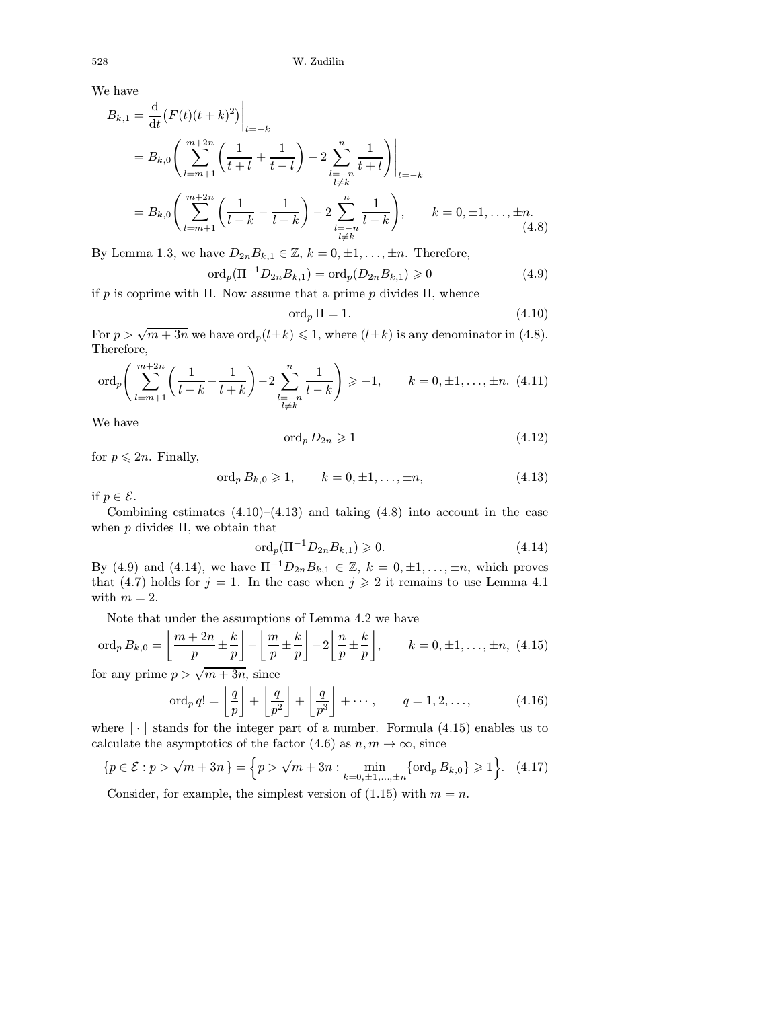We have

$$
B_{k,1} = \frac{d}{dt} (F(t)(t+k)^2) \Big|_{t=-k}
$$
  
=  $B_{k,0} \Biggl( \sum_{l=m+1}^{m+2n} \Biggl( \frac{1}{t+l} + \frac{1}{t-l} \Biggr) - 2 \sum_{\substack{l=-n \\ l \neq k}}^{n} \frac{1}{t+l} \Biggr) \Big|_{t=-k}$   
=  $B_{k,0} \Biggl( \sum_{l=m+1}^{m+2n} \Biggl( \frac{1}{l-k} - \frac{1}{l+k} \Biggr) - 2 \sum_{\substack{l=-n \\ l \neq k}}^{n} \frac{1}{l-k} \Biggr), \qquad k = 0, \pm 1, ..., \pm n.$  (4.8)

By Lemma 1.3, we have  $D_{2n}B_{k,1} \in \mathbb{Z}, k = 0, \pm 1, \ldots, \pm n$ . Therefore,

$$
\text{ord}_p(\Pi^{-1}D_{2n}B_{k,1}) = \text{ord}_p(D_{2n}B_{k,1}) \geq 0 \tag{4.9}
$$

if p is coprime with Π. Now assume that a prime p divides  $\Pi$ , whence

$$
\operatorname{ord}_p \Pi = 1. \tag{4.10}
$$

For  $p > \sqrt{m+3n}$  we have  $\text{ord}_p(l\pm k) \leqslant 1$ , where  $(l\pm k)$  is any denominator in (4.8). Therefore,

$$
\text{ord}_p\left(\sum_{l=m+1}^{m+2n} \left(\frac{1}{l-k} - \frac{1}{l+k}\right) - 2\sum_{\substack{l=-n\\l\neq k}}^{n} \frac{1}{l-k}\right) \geq -1, \qquad k = 0, \pm 1, \dots, \pm n. \tag{4.11}
$$

We have

$$
\operatorname{ord}_p D_{2n} \geqslant 1\tag{4.12}
$$

for  $p \leqslant 2n$ . Finally,

$$
\text{ord}_p B_{k,0} \geq 1, \qquad k = 0, \pm 1, \dots, \pm n,\tag{4.13}
$$

if  $p \in \mathcal{E}$ .

Combining estimates  $(4.10)$ – $(4.13)$  and taking  $(4.8)$  into account in the case when  $p$  divides  $\Pi$ , we obtain that

$$
\text{ord}_p(\Pi^{-1}D_{2n}B_{k,1}) \geq 0. \tag{4.14}
$$

By (4.9) and (4.14), we have  $\Pi^{-1}D_{2n}B_{k,1} \in \mathbb{Z}$ ,  $k = 0, \pm 1, ..., \pm n$ , which proves that (4.7) holds for  $j = 1$ . In the case when  $j \ge 2$  it remains to use Lemma 4.1 with  $m = 2$ .

Note that under the assumptions of Lemma 4.2 we have

$$
\operatorname{ord}_p B_{k,0} = \left\lfloor \frac{m+2n}{p} \pm \frac{k}{p} \right\rfloor - \left\lfloor \frac{m}{p} \pm \frac{k}{p} \right\rfloor - 2 \left\lfloor \frac{n}{p} \pm \frac{k}{p} \right\rfloor, \qquad k = 0, \pm 1, \dots, \pm n, \ (4.15)
$$

for any prime  $p > \sqrt{m+3n}$ , since

$$
\operatorname{ord}_p q! = \left\lfloor \frac{q}{p} \right\rfloor + \left\lfloor \frac{q}{p^2} \right\rfloor + \left\lfloor \frac{q}{p^3} \right\rfloor + \cdots, \qquad q = 1, 2, \dots,
$$
 (4.16)

where  $|\cdot|$  stands for the integer part of a number. Formula (4.15) enables us to calculate the asymptotics of the factor (4.6) as  $n, m \to \infty$ , since

$$
\{p \in \mathcal{E} : p > \sqrt{m+3n}\} = \{p > \sqrt{m+3n} : \min_{k=0,\pm 1,\dots,\pm n} \{\text{ord}_p B_{k,0}\} \geqslant 1\}.
$$
 (4.17)

Consider, for example, the simplest version of  $(1.15)$  with  $m = n$ .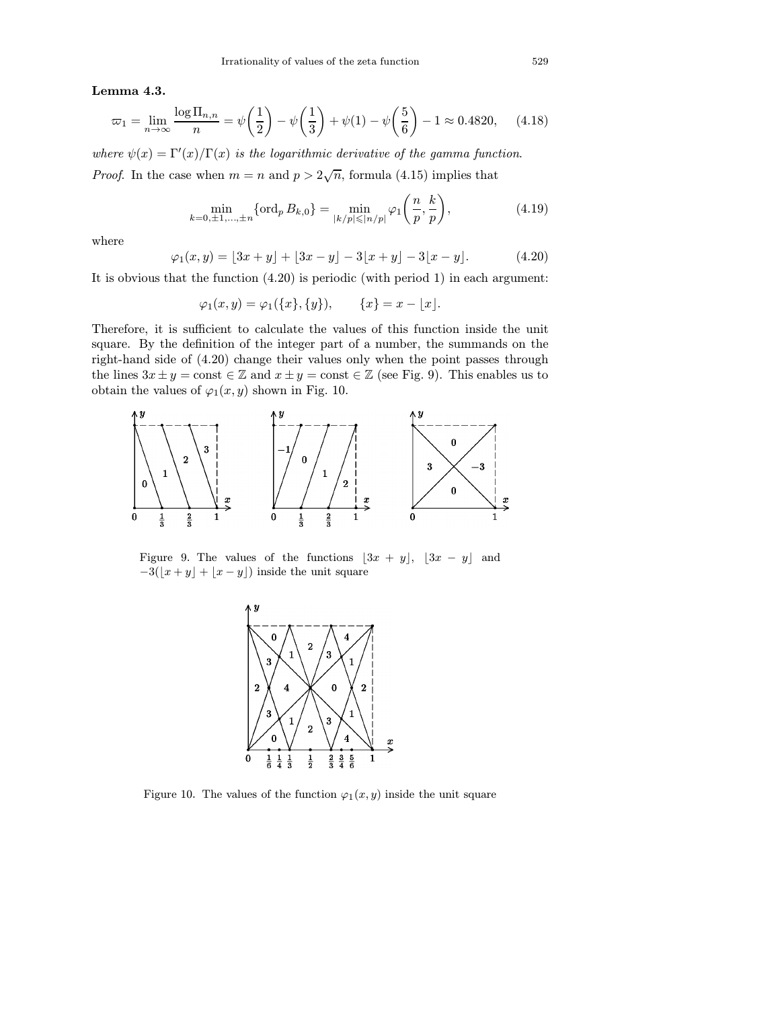Lemma 4.3.

$$
\varpi_1 = \lim_{n \to \infty} \frac{\log \Pi_{n,n}}{n} = \psi\left(\frac{1}{2}\right) - \psi\left(\frac{1}{3}\right) + \psi(1) - \psi\left(\frac{5}{6}\right) - 1 \approx 0.4820,\tag{4.18}
$$

where  $\psi(x) = \Gamma'(x)/\Gamma(x)$  is the logarithmic derivative of the gamma function. *Proof.* In the case when  $m = n$  and  $p > 2\sqrt{n}$ , formula (4.15) implies that

$$
\min_{k=0,\pm 1,\dots,\pm n} \{ \text{ord}_p B_{k,0} \} = \min_{|k/p| \leqslant |n/p|} \varphi_1 \bigg( \frac{n}{p}, \frac{k}{p} \bigg),\tag{4.19}
$$

where

$$
\varphi_1(x, y) = [3x + y] + [3x - y] - 3[x + y] - 3[x - y]. \tag{4.20}
$$

It is obvious that the function (4.20) is periodic (with period 1) in each argument:

$$
\varphi_1(x, y) = \varphi_1(\{x\}, \{y\}), \qquad \{x\} = x - \lfloor x \rfloor.
$$

Therefore, it is sufficient to calculate the values of this function inside the unit square. By the definition of the integer part of a number, the summands on the right-hand side of (4.20) change their values only when the point passes through the lines  $3x \pm y = \text{const} \in \mathbb{Z}$  and  $x \pm y = \text{const} \in \mathbb{Z}$  (see Fig. 9). This enables us to obtain the values of  $\varphi_1(x, y)$  shown in Fig. 10.



Figure 9. The values of the functions  $[3x + y]$ ,  $[3x - y]$  and  $-3(\lfloor x+y\rfloor + \lfloor x-y\rfloor)$  inside the unit square



Figure 10. The values of the function  $\varphi_1(x, y)$  inside the unit square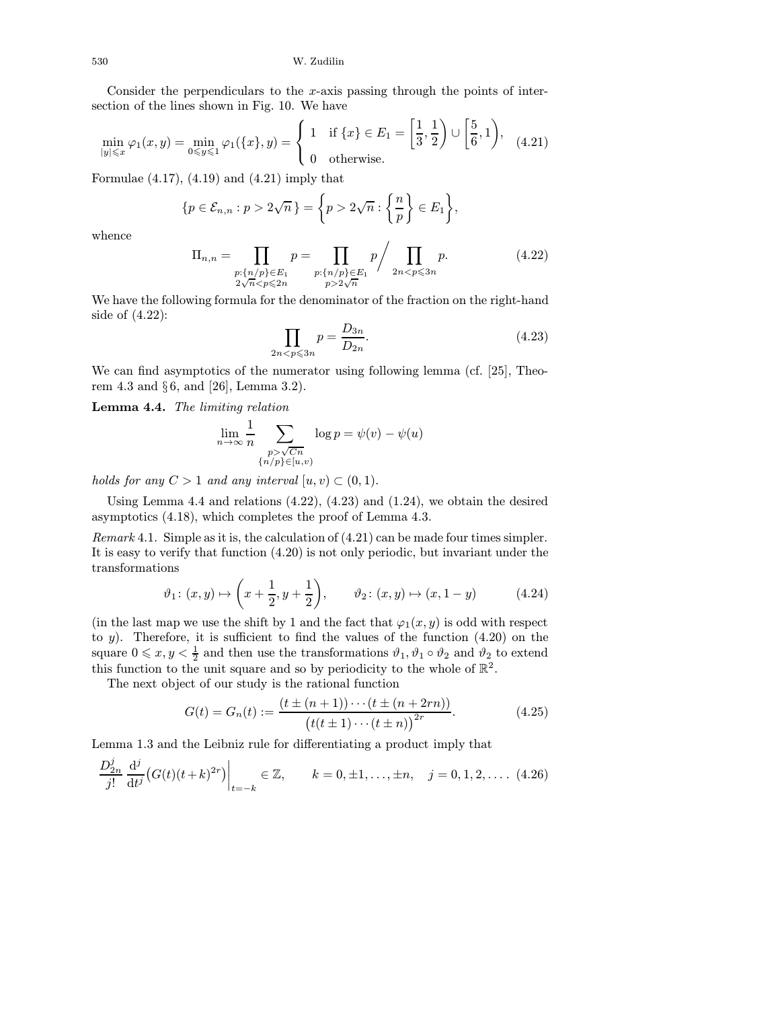Consider the perpendiculars to the x-axis passing through the points of intersection of the lines shown in Fig. 10. We have

$$
\min_{|y| \leqslant x} \varphi_1(x, y) = \min_{0 \leqslant y \leqslant 1} \varphi_1(\{x\}, y) = \begin{cases} 1 & \text{if } \{x\} \in E_1 = \left[\frac{1}{3}, \frac{1}{2}\right) \cup \left[\frac{5}{6}, 1\right), \\ 0 & \text{otherwise.} \end{cases} \tag{4.21}
$$

Formulae  $(4.17)$ ,  $(4.19)$  and  $(4.21)$  imply that

$$
\{p \in \mathcal{E}_{n,n} : p > 2\sqrt{n}\} = \bigg\{p > 2\sqrt{n} : \bigg\{\frac{n}{p}\bigg\} \in E_1\bigg\},\
$$

whence

Dj

$$
\Pi_{n,n} = \prod_{\substack{p:\{n/p\} \in E_1 \\ 2\sqrt{n} < p \le 2n}} p = \prod_{\substack{p:\{n/p\} \in E_1 \\ p > 2\sqrt{n}}} p \bigg/ \prod_{\substack{2n < p \le 3n}} p. \tag{4.22}
$$

We have the following formula for the denominator of the fraction on the right-hand side of (4.22):

$$
\prod_{2n < p \leqslant 3n} p = \frac{D_{3n}}{D_{2n}}.\tag{4.23}
$$

We can find asymptotics of the numerator using following lemma (cf. [\[25\],](#page-53-0) Theorem 4.3 and § 6, and [\[26\],](#page-53-0) Lemma 3.2).

Lemma 4.4. The limiting relation

$$
\lim_{n \to \infty} \frac{1}{n} \sum_{\substack{p > \sqrt{Cn} \\ \{n/p\} \in [u,v)}} \log p = \psi(v) - \psi(u)
$$

holds for any  $C > 1$  and any interval  $[u, v) \subset (0, 1)$ .

Using Lemma 4.4 and relations (4.22), (4.23) and (1.24), we obtain the desired asymptotics (4.18), which completes the proof of Lemma 4.3.

Remark 4.1. Simple as it is, the calculation of (4.21) can be made four times simpler. It is easy to verify that function (4.20) is not only periodic, but invariant under the transformations

$$
\vartheta_1\colon (x, y) \mapsto \left(x + \frac{1}{2}, y + \frac{1}{2}\right), \qquad \vartheta_2\colon (x, y) \mapsto (x, 1 - y)
$$
\n(4.24)

(in the last map we use the shift by 1 and the fact that  $\varphi_1(x, y)$  is odd with respect to  $y$ ). Therefore, it is sufficient to find the values of the function  $(4.20)$  on the square  $0 \leq x, y < \frac{1}{2}$  and then use the transformations  $\vartheta_1, \vartheta_1 \circ \vartheta_2$  and  $\vartheta_2$  to extend this function to the unit square and so by periodicity to the whole of  $\mathbb{R}^2$ .

The next object of our study is the rational function

$$
G(t) = G_n(t) := \frac{(t \pm (n+1)) \cdots (t \pm (n+2rn))}{(t(t \pm 1) \cdots (t \pm n))^{2r}}.
$$
 (4.25)

Lemma 1.3 and the Leibniz rule for differentiating a product imply that

$$
\frac{D_{2n}^{j}}{j!} \frac{d^{j}}{dt^{j}} (G(t)(t+k)^{2r}) \Big|_{t=-k} \in \mathbb{Z}, \qquad k=0, \pm 1, \dots, \pm n, \quad j=0, 1, 2, \dots. \tag{4.26}
$$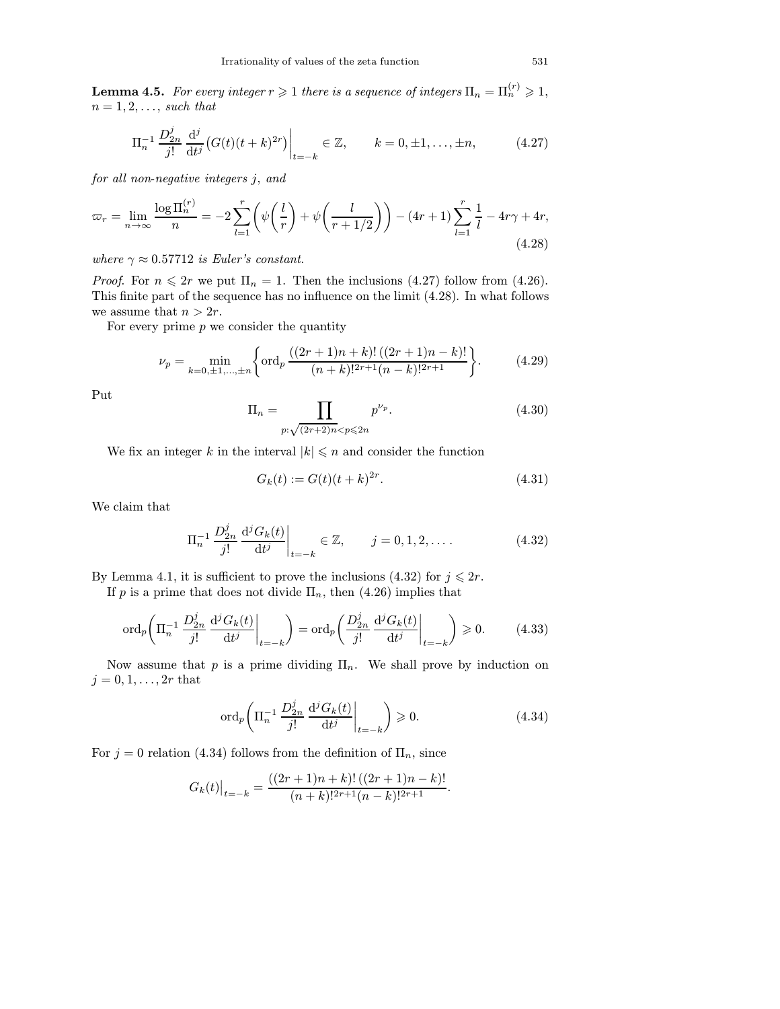**Lemma 4.5.** For every integer  $r \geq 1$  there is a sequence of integers  $\Pi_n = \Pi_n^{(r)} \geq 1$ ,  $n = 1, 2, \ldots$ , such that

$$
\Pi_n^{-1} \frac{D_{2n}^j}{j!} \frac{d^j}{dt^j} \big( G(t)(t+k)^{2r} \big) \Big|_{t=-k} \in \mathbb{Z}, \qquad k = 0, \pm 1, \dots, \pm n, \tag{4.27}
$$

for all non-negative integers j, and

$$
\varpi_r = \lim_{n \to \infty} \frac{\log \Pi_n^{(r)}}{n} = -2 \sum_{l=1}^r \left( \psi \left( \frac{l}{r} \right) + \psi \left( \frac{l}{r+1/2} \right) \right) - (4r+1) \sum_{l=1}^r \frac{1}{l} - 4r\gamma + 4r,
$$
\n(4.28)

where  $\gamma \approx 0.57712$  is Euler's constant.

*Proof.* For  $n \leq 2r$  we put  $\Pi_n = 1$ . Then the inclusions (4.27) follow from (4.26). This finite part of the sequence has no influence on the limit (4.28). In what follows we assume that  $n > 2r$ .

For every prime  $p$  we consider the quantity

$$
\nu_p = \min_{k=0,\pm 1,\dots,\pm n} \left\{ \text{ord}_p \, \frac{((2r+1)n+k)! \, ((2r+1)n-k)!}{(n+k)!^{2r+1} (n-k)!^{2r+1}} \right\}.
$$
 (4.29)

Put

$$
\Pi_n = \prod_{p:\sqrt{(2r+2)n} < p \le 2n} p^{\nu_p}.\tag{4.30}
$$

We fix an integer k in the interval  $|k| \leq n$  and consider the function

$$
G_k(t) := G(t)(t+k)^{2r}.
$$
\n(4.31)

We claim that

$$
\Pi_n^{-1} \frac{D_{2n}^j}{j!} \frac{d^j G_k(t)}{dt^j} \bigg|_{t=-k} \in \mathbb{Z}, \qquad j = 0, 1, 2, \dots.
$$
 (4.32)

By Lemma 4.1, it is sufficient to prove the inclusions (4.32) for  $j \leq 2r$ .

If p is a prime that does not divide  $\Pi_n$ , then (4.26) implies that

$$
\operatorname{ord}_p\left(\Pi_n^{-1}\frac{D_{2n}^j}{j!}\frac{\mathrm{d}^j G_k(t)}{\mathrm{d}t^j}\bigg|_{t=-k}\right) = \operatorname{ord}_p\left(\frac{D_{2n}^j}{j!}\frac{\mathrm{d}^j G_k(t)}{\mathrm{d}t^j}\bigg|_{t=-k}\right) \geq 0. \tag{4.33}
$$

Now assume that p is a prime dividing  $\Pi_n$ . We shall prove by induction on  $j = 0, 1, ..., 2r$  that

$$
\operatorname{ord}_p\left(\Pi_n^{-1}\frac{D_{2n}^j}{j!}\frac{\mathrm{d}^jG_k(t)}{\mathrm{d}t^j}\bigg|_{t=-k}\right) \geqslant 0. \tag{4.34}
$$

For  $j = 0$  relation (4.34) follows from the definition of  $\Pi_n$ , since

$$
G_k(t)|_{t=-k} = \frac{((2r+1)n+k)! ((2r+1)n-k)!}{(n+k)!^{2r+1}(n-k)!^{2r+1}}.
$$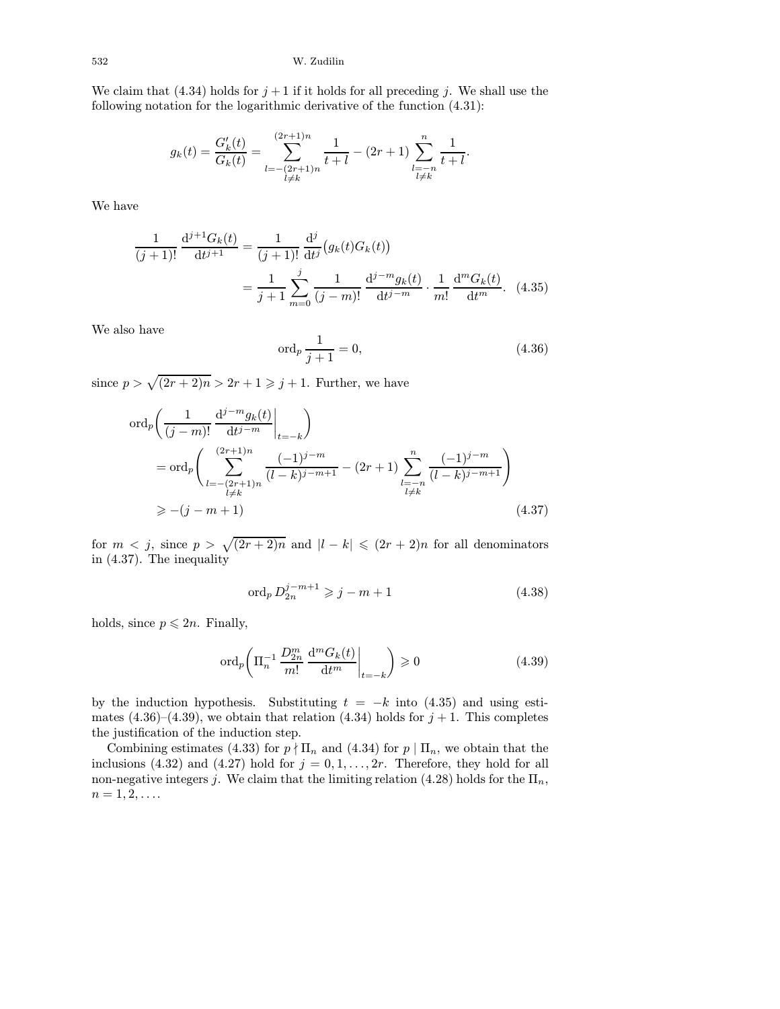We claim that (4.34) holds for  $j + 1$  if it holds for all preceding j. We shall use the following notation for the logarithmic derivative of the function (4.31):

$$
g_k(t) = \frac{G'_k(t)}{G_k(t)} = \sum_{\substack{l = -(2r+1)n \\ l \neq k}}^{(2r+1)n} \frac{1}{t+l} - (2r+1) \sum_{\substack{l = -n \\ l \neq k}}^{n} \frac{1}{t+l}.
$$

We have

$$
\frac{1}{(j+1)!} \frac{d^{j+1}G_k(t)}{dt^{j+1}} = \frac{1}{(j+1)!} \frac{d^j}{dt^j} (g_k(t)G_k(t))
$$

$$
= \frac{1}{j+1} \sum_{m=0}^j \frac{1}{(j-m)!} \frac{d^{j-m}g_k(t)}{dt^{j-m}} \cdot \frac{1}{m!} \frac{d^mG_k(t)}{dt^m}.
$$
(4.35)

We also have

$$
\operatorname{ord}_p \frac{1}{j+1} = 0,\tag{4.36}
$$

since  $p > \sqrt{(2r+2)n} > 2r + 1 \geq j+1$ . Further, we have

$$
\begin{split} \n\operatorname{ord}_p\bigg(\frac{1}{(j-m)!}\frac{\mathrm{d}^{j-m}g_k(t)}{\mathrm{d}t^{j-m}}\bigg|_{t=-k}\bigg) \\ \n&= \operatorname{ord}_p\bigg(\sum_{\substack{l=-(2r+1)n\\l\neq k}}^{(2r+1)n} \frac{(-1)^{j-m}}{(l-k)^{j-m+1}} - (2r+1) \sum_{\substack{l=-n\\l\neq k}}^n \frac{(-1)^{j-m}}{(l-k)^{j-m+1}}\bigg) \\ \n&\ge -(j-m+1) \tag{4.37} \n\end{split}
$$

for  $m < j$ , since  $p > \sqrt{(2r+2)n}$  and  $|l - k| \leqslant (2r+2)n$  for all denominators in (4.37). The inequality

$$
\text{ord}_p \, D_{2n}^{j-m+1} \geqslant j-m+1 \tag{4.38}
$$

holds, since  $p \leqslant 2n$ . Finally,

$$
\operatorname{ord}_p\left(\Pi_n^{-1}\frac{D_{2n}^m}{m!}\frac{\mathrm{d}^m G_k(t)}{\mathrm{d}t^m}\bigg|_{t=-k}\right) \geqslant 0\tag{4.39}
$$

by the induction hypothesis. Substituting  $t = -k$  into (4.35) and using estimates (4.36)–(4.39), we obtain that relation (4.34) holds for  $j + 1$ . This completes the justification of the induction step.

Combining estimates (4.33) for  $p \nmid \prod_n$  and (4.34) for  $p \mid \prod_n$ , we obtain that the inclusions (4.32) and (4.27) hold for  $j = 0, 1, \ldots, 2r$ . Therefore, they hold for all non-negative integers j. We claim that the limiting relation (4.28) holds for the  $\Pi_n$ ,  $n = 1, 2, \ldots$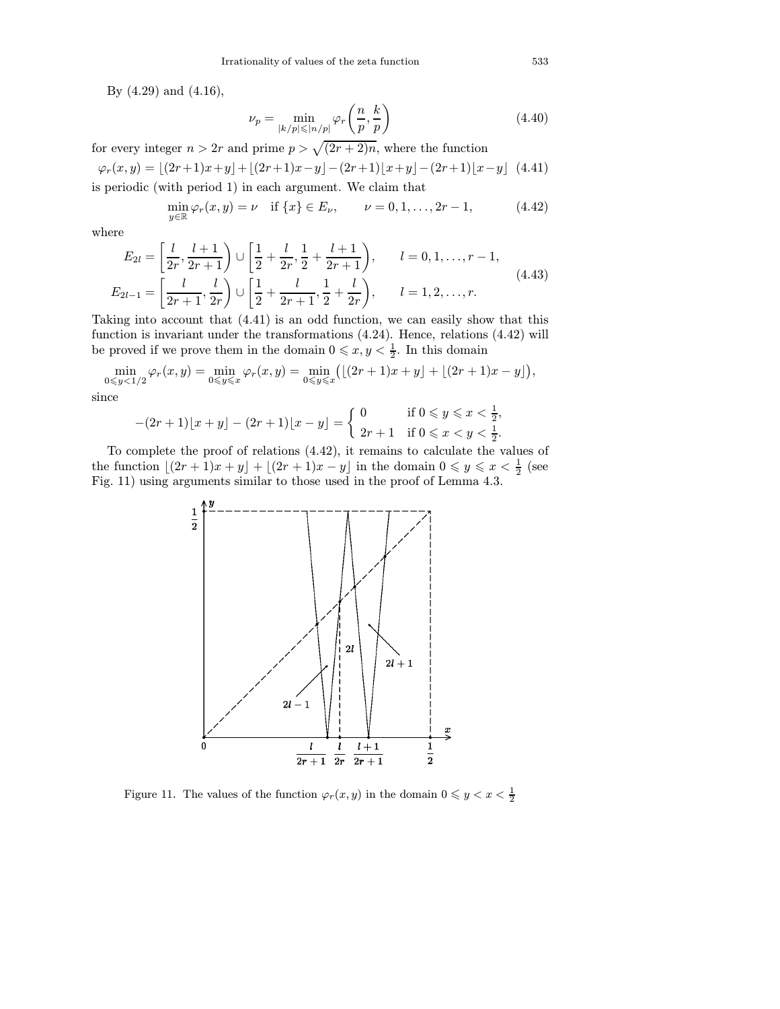By (4.29) and (4.16),

$$
\nu_p = \min_{|k/p| \le |n/p|} \varphi_r\left(\frac{n}{p}, \frac{k}{p}\right) \tag{4.40}
$$

for every integer  $n > 2r$  and prime  $p > \sqrt{(2r+2)n}$ , where the function

$$
\varphi_r(x,y) = \lfloor (2r+1)x+y \rfloor + \lfloor (2r+1)x-y \rfloor - (2r+1)\lfloor x+y \rfloor - (2r+1)\lfloor x-y \rfloor
$$
 (4.41)  
is periodic (with period 1) in each argument. We claim that

$$
\min_{y \in \mathbb{R}} \varphi_r(x, y) = \nu \quad \text{if } \{x\} \in E_\nu, \qquad \nu = 0, 1, \dots, 2r - 1,
$$
\n(4.42)

where

$$
E_{2l} = \left[\frac{l}{2r}, \frac{l+1}{2r+1}\right) \cup \left[\frac{1}{2} + \frac{l}{2r}, \frac{1}{2} + \frac{l+1}{2r+1}\right), \qquad l = 0, 1, \dots, r-1,
$$
  
\n
$$
E_{2l-1} = \left[\frac{l}{2r+1}, \frac{l}{2r}\right) \cup \left[\frac{1}{2} + \frac{l}{2r+1}, \frac{1}{2} + \frac{l}{2r}\right), \qquad l = 1, 2, \dots, r.
$$
\n(4.43)

Taking into account that (4.41) is an odd function, we can easily show that this function is invariant under the transformations (4.24). Hence, relations (4.42) will be proved if we prove them in the domain  $0 \leq x, y < \frac{1}{2}$ . In this domain

$$
\min_{0 \leq y < 1/2} \varphi_r(x, y) = \min_{0 \leq y \leq x} \varphi_r(x, y) = \min_{0 \leq y \leq x} \left( \lfloor (2r + 1)x + y \rfloor + \lfloor (2r + 1)x - y \rfloor \right),
$$

since

$$
-(2r+1)\lfloor x+y\rfloor - (2r+1)\lfloor x-y\rfloor = \begin{cases} 0 & \text{if } 0 \le y \le x < \frac{1}{2}, \\ 2r+1 & \text{if } 0 \le x < y < \frac{1}{2}. \end{cases}
$$

To complete the proof of relations (4.42), it remains to calculate the values of the function  $\lfloor (2r+1)x+y \rfloor + \lfloor (2r+1)x-y \rfloor$  in the domain  $0 \leq y \leq x < \frac{1}{2}$  (see Fig. 11) using arguments similar to those used in the proof of Lemma 4.3.



Figure 11. The values of the function  $\varphi_r(x, y)$  in the domain  $0 \leqslant y < x < \frac{1}{2}$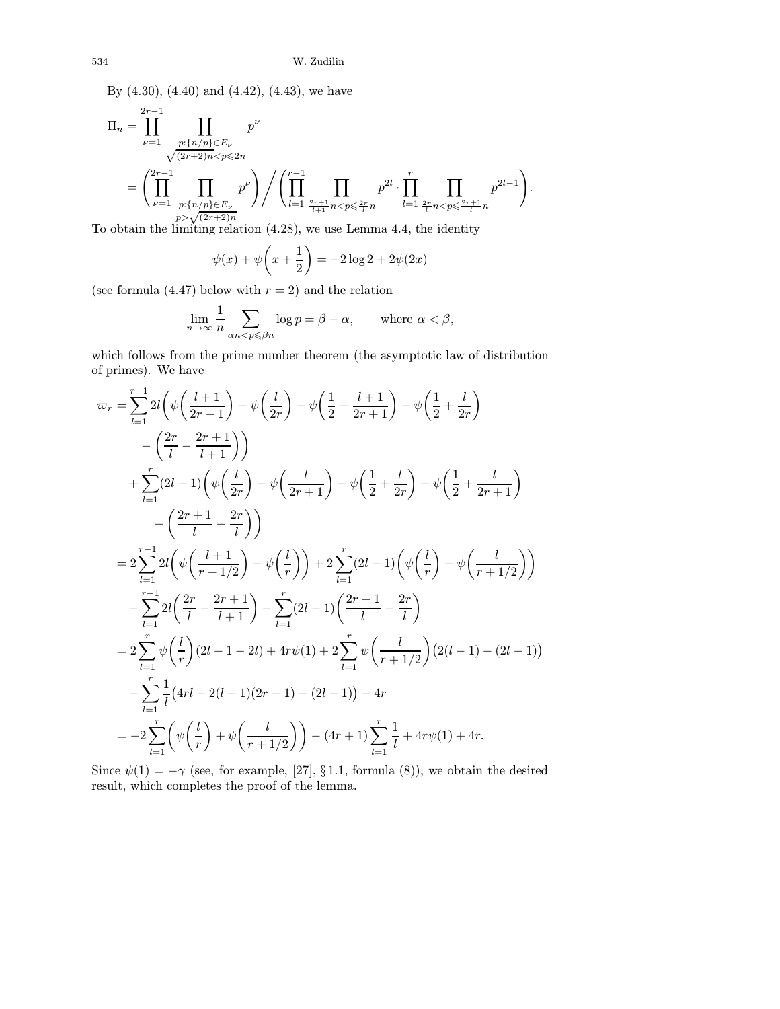By (4.30), (4.40) and (4.42), (4.43), we have

$$
\Pi_n = \prod_{\nu=1}^{2r-1} \prod_{\substack{p:\{n/p\} \in E_{\nu} \\ \sqrt{(2r+2)n} < p \le 2n}} p^{\nu} \\
= \left( \prod_{\nu=1}^{2r-1} \prod_{\substack{p:\{n/p\} \in E_{\nu} \\ p > \sqrt{(2r+2)n}}} p^{\nu} \right) \bigg/ \left( \prod_{l=1}^{r-1} \prod_{\substack{2r+1 \\ \frac{2r+1}{l+1}n < p \le 2r}} p^{2l} \cdot \prod_{l=1}^{r} \prod_{\substack{2r \\ \frac{2r}{l}n < p \le 2r+1}} p^{2l-1} \right).
$$

To obtain the limiting relation (4.28), we use Lemma 4.4, the identity

$$
\psi(x) + \psi\left(x + \frac{1}{2}\right) = -2\log 2 + 2\psi(2x)
$$

(see formula  $(4.47)$  below with  $r = 2$ ) and the relation

$$
\lim_{n \to \infty} \frac{1}{n} \sum_{\alpha n < p \leqslant \beta n} \log p = \beta - \alpha, \qquad \text{where } \alpha < \beta,
$$

which follows from the prime number theorem (the asymptotic law of distribution of primes). We have

$$
\varpi_r = \sum_{l=1}^{r-1} 2l \left( \psi \left( \frac{l+1}{2r+1} \right) - \psi \left( \frac{l}{2r} \right) + \psi \left( \frac{1}{2} + \frac{l+1}{2r+1} \right) - \psi \left( \frac{1}{2} + \frac{l}{2r} \right) \right)
$$
  
\n
$$
- \left( \frac{2r}{l} - \frac{2r+1}{l+1} \right) \right)
$$
  
\n
$$
+ \sum_{l=1}^{r} (2l-1) \left( \psi \left( \frac{l}{2r} \right) - \psi \left( \frac{l}{2r+1} \right) + \psi \left( \frac{1}{2} + \frac{l}{2r} \right) - \psi \left( \frac{1}{2} + \frac{l}{2r+1} \right) \right)
$$
  
\n
$$
- \left( \frac{2r+1}{l} - \frac{2r}{l} \right) \right)
$$
  
\n
$$
= 2 \sum_{l=1}^{r-1} 2l \left( \psi \left( \frac{l+1}{r+1/2} \right) - \psi \left( \frac{l}{r} \right) \right) + 2 \sum_{l=1}^{r} (2l-1) \left( \psi \left( \frac{l}{r} \right) - \psi \left( \frac{l}{r+1/2} \right) \right)
$$
  
\n
$$
- \sum_{l=1}^{r-1} 2l \left( \frac{2r}{l} - \frac{2r+1}{l+1} \right) - \sum_{l=1}^{r} (2l-1) \left( \frac{2r+1}{l} - \frac{2r}{l} \right)
$$
  
\n
$$
= 2 \sum_{l=1}^{r} \psi \left( \frac{l}{r} \right) (2l-1-2l) + 4r \psi(1) + 2 \sum_{l=1}^{r} \psi \left( \frac{l}{r+1/2} \right) (2(l-1) - (2l-1))
$$
  
\n
$$
- \sum_{l=1}^{r} \frac{1}{l} (4rl - 2(l-1)(2r+1) + (2l-1)) + 4r
$$
  
\n
$$
= -2 \sum_{l=1}^{r} \left( \psi \left( \frac{l}{r} \right) + \psi \left( \frac{l}{r+1/2} \right) \right) - (4r
$$

Since  $\psi(1) = -\gamma$  (see, for example, [\[27\],](#page-53-0) §1.1, formula (8)), we obtain the desired result, which completes the proof of the lemma.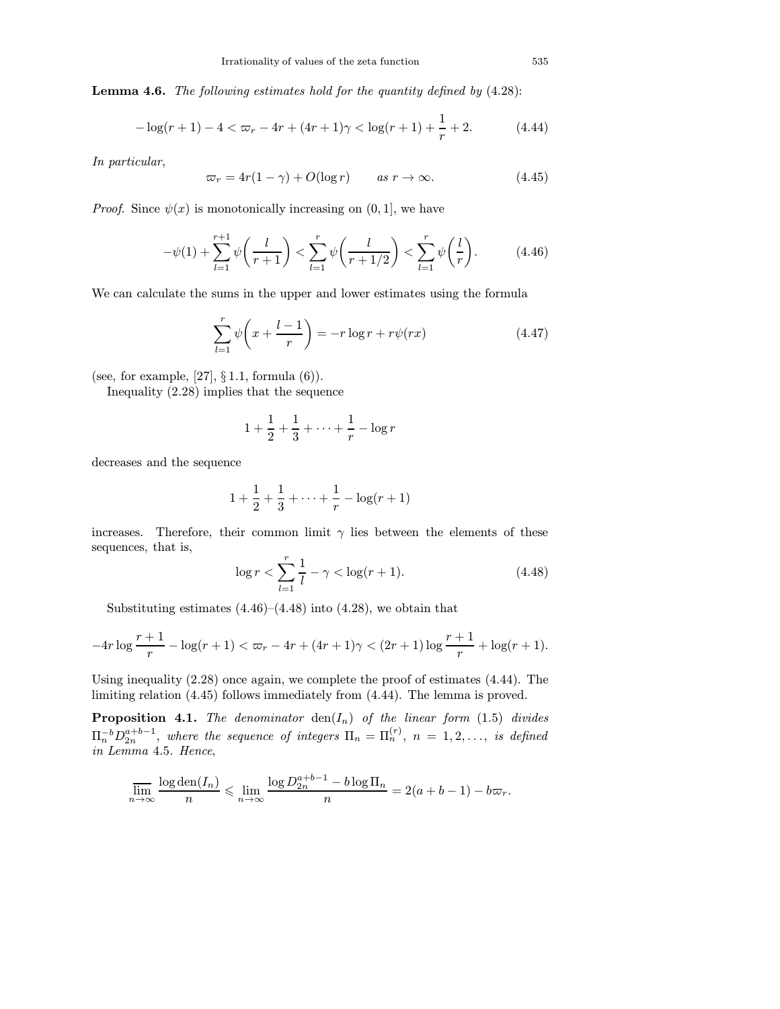Lemma 4.6. The following estimates hold for the quantity defined by (4.28):

$$
-\log(r+1) - 4 < \varpi_r - 4r + (4r+1)\gamma < \log(r+1) + \frac{1}{r} + 2. \tag{4.44}
$$

In particular,

$$
\varpi_r = 4r(1-\gamma) + O(\log r) \qquad \text{as } r \to \infty. \tag{4.45}
$$

*Proof.* Since  $\psi(x)$  is monotonically increasing on  $(0, 1]$ , we have

$$
-\psi(1) + \sum_{l=1}^{r+1} \psi\left(\frac{l}{r+1}\right) < \sum_{l=1}^{r} \psi\left(\frac{l}{r+1/2}\right) < \sum_{l=1}^{r} \psi\left(\frac{l}{r}\right). \tag{4.46}
$$

We can calculate the sums in the upper and lower estimates using the formula

$$
\sum_{l=1}^{r} \psi\left(x + \frac{l-1}{r}\right) = -r \log r + r\psi(rx) \tag{4.47}
$$

(see, for example,  $[27]$ ,  $\S 1.1$ , formula  $(6)$ ).

Inequality (2.28) implies that the sequence

$$
1 + \frac{1}{2} + \frac{1}{3} + \dots + \frac{1}{r} - \log r
$$

decreases and the sequence

$$
1 + \frac{1}{2} + \frac{1}{3} + \dots + \frac{1}{r} - \log(r+1)
$$

increases. Therefore, their common limit  $\gamma$  lies between the elements of these sequences, that is,

$$
\log r < \sum_{l=1}^{r} \frac{1}{l} - \gamma < \log(r+1). \tag{4.48}
$$

Substituting estimates  $(4.46)$ – $(4.48)$  into  $(4.28)$ , we obtain that

$$
-4r\log\frac{r+1}{r}-\log(r+1)<\varpi_r-4r+(4r+1)\gamma<(2r+1)\log\frac{r+1}{r}+\log(r+1).
$$

Using inequality (2.28) once again, we complete the proof of estimates (4.44). The limiting relation (4.45) follows immediately from (4.44). The lemma is proved.

**Proposition 4.1.** The denominator  $den(I_n)$  of the linear form (1.5) divides  $\Pi_n^{-b}D_{2n}^{a+b-1}$ , where the sequence of integers  $\Pi_n = \Pi_n^{(r)}$ ,  $n = 1, 2, \ldots$ , is defined in Lemma 4.5. Hence,

$$
\overline{\lim_{n \to \infty}} \frac{\log \operatorname{den}(I_n)}{n} \leqslant \lim_{n \to \infty} \frac{\log D_{2n}^{a+b-1} - b \log \Pi_n}{n} = 2(a+b-1) - b \varpi_r.
$$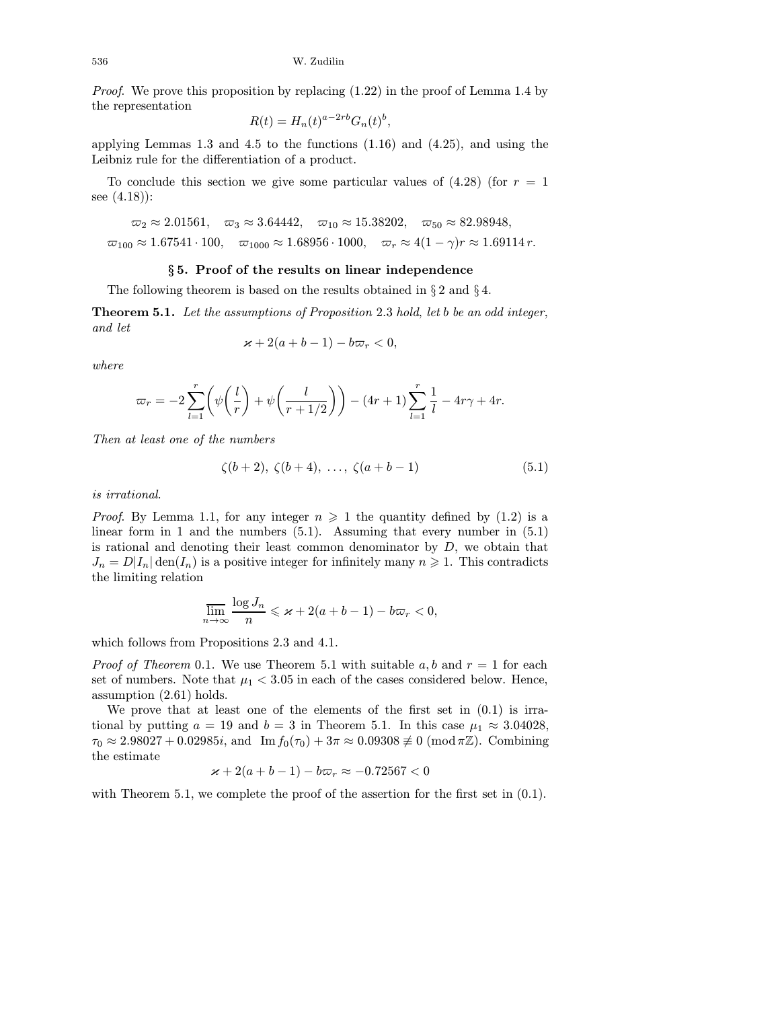*Proof.* We prove this proposition by replacing  $(1.22)$  in the proof of Lemma 1.4 by the representation

$$
R(t) = H_n(t)^{a-2rb} G_n(t)^b,
$$

applying Lemmas 1.3 and 4.5 to the functions (1.16) and (4.25), and using the Leibniz rule for the differentiation of a product.

To conclude this section we give some particular values of  $(4.28)$  (for  $r = 1$ ) see (4.18)):

$$
\omega_2 \approx 2.01561
$$
,  $\omega_3 \approx 3.64442$ ,  $\omega_{10} \approx 15.38202$ ,  $\omega_{50} \approx 82.98948$ ,  
\n $\omega_{100} \approx 1.67541 \cdot 100$ ,  $\omega_{1000} \approx 1.68956 \cdot 1000$ ,  $\omega_r \approx 4(1 - \gamma)r \approx 1.69114 r$ .

## § 5. Proof of the results on linear independence

The following theorem is based on the results obtained in  $\S 2$  and  $\S 4$ .

Theorem 5.1. Let the assumptions of Proposition 2.3 hold, let b be an odd integer, and let

$$
\varkappa + 2(a+b-1) - b\varpi_r < 0,
$$

where

$$
\varpi_r = -2 \sum_{l=1}^r \left( \psi \left( \frac{l}{r} \right) + \psi \left( \frac{l}{r+1/2} \right) \right) - (4r+1) \sum_{l=1}^r \frac{1}{l} - 4r\gamma + 4r.
$$

Then at least one of the numbers

$$
\zeta(b+2), \ \zeta(b+4), \ \ldots, \ \zeta(a+b-1) \tag{5.1}
$$

is irrational.

*Proof.* By Lemma 1.1, for any integer  $n \geq 1$  the quantity defined by (1.2) is a linear form in 1 and the numbers  $(5.1)$ . Assuming that every number in  $(5.1)$ is rational and denoting their least common denominator by  $D$ , we obtain that  $J_n = D|I_n| \text{den}(I_n)$  is a positive integer for infinitely many  $n \geq 1$ . This contradicts the limiting relation

$$
\overline{\lim}_{n \to \infty} \frac{\log J_n}{n} \leqslant \varkappa + 2(a+b-1) - b\varpi_r < 0,
$$

which follows from Propositions 2.3 and 4.1.

*Proof of Theorem* 0.1. We use Theorem 5.1 with suitable a, b and  $r = 1$  for each set of numbers. Note that  $\mu_1 < 3.05$  in each of the cases considered below. Hence, assumption (2.61) holds.

We prove that at least one of the elements of the first set in (0.1) is irrational by putting  $a = 19$  and  $b = 3$  in Theorem 5.1. In this case  $\mu_1 \approx 3.04028$ ,  $\tau_0 \approx 2.98027 + 0.02985i$ , and  $\text{Im } f_0(\tau_0) + 3\pi \approx 0.09308 \not\equiv 0 \pmod{\pi \mathbb{Z}}$ . Combining the estimate

$$
\varkappa+2(a+b-1)-b\varpi_r\approx -0.72567<0
$$

with Theorem 5.1, we complete the proof of the assertion for the first set in  $(0.1)$ .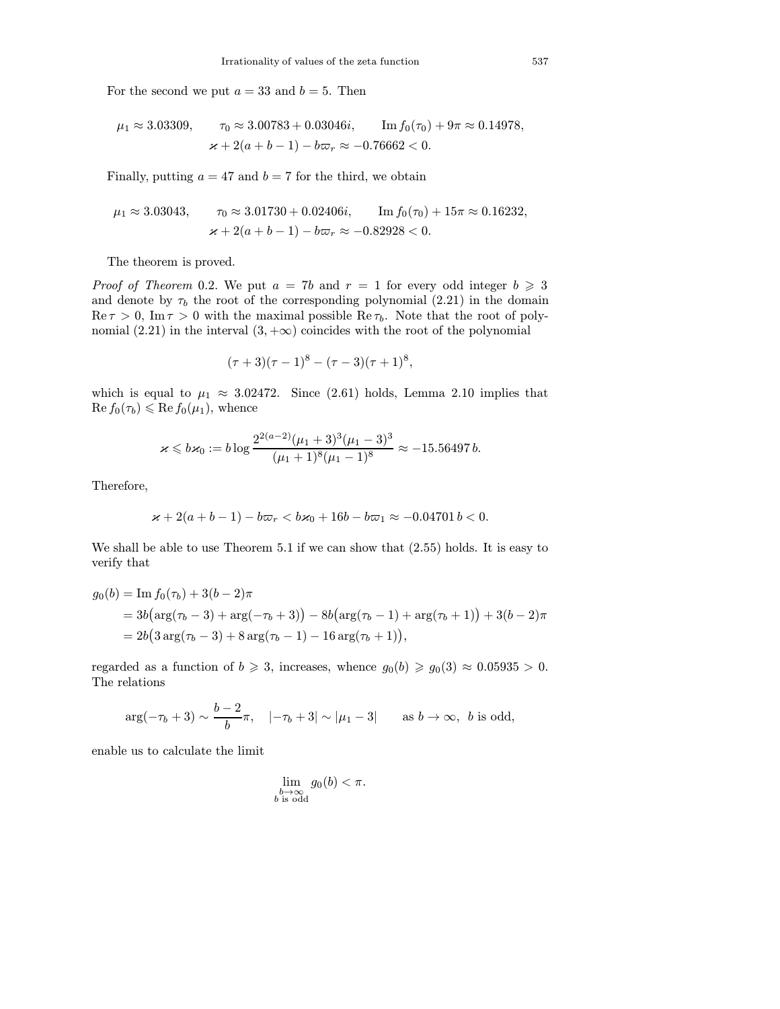For the second we put  $a = 33$  and  $b = 5$ . Then

$$
\mu_1 \approx 3.03309,
$$
\n $\tau_0 \approx 3.00783 + 0.03046i,$ \n $\text{Im } f_0(\tau_0) + 9\pi \approx 0.14978,$ \n  
\n $\varkappa + 2(a + b - 1) - b\varpi_r \approx -0.76662 < 0.$ 

Finally, putting  $a = 47$  and  $b = 7$  for the third, we obtain

$$
\mu_1 \approx 3.03043,
$$
\n $\tau_0 \approx 3.01730 + 0.02406i,$ \n $\text{Im } f_0(\tau_0) + 15\pi \approx 0.16232,$ \n  
\n $\varkappa + 2(a + b - 1) - b\varpi_r \approx -0.82928 < 0.$ 

The theorem is proved.

*Proof of Theorem* 0.2. We put  $a = 7b$  and  $r = 1$  for every odd integer  $b \ge 3$ and denote by  $\tau_b$  the root of the corresponding polynomial (2.21) in the domain  $\text{Re}\,\tau > 0$ ,  $\text{Im}\,\tau > 0$  with the maximal possible  $\text{Re}\,\tau_b$ . Note that the root of polynomial (2.21) in the interval  $(3, +\infty)$  coincides with the root of the polynomial

$$
(\tau+3)(\tau-1)^8 - (\tau-3)(\tau+1)^8,
$$

which is equal to  $\mu_1 \approx 3.02472$ . Since (2.61) holds, Lemma 2.10 implies that  $\text{Re } f_0(\tau_b) \leqslant \text{Re } f_0(\mu_1)$ , whence

$$
\varkappa \leqslant b\varkappa_0:=b\log\frac{2^{2(a-2)}(\mu_1+3)^3(\mu_1-3)^3}{(\mu_1+1)^8(\mu_1-1)^8}\approx -15.56497\,b.
$$

Therefore,

$$
\varkappa+2(a+b-1)-b\varpi_r
$$

We shall be able to use Theorem 5.1 if we can show that (2.55) holds. It is easy to verify that

$$
g_0(b) = \text{Im } f_0(\tau_b) + 3(b - 2)\pi
$$
  
=  $3b(\arg(\tau_b - 3) + \arg(-\tau_b + 3)) - 8b(\arg(\tau_b - 1) + \arg(\tau_b + 1)) + 3(b - 2)\pi$   
=  $2b(3 \arg(\tau_b - 3) + 8 \arg(\tau_b - 1) - 16 \arg(\tau_b + 1)),$ 

regarded as a function of  $b \ge 3$ , increases, whence  $g_0(b) \ge g_0(3) \approx 0.05935 > 0$ . The relations

$$
\arg(-\tau_b+3) \sim \frac{b-2}{b}\pi, \quad |-\tau_b+3| \sim |\mu_1-3| \quad \text{as } b \to \infty, \ b \text{ is odd},
$$

enable us to calculate the limit

$$
\lim_{\substack{b \to \infty \\ b \text{ is odd}}} g_0(b) < \pi.
$$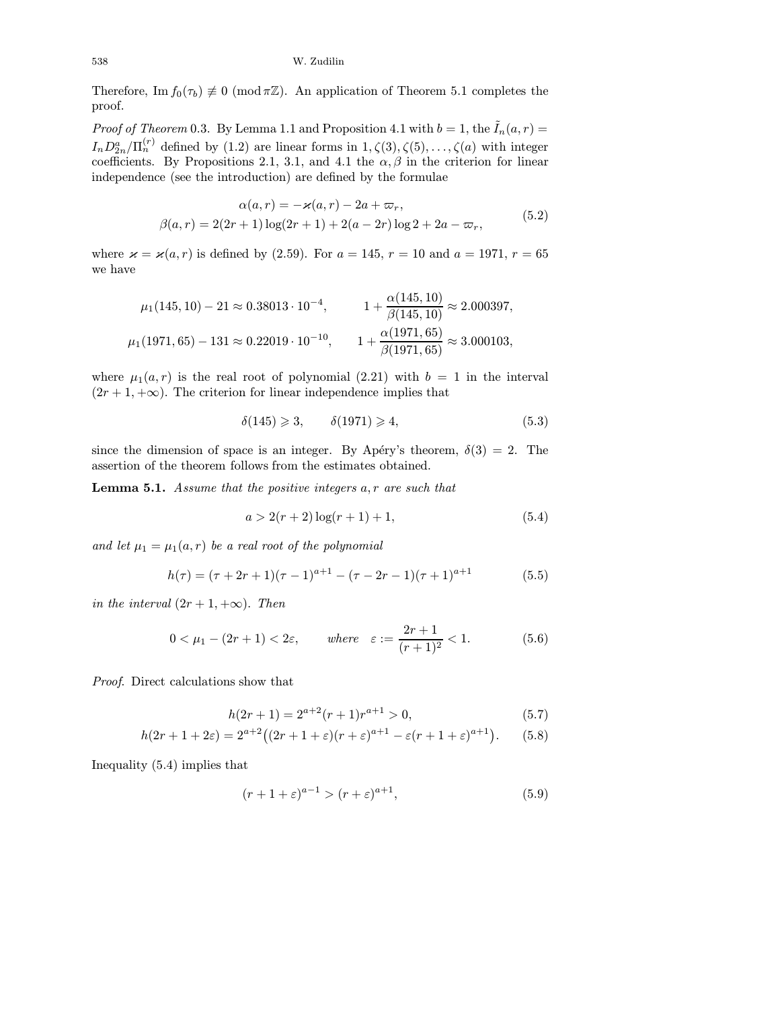Therefore, Im  $f_0(\tau_b) \not\equiv 0 \pmod{\pi \mathbb{Z}}$ . An application of Theorem 5.1 completes the proof.

*Proof of Theorem* 0.3. By Lemma 1.1 and Proposition 4.1 with  $b = 1$ , the  $\tilde{I}_n(a, r) =$  $I_n D_{2n}^a / \Pi_n^{(r)}$  defined by (1.2) are linear forms in  $1, \zeta(3), \zeta(5), \ldots, \zeta(n)$  with integer coefficients. By Propositions 2.1, 3.1, and 4.1 the  $\alpha, \beta$  in the criterion for linear independence (see the introduction) are defined by the formulae

$$
\alpha(a,r) = -\varkappa(a,r) - 2a + \varpi_r,
$$
  
\n
$$
\beta(a,r) = 2(2r+1)\log(2r+1) + 2(a-2r)\log 2 + 2a - \varpi_r,
$$
\n(5.2)

where  $\varkappa = \varkappa(a, r)$  is defined by (2.59). For  $a = 145$ ,  $r = 10$  and  $a = 1971$ ,  $r = 65$ we have

$$
\mu_1(145, 10) - 21 \approx 0.38013 \cdot 10^{-4}, \qquad 1 + \frac{\alpha(145, 10)}{\beta(145, 10)} \approx 2.000397,
$$
  

$$
\mu_1(1971, 65) - 131 \approx 0.22019 \cdot 10^{-10}, \qquad 1 + \frac{\alpha(1971, 65)}{\beta(1971, 65)} \approx 3.000103,
$$

where  $\mu_1(a,r)$  is the real root of polynomial (2.21) with  $b = 1$  in the interval  $(2r+1, +\infty)$ . The criterion for linear independence implies that

$$
\delta(145) \geqslant 3, \qquad \delta(1971) \geqslant 4,\tag{5.3}
$$

since the dimension of space is an integer. By Apéry's theorem,  $\delta(3) = 2$ . The assertion of the theorem follows from the estimates obtained.

**Lemma 5.1.** Assume that the positive integers  $a, r$  are such that

$$
a > 2(r+2)\log(r+1) + 1,\tag{5.4}
$$

and let  $\mu_1 = \mu_1(a, r)$  be a real root of the polynomial

$$
h(\tau) = (\tau + 2r + 1)(\tau - 1)^{a+1} - (\tau - 2r - 1)(\tau + 1)^{a+1}
$$
 (5.5)

in the interval  $(2r + 1, +\infty)$ . Then

$$
0 < \mu_1 - (2r + 1) < 2\varepsilon, \qquad \text{where} \quad \varepsilon := \frac{2r + 1}{(r + 1)^2} < 1. \tag{5.6}
$$

Proof. Direct calculations show that

$$
h(2r+1) = 2^{a+2}(r+1)r^{a+1} > 0,
$$
\n(5.7)

$$
h(2r + 1 + 2\varepsilon) = 2^{a+2} \left( (2r + 1 + \varepsilon)(r + \varepsilon)^{a+1} - \varepsilon (r + 1 + \varepsilon)^{a+1} \right). \tag{5.8}
$$

Inequality (5.4) implies that

$$
(r+1+\varepsilon)^{a-1} > (r+\varepsilon)^{a+1},\tag{5.9}
$$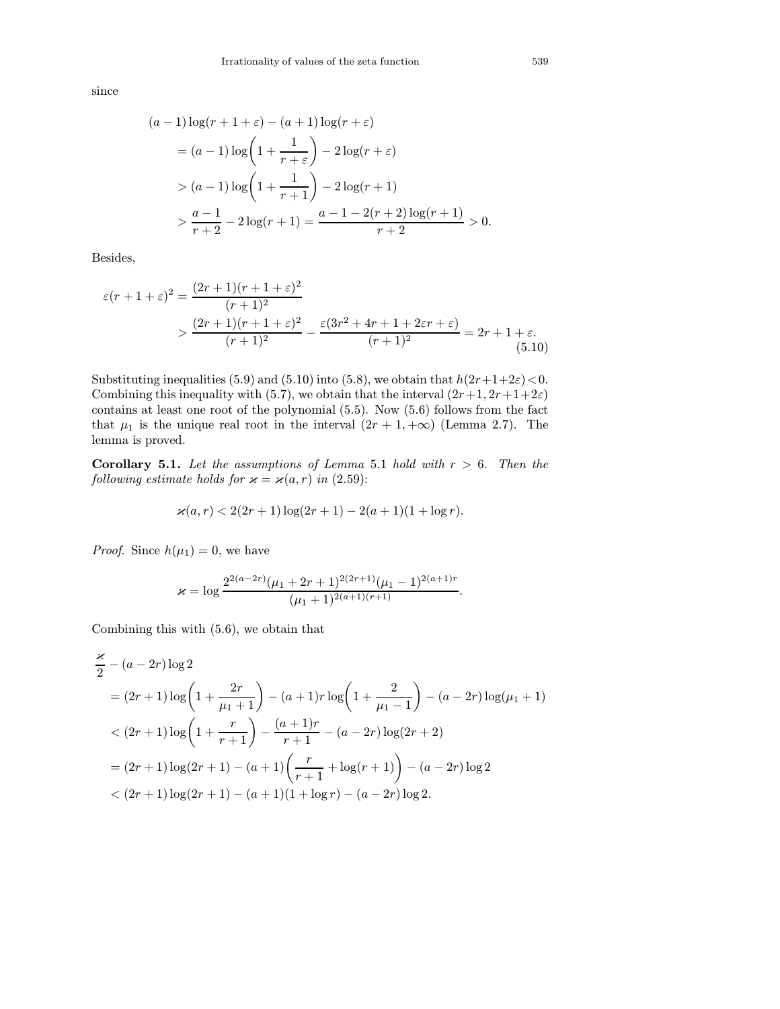since

$$
(a-1)\log(r+1+\varepsilon) - (a+1)\log(r+\varepsilon)
$$
  
= (a-1)\log(1+\frac{1}{r+\varepsilon}) - 2\log(r+\varepsilon)  
> (a-1)\log(1+\frac{1}{r+1}) - 2\log(r+1)  
> \frac{a-1}{r+2} - 2\log(r+1) = \frac{a-1 - 2(r+2)\log(r+1)}{r+2} > 0.

Besides,

$$
\varepsilon(r+1+\varepsilon)^2 = \frac{(2r+1)(r+1+\varepsilon)^2}{(r+1)^2}
$$
  
> 
$$
\frac{(2r+1)(r+1+\varepsilon)^2}{(r+1)^2} - \frac{\varepsilon(3r^2+4r+1+2\varepsilon r+\varepsilon)}{(r+1)^2} = 2r+1+\varepsilon.
$$
  
(5.10)

Substituting inequalities (5.9) and (5.10) into (5.8), we obtain that  $h(2r+1+2\varepsilon) < 0$ . Combining this inequality with (5.7), we obtain that the interval  $(2r+1, 2r+1+2\varepsilon)$ contains at least one root of the polynomial (5.5). Now (5.6) follows from the fact that  $\mu_1$  is the unique real root in the interval  $(2r + 1, +\infty)$  (Lemma 2.7). The lemma is proved.

Corollary 5.1. Let the assumptions of Lemma 5.1 hold with  $r > 6$ . Then the following estimate holds for  $\varkappa = \varkappa(a, r)$  in (2.59):

$$
\varkappa(a,r) < 2(2r+1)\log(2r+1) - 2(a+1)(1+\log r).
$$

*Proof.* Since  $h(\mu_1) = 0$ , we have

$$
\varkappa = \log \frac{2^{2(a-2r)}(\mu_1 + 2r + 1)^{2(2r+1)}(\mu_1 - 1)^{2(a+1)r}}{(\mu_1 + 1)^{2(a+1)(r+1)}}.
$$

Combining this with (5.6), we obtain that

$$
\frac{\varkappa}{2} - (a - 2r) \log 2
$$
\n
$$
= (2r + 1) \log \left( 1 + \frac{2r}{\mu_1 + 1} \right) - (a + 1)r \log \left( 1 + \frac{2}{\mu_1 - 1} \right) - (a - 2r) \log(\mu_1 + 1)
$$
\n
$$
< (2r + 1) \log \left( 1 + \frac{r}{r + 1} \right) - \frac{(a + 1)r}{r + 1} - (a - 2r) \log(2r + 2)
$$
\n
$$
= (2r + 1) \log(2r + 1) - (a + 1) \left( \frac{r}{r + 1} + \log(r + 1) \right) - (a - 2r) \log 2
$$
\n
$$
< (2r + 1) \log(2r + 1) - (a + 1)(1 + \log r) - (a - 2r) \log 2.
$$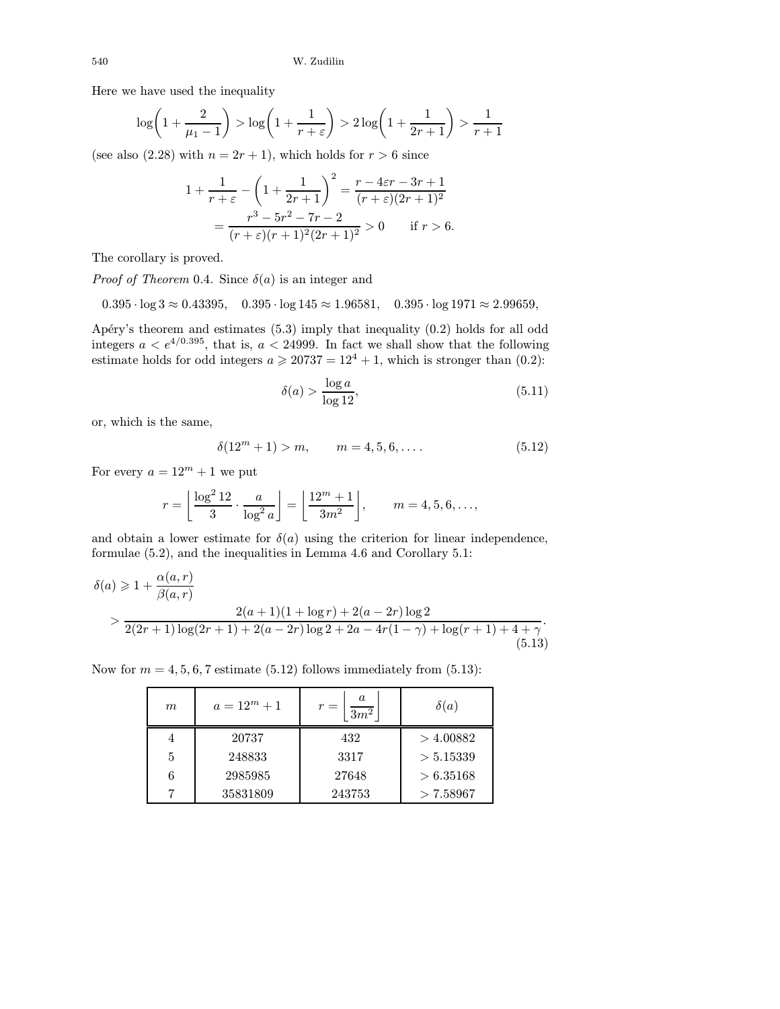Here we have used the inequality

$$
\log\left(1+\frac{2}{\mu_1-1}\right) > \log\left(1+\frac{1}{r+\varepsilon}\right) > 2\log\left(1+\frac{1}{2r+1}\right) > \frac{1}{r+1}
$$

(see also  $(2.28)$  with  $n = 2r + 1$ ), which holds for  $r > 6$  since

$$
1 + \frac{1}{r+\varepsilon} - \left(1 + \frac{1}{2r+1}\right)^2 = \frac{r - 4\varepsilon r - 3r + 1}{(r+\varepsilon)(2r+1)^2}
$$
  
= 
$$
\frac{r^3 - 5r^2 - 7r - 2}{(r+\varepsilon)(r+1)^2(2r+1)^2} > 0 \quad \text{if } r > 6.
$$

The corollary is proved.

*Proof of Theorem* 0.4. Since  $\delta(a)$  is an integer and

 $0.395 \cdot \log 3 \approx 0.43395$ ,  $0.395 \cdot \log 145 \approx 1.96581$ ,  $0.395 \cdot \log 1971 \approx 2.99659$ ,

Apéry's theorem and estimates  $(5.3)$  imply that inequality  $(0.2)$  holds for all odd integers  $a < e^{4/0.395}$ , that is,  $a < 24999$ . In fact we shall show that the following estimate holds for odd integers  $a \ge 20737 = 12^4 + 1$ , which is stronger than  $(0.2)$ .

$$
\delta(a) > \frac{\log a}{\log 12},\tag{5.11}
$$

or, which is the same,

$$
\delta(12^m + 1) > m, \qquad m = 4, 5, 6, \dots
$$
\n<sup>(5.12)</sup>

For every  $a = 12^m + 1$  we put

$$
r = \left\lfloor \frac{\log^2 12}{3} \cdot \frac{a}{\log^2 a} \right\rfloor = \left\lfloor \frac{12^m + 1}{3m^2} \right\rfloor, \qquad m = 4, 5, 6, \dots,
$$

and obtain a lower estimate for  $\delta(a)$  using the criterion for linear independence, formulae (5.2), and the inequalities in Lemma 4.6 and Corollary 5.1:

$$
\delta(a) \ge 1 + \frac{\alpha(a, r)}{\beta(a, r)}
$$
  
> 
$$
\frac{2(a + 1)(1 + \log r) + 2(a - 2r)\log 2}{2(2r + 1)\log(2r + 1) + 2(a - 2r)\log 2 + 2a - 4r(1 - \gamma) + \log(r + 1) + 4 + \gamma}
$$
  
(5.13)

Now for  $m = 4, 5, 6, 7$  estimate (5.12) follows immediately from (5.13):

| m | $a = 12^m + 1$ | a<br>$r =$<br>$\overline{3m^2}$ | $\delta(a)$ |
|---|----------------|---------------------------------|-------------|
|   | 20737          | 432                             | $>$ 4.00882 |
| 5 | 248833         | 3317                            | > 5.15339   |
| 6 | 2985985        | 27648                           | > 6.35168   |
|   | 35831809       | 243753                          | >7.58967    |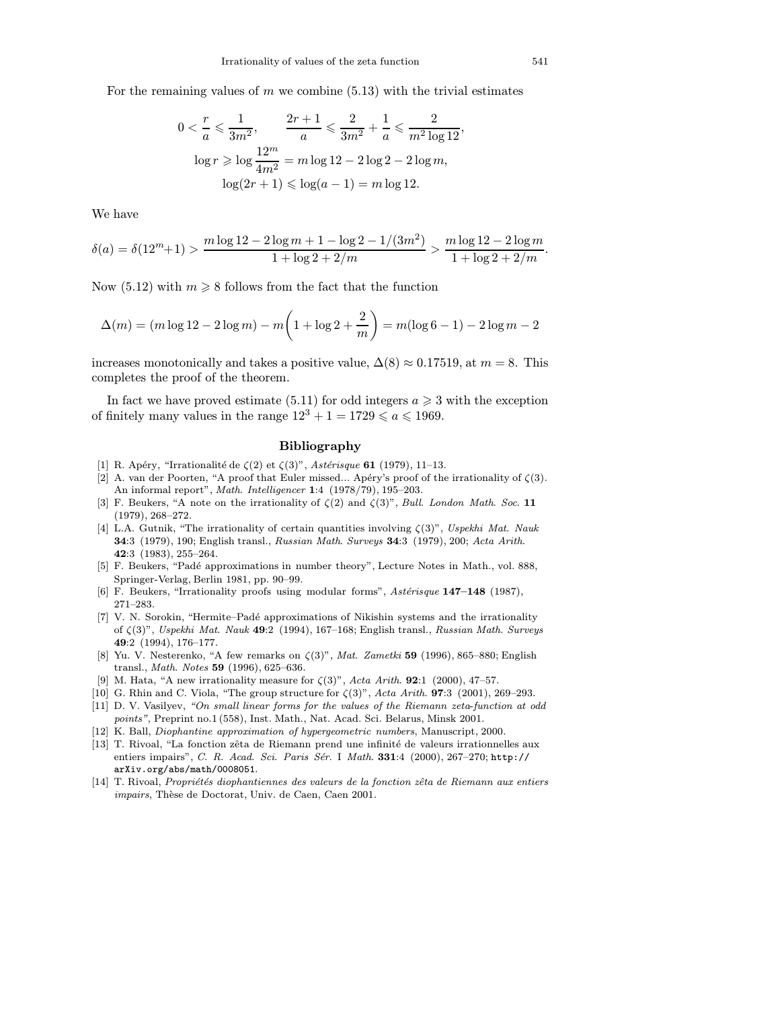<span id="page-52-0"></span>For the remaining values of  $m$  we combine (5.13) with the trivial estimates

$$
0 < \frac{r}{a} \leqslant \frac{1}{3m^2}, \qquad \frac{2r+1}{a} \leqslant \frac{2}{3m^2} + \frac{1}{a} \leqslant \frac{2}{m^2 \log 12},
$$
\n
$$
\log r \geqslant \log \frac{12^m}{4m^2} = m \log 12 - 2 \log 2 - 2 \log m,
$$
\n
$$
\log(2r+1) \leqslant \log(a-1) = m \log 12.
$$

We have

$$
\delta(a) = \delta(12^m + 1) > \frac{m \log 12 - 2 \log m + 1 - \log 2 - 1/(3m^2)}{1 + \log 2 + 2/m} > \frac{m \log 12 - 2 \log m}{1 + \log 2 + 2/m}.
$$

Now (5.12) with  $m \geq 8$  follows from the fact that the function

$$
\Delta(m) = (m \log 12 - 2 \log m) - m \left( 1 + \log 2 + \frac{2}{m} \right) = m(\log 6 - 1) - 2 \log m - 2
$$

increases monotonically and takes a positive value,  $\Delta(8) \approx 0.17519$ , at  $m = 8$ . This completes the proof of the theorem.

In fact we have proved estimate (5.11) for odd integers  $a \geq 3$  with the exception of finitely many values in the range  $12^3 + 1 = 1729 \le a \le 1969$ .

# Bibliography

- [1] R. Apéry, "Irrationalité de  $\zeta(2)$  et  $\zeta(3)$ ", Astérisque 61 (1979), 11–13.
- [2] A. van der Poorten, "A proof that Euler missed... Apéry's proof of the irrationality of  $\zeta(3)$ . An informal report", Math. Intelligencer 1:4 (1978/79), 195-203.
- [3] F. Beukers, "A note on the irrationality of  $\zeta(2)$  and  $\zeta(3)$ ", Bull. London Math. Soc. 11 (1979), 268–272.
- [4] L.A. Gutnik, "The irrationality of certain quantities involving  $\zeta(3)$ ", Uspekhi Mat. Nauk 34:3 (1979), 190; English transl., Russian Math. Surveys 34:3 (1979), 200; Acta Arith. 42:3 (1983), 255–264.
- [5] F. Beukers, "Padé approximations in number theory", Lecture Notes in Math., vol. 888, Springer-Verlag, Berlin 1981, pp. 90–99.
- [6] F. Beukers, "Irrationality proofs using modular forms",  $Astérisque 147–148$  (1987), 271–283.
- [7] V. N. Sorokin, "Hermite–Padé approximations of Nikishin systems and the irrationality of  $\zeta(3)$ ", Uspekhi Mat. Nauk 49:2 (1994), 167-168; English transl., Russian Math. Surveys 49:2 (1994), 176–177.
- [8] Yu. V. Nesterenko, "A few remarks on  $\zeta(3)$ ", Mat. Zametki 59 (1996), 865–880; English transl., Math. Notes 59 (1996), 625–636.
- [9] M. Hata, "A new irrationality measure for  $\zeta(3)$ ", Acta Arith. **92**:1 (2000), 47-57.
- [10] G. Rhin and C. Viola, "The group structure for  $\zeta(3)$ ", Acta Arith. **97**:3 (2001), 269-293.
- [11] D. V. Vasilyev, "On small linear forms for the values of the Riemann zeta-function at odd points", Preprint no.1 (558), Inst. Math., Nat. Acad. Sci. Belarus, Minsk 2001.
- [12] K. Ball, Diophantine approximation of hypergeometric numbers, Manuscript, 2000. [13] T. Rivoal, "La fonction zêta de Riemann prend une infinité de valeurs irrationnelles aux
- entiers impairs", C. R. Acad. Sci. Paris Sér. I Math. 331:4 (2000), 267-270; http:// arXiv.org/abs/math/0008051.
- [14] T. Rivoal, Propriétés diophantiennes des valeurs de la fonction zêta de Riemann aux entiers impairs, Thèse de Doctorat, Univ. de Caen, Caen 2001.